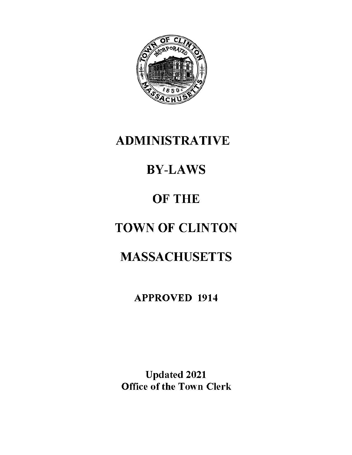

## **ADMINISTRATIVE**

# **BY-LAWS**

## **OF THE**

# **TOWN OF CLINTON**

## **MASSACHUSETTS**

## **APPROVED 1914**

**Updated 2021 Office of the Town Clerk**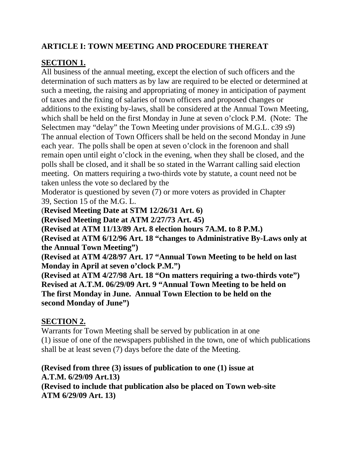## **ARTICLE I: TOWN MEETING AND PROCEDURE THEREAT**

## **SECTION 1.**

All business of the annual meeting, except the election of such officers and the determination of such matters as by law are required to be elected or determined at such a meeting, the raising and appropriating of money in anticipation of payment of taxes and the fixing of salaries of town officers and proposed changes or additions to the existing by-laws, shall be considered at the Annual Town Meeting, which shall be held on the first Monday in June at seven o'clock P.M. (Note: The Selectmen may "delay" the Town Meeting under provisions of M.G.L. c39 s9) The annual election of Town Officers shall be held on the second Monday in June each year. The polls shall be open at seven o'clock in the forenoon and shall remain open until eight o'clock in the evening, when they shall be closed, and the polls shall be closed, and it shall be so stated in the Warrant calling said election meeting. On matters requiring a two-thirds vote by statute, a count need not be taken unless the vote so declared by the

Moderator is questioned by seven (7) or more voters as provided in Chapter 39, Section 15 of the M.G. L.

(**Revised Meeting Date at STM 12/26/31 Art. 6)**

**(Revised Meeting Date at ATM 2/27/73 Art. 45)**

**(Revised at ATM 11/13/89 Art. 8 election hours 7A.M. to 8 P.M.)** 

**(Revised at ATM 6/12/96 Art. 18 "changes to Administrative By-Laws only at the Annual Town Meeting")**

**(Revised at ATM 4/28/97 Art. 17 "Annual Town Meeting to be held on last Monday in April at seven o'clock P.M.")**

**(Revised at ATM 4/27/98 Art. 18 "On matters requiring a two-thirds vote") Revised at A.T.M. 06/29/09 Art. 9 "Annual Town Meeting to be held on The first Monday in June. Annual Town Election to be held on the second Monday of June")**

## **SECTION 2.**

Warrants for Town Meeting shall be served by publication in at one (1) issue of one of the newspapers published in the town, one of which publications shall be at least seven (7) days before the date of the Meeting.

## **(Revised from three (3) issues of publication to one (1) issue at A.T.M. 6/29/09 Art.13)**

**(Revised to include that publication also be placed on Town web-site ATM 6/29/09 Art. 13)**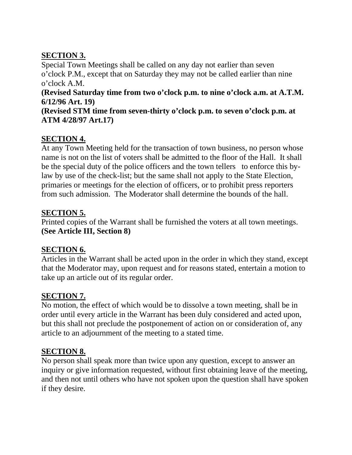## **SECTION 3.**

Special Town Meetings shall be called on any day not earlier than seven o'clock P.M., except that on Saturday they may not be called earlier than nine o'clock A.M.

#### **(Revised Saturday time from two o'clock p.m. to nine o'clock a.m. at A.T.M. 6/12/96 Art. 19)**

**(Revised STM time from seven-thirty o'clock p.m. to seven o'clock p.m. at ATM 4/28/97 Art.17)**

## **SECTION 4.**

At any Town Meeting held for the transaction of town business, no person whose name is not on the list of voters shall be admitted to the floor of the Hall. It shall be the special duty of the police officers and the town tellers to enforce this bylaw by use of the check-list; but the same shall not apply to the State Election, primaries or meetings for the election of officers, or to prohibit press reporters from such admission. The Moderator shall determine the bounds of the hall.

## **SECTION 5.**

Printed copies of the Warrant shall be furnished the voters at all town meetings. **(See Article III, Section 8)**

## **SECTION 6.**

Articles in the Warrant shall be acted upon in the order in which they stand, except that the Moderator may, upon request and for reasons stated, entertain a motion to take up an article out of its regular order.

## **SECTION 7.**

No motion, the effect of which would be to dissolve a town meeting, shall be in order until every article in the Warrant has been duly considered and acted upon, but this shall not preclude the postponement of action on or consideration of, any article to an adjournment of the meeting to a stated time.

## **SECTION 8.**

No person shall speak more than twice upon any question, except to answer an inquiry or give information requested, without first obtaining leave of the meeting, and then not until others who have not spoken upon the question shall have spoken if they desire.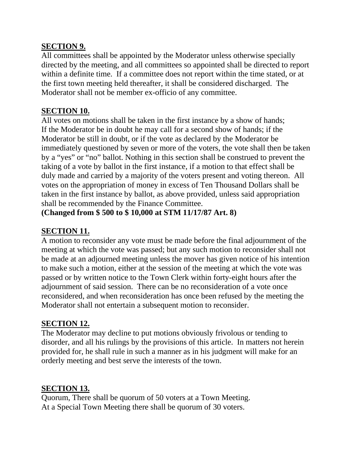#### **SECTION 9.**

All committees shall be appointed by the Moderator unless otherwise specially directed by the meeting, and all committees so appointed shall be directed to report within a definite time. If a committee does not report within the time stated, or at the first town meeting held thereafter, it shall be considered discharged. The Moderator shall not be member ex-officio of any committee.

#### **SECTION 10.**

All votes on motions shall be taken in the first instance by a show of hands; If the Moderator be in doubt he may call for a second show of hands; if the Moderator be still in doubt, or if the vote as declared by the Moderator be immediately questioned by seven or more of the voters, the vote shall then be taken by a "yes" or "no" ballot. Nothing in this section shall be construed to prevent the taking of a vote by ballot in the first instance, if a motion to that effect shall be duly made and carried by a majority of the voters present and voting thereon. All votes on the appropriation of money in excess of Ten Thousand Dollars shall be taken in the first instance by ballot, as above provided, unless said appropriation shall be recommended by the Finance Committee.

**(Changed from \$ 500 to \$ 10,000 at STM 11/17/87 Art. 8)**

## **SECTION 11.**

A motion to reconsider any vote must be made before the final adjournment of the meeting at which the vote was passed; but any such motion to reconsider shall not be made at an adjourned meeting unless the mover has given notice of his intention to make such a motion, either at the session of the meeting at which the vote was passed or by written notice to the Town Clerk within forty-eight hours after the adjournment of said session. There can be no reconsideration of a vote once reconsidered, and when reconsideration has once been refused by the meeting the Moderator shall not entertain a subsequent motion to reconsider.

## **SECTION 12.**

The Moderator may decline to put motions obviously frivolous or tending to disorder, and all his rulings by the provisions of this article. In matters not herein provided for, he shall rule in such a manner as in his judgment will make for an orderly meeting and best serve the interests of the town.

## **SECTION 13.**

Quorum, There shall be quorum of 50 voters at a Town Meeting. At a Special Town Meeting there shall be quorum of 30 voters.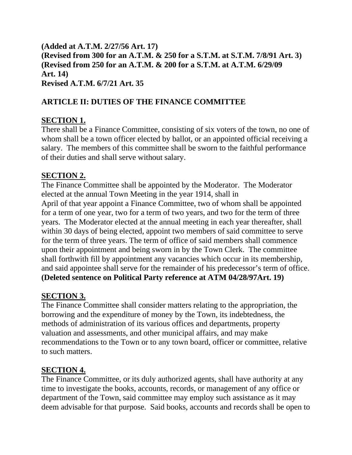**(Added at A.T.M. 2/27/56 Art. 17) (Revised from 300 for an A.T.M. & 250 for a S.T.M. at S.T.M. 7/8/91 Art. 3) (Revised from 250 for an A.T.M. & 200 for a S.T.M. at A.T.M. 6/29/09 Art. 14) Revised A.T.M. 6/7/21 Art. 35**

## **ARTICLE II: DUTIES OF THE FINANCE COMMITTEE**

## **SECTION 1.**

There shall be a Finance Committee, consisting of six voters of the town, no one of whom shall be a town officer elected by ballot, or an appointed official receiving a salary. The members of this committee shall be sworn to the faithful performance of their duties and shall serve without salary.

## **SECTION 2.**

The Finance Committee shall be appointed by the Moderator. The Moderator elected at the annual Town Meeting in the year 1914, shall in April of that year appoint a Finance Committee, two of whom shall be appointed for a term of one year, two for a term of two years, and two for the term of three years. The Moderator elected at the annual meeting in each year thereafter, shall within 30 days of being elected, appoint two members of said committee to serve for the term of three years. The term of office of said members shall commence upon their appointment and being sworn in by the Town Clerk. The committee shall forthwith fill by appointment any vacancies which occur in its membership, and said appointee shall serve for the remainder of his predecessor's term of office. **(Deleted sentence on Political Party reference at ATM 04/28/97Art. 19)**

## **SECTION 3.**

The Finance Committee shall consider matters relating to the appropriation, the borrowing and the expenditure of money by the Town, its indebtedness, the methods of administration of its various offices and departments, property valuation and assessments, and other municipal affairs, and may make recommendations to the Town or to any town board, officer or committee, relative to such matters.

## **SECTION 4.**

The Finance Committee, or its duly authorized agents, shall have authority at any time to investigate the books, accounts, records, or management of any office or department of the Town, said committee may employ such assistance as it may deem advisable for that purpose. Said books, accounts and records shall be open to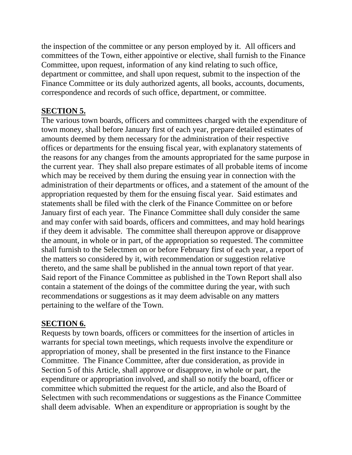the inspection of the committee or any person employed by it. All officers and committees of the Town, either appointive or elective, shall furnish to the Finance Committee, upon request, information of any kind relating to such office, department or committee, and shall upon request, submit to the inspection of the Finance Committee or its duly authorized agents, all books, accounts, documents, correspondence and records of such office, department, or committee.

## **SECTION 5.**

The various town boards, officers and committees charged with the expenditure of town money, shall before January first of each year, prepare detailed estimates of amounts deemed by them necessary for the administration of their respective offices or departments for the ensuing fiscal year, with explanatory statements of the reasons for any changes from the amounts appropriated for the same purpose in the current year. They shall also prepare estimates of all probable items of income which may be received by them during the ensuing year in connection with the administration of their departments or offices, and a statement of the amount of the appropriation requested by them for the ensuing fiscal year. Said estimates and statements shall be filed with the clerk of the Finance Committee on or before January first of each year. The Finance Committee shall duly consider the same and may confer with said boards, officers and committees, and may hold hearings if they deem it advisable. The committee shall thereupon approve or disapprove the amount, in whole or in part, of the appropriation so requested. The committee shall furnish to the Selectmen on or before February first of each year, a report of the matters so considered by it, with recommendation or suggestion relative thereto, and the same shall be published in the annual town report of that year. Said report of the Finance Committee as published in the Town Report shall also contain a statement of the doings of the committee during the year, with such recommendations or suggestions as it may deem advisable on any matters pertaining to the welfare of the Town.

## **SECTION 6.**

Requests by town boards, officers or committees for the insertion of articles in warrants for special town meetings, which requests involve the expenditure or appropriation of money, shall be presented in the first instance to the Finance Committee. The Finance Committee, after due consideration, as provide in Section 5 of this Article, shall approve or disapprove, in whole or part, the expenditure or appropriation involved, and shall so notify the board, officer or committee which submitted the request for the article, and also the Board of Selectmen with such recommendations or suggestions as the Finance Committee shall deem advisable. When an expenditure or appropriation is sought by the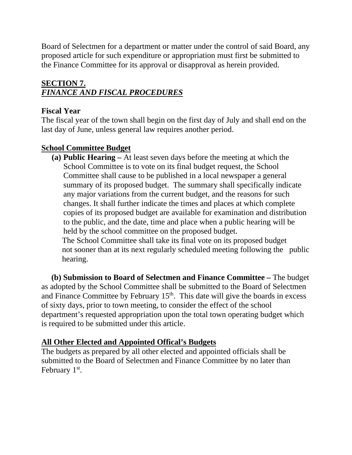Board of Selectmen for a department or matter under the control of said Board, any proposed article for such expenditure or appropriation must first be submitted to the Finance Committee for its approval or disapproval as herein provided.

## **SECTION 7.** *FINANCE AND FISCAL PROCEDURES*

## **Fiscal Year**

The fiscal year of the town shall begin on the first day of July and shall end on the last day of June, unless general law requires another period.

## **School Committee Budget**

**(a) Public Hearing –** At least seven days before the meeting at which the School Committee is to vote on its final budget request, the School Committee shall cause to be published in a local newspaper a general summary of its proposed budget. The summary shall specifically indicate any major variations from the current budget, and the reasons for such changes. It shall further indicate the times and places at which complete copies of its proposed budget are available for examination and distribution to the public, and the date, time and place when a public hearing will be held by the school committee on the proposed budget. The School Committee shall take its final vote on its proposed budget

not sooner than at its next regularly scheduled meeting following the public hearing.

 **(b) Submission to Board of Selectmen and Finance Committee –** The budget as adopted by the School Committee shall be submitted to the Board of Selectmen and Finance Committee by February  $15<sup>th</sup>$ . This date will give the boards in excess of sixty days, prior to town meeting, to consider the effect of the school department's requested appropriation upon the total town operating budget which is required to be submitted under this article.

## **All Other Elected and Appointed Offical's Budgets**

The budgets as prepared by all other elected and appointed officials shall be submitted to the Board of Selectmen and Finance Committee by no later than February 1<sup>st</sup>.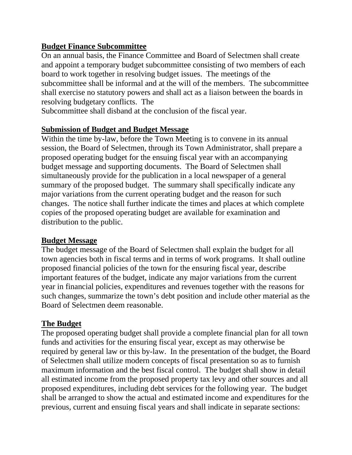## **Budget Finance Subcommittee**

On an annual basis, the Finance Committee and Board of Selectmen shall create and appoint a temporary budget subcommittee consisting of two members of each board to work together in resolving budget issues. The meetings of the subcommittee shall be informal and at the will of the members. The subcommittee shall exercise no statutory powers and shall act as a liaison between the boards in resolving budgetary conflicts. The

Subcommittee shall disband at the conclusion of the fiscal year.

## **Submission of Budget and Budget Message**

Within the time by-law, before the Town Meeting is to convene in its annual session, the Board of Selectmen, through its Town Administrator, shall prepare a proposed operating budget for the ensuing fiscal year with an accompanying budget message and supporting documents. The Board of Selectmen shall simultaneously provide for the publication in a local newspaper of a general summary of the proposed budget. The summary shall specifically indicate any major variations from the current operating budget and the reason for such changes. The notice shall further indicate the times and places at which complete copies of the proposed operating budget are available for examination and distribution to the public.

## **Budget Message**

The budget message of the Board of Selectmen shall explain the budget for all town agencies both in fiscal terms and in terms of work programs. It shall outline proposed financial policies of the town for the ensuring fiscal year, describe important features of the budget, indicate any major variations from the current year in financial policies, expenditures and revenues together with the reasons for such changes, summarize the town's debt position and include other material as the Board of Selectmen deem reasonable.

## **The Budget**

The proposed operating budget shall provide a complete financial plan for all town funds and activities for the ensuring fiscal year, except as may otherwise be required by general law or this by-law. In the presentation of the budget, the Board of Selectmen shall utilize modern concepts of fiscal presentation so as to furnish maximum information and the best fiscal control. The budget shall show in detail all estimated income from the proposed property tax levy and other sources and all proposed expenditures, including debt services for the following year. The budget shall be arranged to show the actual and estimated income and expenditures for the previous, current and ensuing fiscal years and shall indicate in separate sections: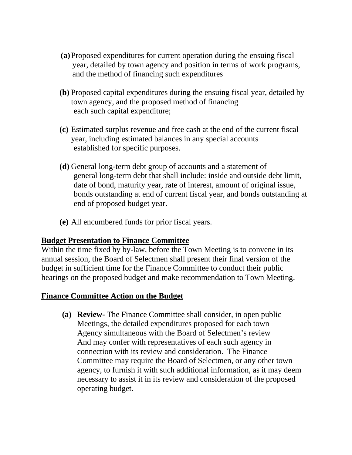- **(a)**Proposed expenditures for current operation during the ensuing fiscal year, detailed by town agency and position in terms of work programs, and the method of financing such expenditures
- **(b)** Proposed capital expenditures during the ensuing fiscal year, detailed by town agency, and the proposed method of financing each such capital expenditure;
- **(c)** Estimated surplus revenue and free cash at the end of the current fiscal year, including estimated balances in any special accounts established for specific purposes.
- **(d)** General long-term debt group of accounts and a statement of general long-term debt that shall include: inside and outside debt limit, date of bond, maturity year, rate of interest, amount of original issue, bonds outstanding at end of current fiscal year, and bonds outstanding at end of proposed budget year.
- **(e)** All encumbered funds for prior fiscal years.

#### **Budget Presentation to Finance Committee**

Within the time fixed by by-law, before the Town Meeting is to convene in its annual session, the Board of Selectmen shall present their final version of the budget in sufficient time for the Finance Committee to conduct their public hearings on the proposed budget and make recommendation to Town Meeting.

#### **Finance Committee Action on the Budget**

**(a) Review-** The Finance Committee shall consider, in open public Meetings, the detailed expenditures proposed for each town Agency simultaneous with the Board of Selectmen's review And may confer with representatives of each such agency in connection with its review and consideration. The Finance Committee may require the Board of Selectmen, or any other town agency, to furnish it with such additional information, as it may deem necessary to assist it in its review and consideration of the proposed operating budget**.**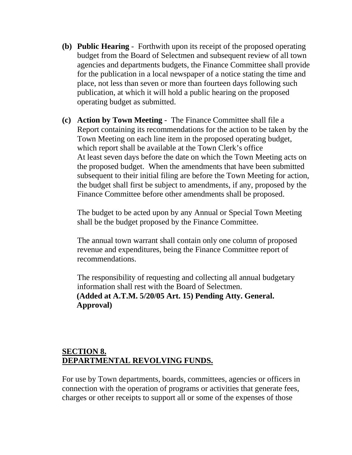- **(b) Public Hearing**  Forthwith upon its receipt of the proposed operating budget from the Board of Selectmen and subsequent review of all town agencies and departments budgets, the Finance Committee shall provide for the publication in a local newspaper of a notice stating the time and place, not less than seven or more than fourteen days following such publication, at which it will hold a public hearing on the proposed operating budget as submitted.
- **(c) Action by Town Meeting**  The Finance Committee shall file a Report containing its recommendations for the action to be taken by the Town Meeting on each line item in the proposed operating budget, which report shall be available at the Town Clerk's office At least seven days before the date on which the Town Meeting acts on the proposed budget. When the amendments that have been submitted subsequent to their initial filing are before the Town Meeting for action, the budget shall first be subject to amendments, if any, proposed by the Finance Committee before other amendments shall be proposed.

The budget to be acted upon by any Annual or Special Town Meeting shall be the budget proposed by the Finance Committee.

The annual town warrant shall contain only one column of proposed revenue and expenditures, being the Finance Committee report of recommendations.

The responsibility of requesting and collecting all annual budgetary information shall rest with the Board of Selectmen. **(Added at A.T.M. 5/20/05 Art. 15) Pending Atty. General. Approval)** 

#### **SECTION 8. DEPARTMENTAL REVOLVING FUNDS.**

For use by Town departments, boards, committees, agencies or officers in connection with the operation of programs or activities that generate fees, charges or other receipts to support all or some of the expenses of those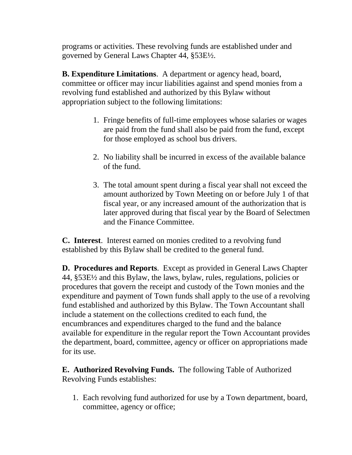programs or activities. These revolving funds are established under and governed by General Laws Chapter 44, §53E½.

**B. Expenditure Limitations**. A department or agency head, board, committee or officer may incur liabilities against and spend monies from a revolving fund established and authorized by this Bylaw without appropriation subject to the following limitations:

- 1. Fringe benefits of full-time employees whose salaries or wages are paid from the fund shall also be paid from the fund, except for those employed as school bus drivers.
- 2. No liability shall be incurred in excess of the available balance of the fund.
- 3. The total amount spent during a fiscal year shall not exceed the amount authorized by Town Meeting on or before July 1 of that fiscal year, or any increased amount of the authorization that is later approved during that fiscal year by the Board of Selectmen and the Finance Committee.

**C. Interest**. Interest earned on monies credited to a revolving fund established by this Bylaw shall be credited to the general fund.

**D. Procedures and Reports**. Except as provided in General Laws Chapter 44, §53E½ and this Bylaw, the laws, bylaw, rules, regulations, policies or procedures that govern the receipt and custody of the Town monies and the expenditure and payment of Town funds shall apply to the use of a revolving fund established and authorized by this Bylaw. The Town Accountant shall include a statement on the collections credited to each fund, the encumbrances and expenditures charged to the fund and the balance available for expenditure in the regular report the Town Accountant provides the department, board, committee, agency or officer on appropriations made for its use.

**E. Authorized Revolving Funds.** The following Table of Authorized Revolving Funds establishes:

1. Each revolving fund authorized for use by a Town department, board, committee, agency or office;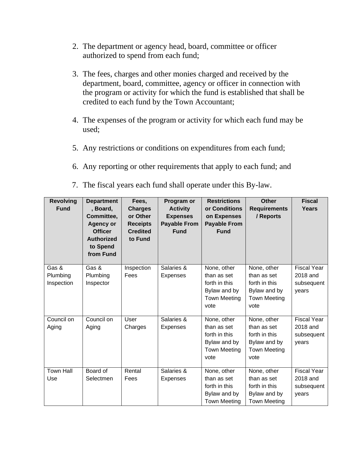- 2. The department or agency head, board, committee or officer authorized to spend from each fund;
- 3. The fees, charges and other monies charged and received by the department, board, committee, agency or officer in connection with the program or activity for which the fund is established that shall be credited to each fund by the Town Accountant;
- 4. The expenses of the program or activity for which each fund may be used;
- 5. Any restrictions or conditions on expenditures from each fund;
- 6. Any reporting or other requirements that apply to each fund; and
- 7. The fiscal years each fund shall operate under this By-law.

| <b>Revolving</b><br><b>Fund</b> | <b>Department</b><br>, Board,<br>Committee,<br><b>Agency or</b><br><b>Officer</b><br><b>Authorized</b><br>to Spend<br>from Fund | Fees,<br><b>Charges</b><br>or Other<br><b>Receipts</b><br><b>Credited</b><br>to Fund | Program or<br><b>Activity</b><br><b>Expenses</b><br><b>Payable From</b><br><b>Fund</b> | <b>Restrictions</b><br>or Conditions<br>on Expenses<br><b>Payable From</b><br><b>Fund</b>  | <b>Other</b><br><b>Requirements</b><br>/ Reports                                           | <b>Fiscal</b><br>Years                                |
|---------------------------------|---------------------------------------------------------------------------------------------------------------------------------|--------------------------------------------------------------------------------------|----------------------------------------------------------------------------------------|--------------------------------------------------------------------------------------------|--------------------------------------------------------------------------------------------|-------------------------------------------------------|
| Gas &<br>Plumbing<br>Inspection | Gas &<br>Plumbing<br>Inspector                                                                                                  | Inspection<br>Fees                                                                   | Salaries &<br><b>Expenses</b>                                                          | None, other<br>than as set<br>forth in this<br>Bylaw and by<br><b>Town Meeting</b><br>vote | None, other<br>than as set<br>forth in this<br>Bylaw and by<br><b>Town Meeting</b><br>vote | <b>Fiscal Year</b><br>2018 and<br>subsequent<br>years |
| Council on<br>Aging             | Council on<br>Aging                                                                                                             | User<br>Charges                                                                      | Salaries &<br>Expenses                                                                 | None, other<br>than as set<br>forth in this<br>Bylaw and by<br><b>Town Meeting</b><br>vote | None, other<br>than as set<br>forth in this<br>Bylaw and by<br><b>Town Meeting</b><br>vote | <b>Fiscal Year</b><br>2018 and<br>subsequent<br>years |
| <b>Town Hall</b><br>Use         | Board of<br>Selectmen                                                                                                           | Rental<br>Fees                                                                       | Salaries &<br><b>Expenses</b>                                                          | None, other<br>than as set<br>forth in this<br>Bylaw and by<br><b>Town Meeting</b>         | None, other<br>than as set<br>forth in this<br>Bylaw and by<br><b>Town Meeting</b>         | <b>Fiscal Year</b><br>2018 and<br>subsequent<br>years |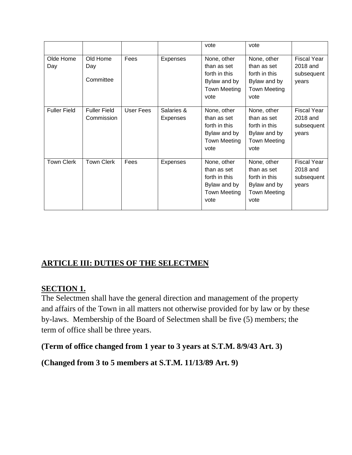|                     |                                   |           |                               | vote                                                                                       | vote                                                                                       |                                                       |
|---------------------|-----------------------------------|-----------|-------------------------------|--------------------------------------------------------------------------------------------|--------------------------------------------------------------------------------------------|-------------------------------------------------------|
| Olde Home<br>Day    | Old Home<br>Day<br>Committee      | Fees      | <b>Expenses</b>               | None, other<br>than as set<br>forth in this<br>Bylaw and by<br><b>Town Meeting</b><br>vote | None, other<br>than as set<br>forth in this<br>Bylaw and by<br><b>Town Meeting</b><br>vote | <b>Fiscal Year</b><br>2018 and<br>subsequent<br>years |
| <b>Fuller Field</b> | <b>Fuller Field</b><br>Commission | User Fees | Salaries &<br><b>Expenses</b> | None, other<br>than as set<br>forth in this<br>Bylaw and by<br><b>Town Meeting</b><br>vote | None, other<br>than as set<br>forth in this<br>Bylaw and by<br><b>Town Meeting</b><br>vote | <b>Fiscal Year</b><br>2018 and<br>subsequent<br>years |
| <b>Town Clerk</b>   | <b>Town Clerk</b>                 | Fees      | <b>Expenses</b>               | None, other<br>than as set<br>forth in this<br>Bylaw and by<br>Town Meeting<br>vote        | None, other<br>than as set<br>forth in this<br>Bylaw and by<br><b>Town Meeting</b><br>vote | <b>Fiscal Year</b><br>2018 and<br>subsequent<br>years |

## **ARTICLE III: DUTIES OF THE SELECTMEN**

## **SECTION 1.**

The Selectmen shall have the general direction and management of the property and affairs of the Town in all matters not otherwise provided for by law or by these by-laws. Membership of the Board of Selectmen shall be five (5) members; the term of office shall be three years.

**(Term of office changed from 1 year to 3 years at S.T.M. 8/9/43 Art. 3)**

**(Changed from 3 to 5 members at S.T.M. 11/13/89 Art. 9)**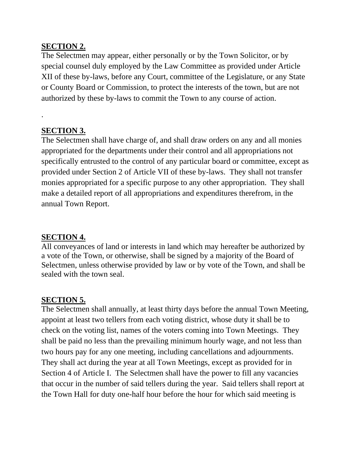#### **SECTION 2.**

The Selectmen may appear, either personally or by the Town Solicitor, or by special counsel duly employed by the Law Committee as provided under Article XII of these by-laws, before any Court, committee of the Legislature, or any State or County Board or Commission, to protect the interests of the town, but are not authorized by these by-laws to commit the Town to any course of action.

#### **SECTION 3.**

.

The Selectmen shall have charge of, and shall draw orders on any and all monies appropriated for the departments under their control and all appropriations not specifically entrusted to the control of any particular board or committee, except as provided under Section 2 of Article VII of these by-laws. They shall not transfer monies appropriated for a specific purpose to any other appropriation. They shall make a detailed report of all appropriations and expenditures therefrom, in the annual Town Report.

#### **SECTION 4.**

All conveyances of land or interests in land which may hereafter be authorized by a vote of the Town, or otherwise, shall be signed by a majority of the Board of Selectmen, unless otherwise provided by law or by vote of the Town, and shall be sealed with the town seal.

## **SECTION 5.**

The Selectmen shall annually, at least thirty days before the annual Town Meeting, appoint at least two tellers from each voting district, whose duty it shall be to check on the voting list, names of the voters coming into Town Meetings. They shall be paid no less than the prevailing minimum hourly wage, and not less than two hours pay for any one meeting, including cancellations and adjournments. They shall act during the year at all Town Meetings, except as provided for in Section 4 of Article I. The Selectmen shall have the power to fill any vacancies that occur in the number of said tellers during the year. Said tellers shall report at the Town Hall for duty one-half hour before the hour for which said meeting is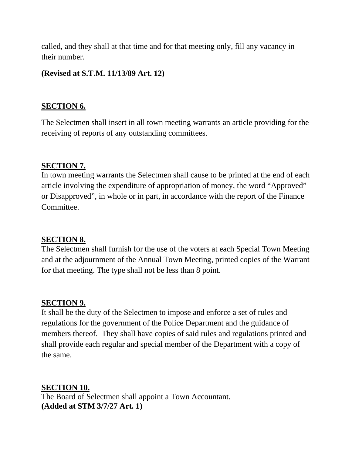called, and they shall at that time and for that meeting only, fill any vacancy in their number.

#### **(Revised at S.T.M. 11/13/89 Art. 12)**

#### **SECTION 6.**

The Selectmen shall insert in all town meeting warrants an article providing for the receiving of reports of any outstanding committees.

#### **SECTION 7.**

In town meeting warrants the Selectmen shall cause to be printed at the end of each article involving the expenditure of appropriation of money, the word "Approved" or Disapproved", in whole or in part, in accordance with the report of the Finance Committee.

## **SECTION 8.**

The Selectmen shall furnish for the use of the voters at each Special Town Meeting and at the adjournment of the Annual Town Meeting, printed copies of the Warrant for that meeting. The type shall not be less than 8 point.

#### **SECTION 9.**

It shall be the duty of the Selectmen to impose and enforce a set of rules and regulations for the government of the Police Department and the guidance of members thereof. They shall have copies of said rules and regulations printed and shall provide each regular and special member of the Department with a copy of the same.

**SECTION 10.**

The Board of Selectmen shall appoint a Town Accountant. **(Added at STM 3/7/27 Art. 1)**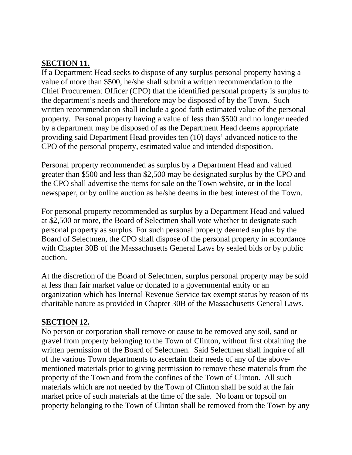#### **SECTION 11.**

If a Department Head seeks to dispose of any surplus personal property having a value of more than \$500, he/she shall submit a written recommendation to the Chief Procurement Officer (CPO) that the identified personal property is surplus to the department's needs and therefore may be disposed of by the Town. Such written recommendation shall include a good faith estimated value of the personal property. Personal property having a value of less than \$500 and no longer needed by a department may be disposed of as the Department Head deems appropriate providing said Department Head provides ten (10) days' advanced notice to the CPO of the personal property, estimated value and intended disposition.

Personal property recommended as surplus by a Department Head and valued greater than \$500 and less than \$2,500 may be designated surplus by the CPO and the CPO shall advertise the items for sale on the Town website, or in the local newspaper, or by online auction as he/she deems in the best interest of the Town.

For personal property recommended as surplus by a Department Head and valued at \$2,500 or more, the Board of Selectmen shall vote whether to designate such personal property as surplus. For such personal property deemed surplus by the Board of Selectmen, the CPO shall dispose of the personal property in accordance with Chapter 30B of the Massachusetts General Laws by sealed bids or by public auction.

At the discretion of the Board of Selectmen, surplus personal property may be sold at less than fair market value or donated to a governmental entity or an organization which has Internal Revenue Service tax exempt status by reason of its charitable nature as provided in Chapter 30B of the Massachusetts General Laws.

#### **SECTION 12.**

No person or corporation shall remove or cause to be removed any soil, sand or gravel from property belonging to the Town of Clinton, without first obtaining the written permission of the Board of Selectmen. Said Selectmen shall inquire of all of the various Town departments to ascertain their needs of any of the abovementioned materials prior to giving permission to remove these materials from the property of the Town and from the confines of the Town of Clinton. All such materials which are not needed by the Town of Clinton shall be sold at the fair market price of such materials at the time of the sale. No loam or topsoil on property belonging to the Town of Clinton shall be removed from the Town by any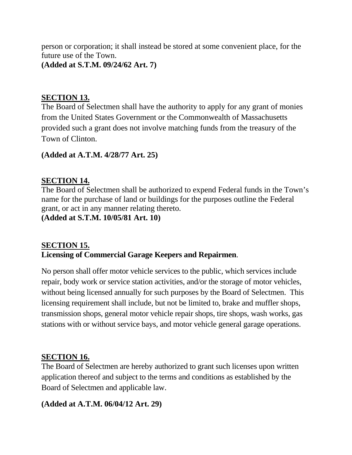person or corporation; it shall instead be stored at some convenient place, for the future use of the Town. **(Added at S.T.M. 09/24/62 Art. 7)**

## **SECTION 13.**

The Board of Selectmen shall have the authority to apply for any grant of monies from the United States Government or the Commonwealth of Massachusetts provided such a grant does not involve matching funds from the treasury of the Town of Clinton.

#### **(Added at A.T.M. 4/28/77 Art. 25)**

#### **SECTION 14.**

The Board of Selectmen shall be authorized to expend Federal funds in the Town's name for the purchase of land or buildings for the purposes outline the Federal grant, or act in any manner relating thereto. **(Added at S.T.M. 10/05/81 Art. 10)**

## **SECTION 15. Licensing of Commercial Garage Keepers and Repairmen**.

No person shall offer motor vehicle services to the public, which services include repair, body work or service station activities, and/or the storage of motor vehicles, without being licensed annually for such purposes by the Board of Selectmen. This licensing requirement shall include, but not be limited to, brake and muffler shops, transmission shops, general motor vehicle repair shops, tire shops, wash works, gas stations with or without service bays, and motor vehicle general garage operations.

#### **SECTION 16.**

The Board of Selectmen are hereby authorized to grant such licenses upon written application thereof and subject to the terms and conditions as established by the Board of Selectmen and applicable law.

#### **(Added at A.T.M. 06/04/12 Art. 29)**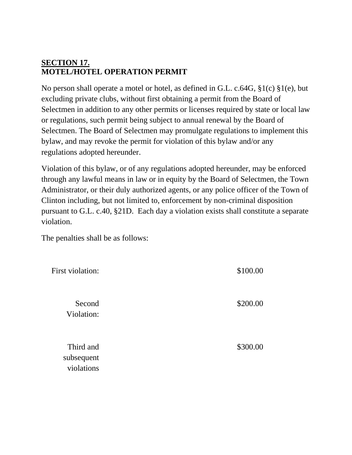## **SECTION 17. MOTEL/HOTEL OPERATION PERMIT**

No person shall operate a motel or hotel, as defined in G.L. c.64G, §1(c) §1(e), but excluding private clubs, without first obtaining a permit from the Board of Selectmen in addition to any other permits or licenses required by state or local law or regulations, such permit being subject to annual renewal by the Board of Selectmen. The Board of Selectmen may promulgate regulations to implement this bylaw, and may revoke the permit for violation of this bylaw and/or any regulations adopted hereunder.

Violation of this bylaw, or of any regulations adopted hereunder, may be enforced through any lawful means in law or in equity by the Board of Selectmen, the Town Administrator, or their duly authorized agents, or any police officer of the Town of Clinton including, but not limited to, enforcement by non-criminal disposition pursuant to G.L. c.40, §21D. Each day a violation exists shall constitute a separate violation.

The penalties shall be as follows:

| First violation:                      | \$100.00 |
|---------------------------------------|----------|
| Second<br>Violation:                  | \$200.00 |
| Third and<br>subsequent<br>violations | \$300.00 |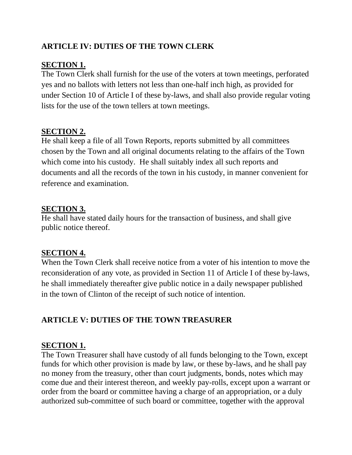## **ARTICLE IV: DUTIES OF THE TOWN CLERK**

## **SECTION 1.**

The Town Clerk shall furnish for the use of the voters at town meetings, perforated yes and no ballots with letters not less than one-half inch high, as provided for under Section 10 of Article I of these by-laws, and shall also provide regular voting lists for the use of the town tellers at town meetings.

## **SECTION 2.**

He shall keep a file of all Town Reports, reports submitted by all committees chosen by the Town and all original documents relating to the affairs of the Town which come into his custody. He shall suitably index all such reports and documents and all the records of the town in his custody, in manner convenient for reference and examination.

#### **SECTION 3.**

He shall have stated daily hours for the transaction of business, and shall give public notice thereof.

#### **SECTION 4.**

When the Town Clerk shall receive notice from a voter of his intention to move the reconsideration of any vote, as provided in Section 11 of Article I of these by-laws, he shall immediately thereafter give public notice in a daily newspaper published in the town of Clinton of the receipt of such notice of intention.

## **ARTICLE V: DUTIES OF THE TOWN TREASURER**

## **SECTION 1.**

The Town Treasurer shall have custody of all funds belonging to the Town, except funds for which other provision is made by law, or these by-laws, and he shall pay no money from the treasury, other than court judgments, bonds, notes which may come due and their interest thereon, and weekly pay-rolls, except upon a warrant or order from the board or committee having a charge of an appropriation, or a duly authorized sub-committee of such board or committee, together with the approval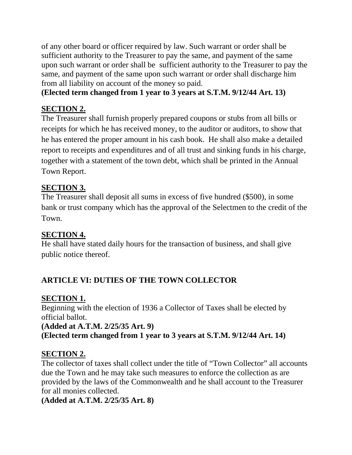of any other board or officer required by law. Such warrant or order shall be sufficient authority to the Treasurer to pay the same, and payment of the same upon such warrant or order shall be sufficient authority to the Treasurer to pay the same, and payment of the same upon such warrant or order shall discharge him from all liability on account of the money so paid.

## **(Elected term changed from 1 year to 3 years at S.T.M. 9/12/44 Art. 13)**

## **SECTION 2.**

The Treasurer shall furnish properly prepared coupons or stubs from all bills or receipts for which he has received money, to the auditor or auditors, to show that he has entered the proper amount in his cash book. He shall also make a detailed report to receipts and expenditures and of all trust and sinking funds in his charge, together with a statement of the town debt, which shall be printed in the Annual Town Report.

## **SECTION 3.**

The Treasurer shall deposit all sums in excess of five hundred (\$500), in some bank or trust company which has the approval of the Selectmen to the credit of the Town.

## **SECTION 4.**

He shall have stated daily hours for the transaction of business, and shall give public notice thereof.

## **ARTICLE VI: DUTIES OF THE TOWN COLLECTOR**

## **SECTION 1.**

Beginning with the election of 1936 a Collector of Taxes shall be elected by official ballot.

## **(Added at A.T.M. 2/25/35 Art. 9) (Elected term changed from 1 year to 3 years at S.T.M. 9/12/44 Art. 14)**

## **SECTION 2.**

The collector of taxes shall collect under the title of "Town Collector" all accounts due the Town and he may take such measures to enforce the collection as are provided by the laws of the Commonwealth and he shall account to the Treasurer for all monies collected.

**(Added at A.T.M. 2/25/35 Art. 8)**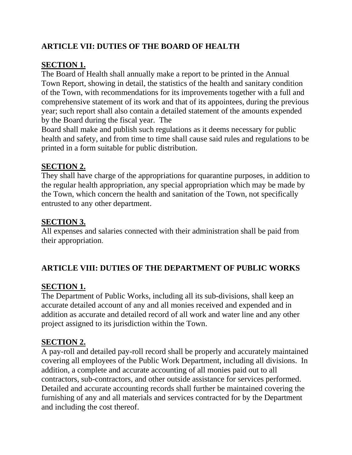## **ARTICLE VII: DUTIES OF THE BOARD OF HEALTH**

## **SECTION 1.**

The Board of Health shall annually make a report to be printed in the Annual Town Report, showing in detail, the statistics of the health and sanitary condition of the Town, with recommendations for its improvements together with a full and comprehensive statement of its work and that of its appointees, during the previous year; such report shall also contain a detailed statement of the amounts expended by the Board during the fiscal year. The

Board shall make and publish such regulations as it deems necessary for public health and safety, and from time to time shall cause said rules and regulations to be printed in a form suitable for public distribution.

## **SECTION 2.**

They shall have charge of the appropriations for quarantine purposes, in addition to the regular health appropriation, any special appropriation which may be made by the Town, which concern the health and sanitation of the Town, not specifically entrusted to any other department.

## **SECTION 3.**

All expenses and salaries connected with their administration shall be paid from their appropriation.

## **ARTICLE VIII: DUTIES OF THE DEPARTMENT OF PUBLIC WORKS**

## **SECTION 1.**

The Department of Public Works, including all its sub-divisions, shall keep an accurate detailed account of any and all monies received and expended and in addition as accurate and detailed record of all work and water line and any other project assigned to its jurisdiction within the Town.

## **SECTION 2.**

A pay-roll and detailed pay-roll record shall be properly and accurately maintained covering all employees of the Public Work Department, including all divisions. In addition, a complete and accurate accounting of all monies paid out to all contractors, sub-contractors, and other outside assistance for services performed. Detailed and accurate accounting records shall further be maintained covering the furnishing of any and all materials and services contracted for by the Department and including the cost thereof.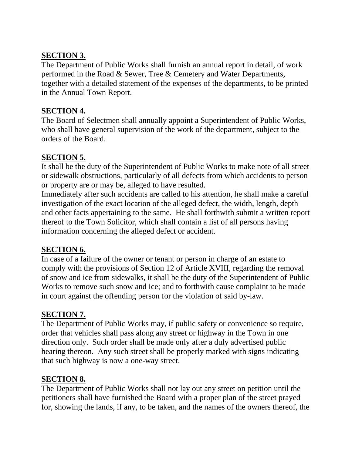## **SECTION 3.**

The Department of Public Works shall furnish an annual report in detail, of work performed in the Road & Sewer, Tree & Cemetery and Water Departments, together with a detailed statement of the expenses of the departments, to be printed in the Annual Town Report.

## **SECTION 4.**

The Board of Selectmen shall annually appoint a Superintendent of Public Works, who shall have general supervision of the work of the department, subject to the orders of the Board.

## **SECTION 5.**

It shall be the duty of the Superintendent of Public Works to make note of all street or sidewalk obstructions, particularly of all defects from which accidents to person or property are or may be, alleged to have resulted.

Immediately after such accidents are called to his attention, he shall make a careful investigation of the exact location of the alleged defect, the width, length, depth and other facts appertaining to the same. He shall forthwith submit a written report thereof to the Town Solicitor, which shall contain a list of all persons having information concerning the alleged defect or accident.

## **SECTION 6.**

In case of a failure of the owner or tenant or person in charge of an estate to comply with the provisions of Section 12 of Article XVIII, regarding the removal of snow and ice from sidewalks, it shall be the duty of the Superintendent of Public Works to remove such snow and ice; and to forthwith cause complaint to be made in court against the offending person for the violation of said by-law.

## **SECTION 7.**

The Department of Public Works may, if public safety or convenience so require, order that vehicles shall pass along any street or highway in the Town in one direction only. Such order shall be made only after a duly advertised public hearing thereon. Any such street shall be properly marked with signs indicating that such highway is now a one-way street.

## **SECTION 8.**

The Department of Public Works shall not lay out any street on petition until the petitioners shall have furnished the Board with a proper plan of the street prayed for, showing the lands, if any, to be taken, and the names of the owners thereof, the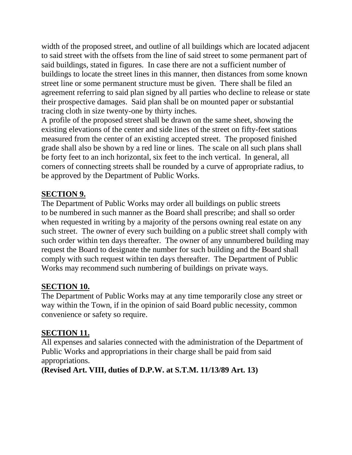width of the proposed street, and outline of all buildings which are located adjacent to said street with the offsets from the line of said street to some permanent part of said buildings, stated in figures. In case there are not a sufficient number of buildings to locate the street lines in this manner, then distances from some known street line or some permanent structure must be given. There shall be filed an agreement referring to said plan signed by all parties who decline to release or state their prospective damages. Said plan shall be on mounted paper or substantial tracing cloth in size twenty-one by thirty inches.

A profile of the proposed street shall be drawn on the same sheet, showing the existing elevations of the center and side lines of the street on fifty-feet stations measured from the center of an existing accepted street. The proposed finished grade shall also be shown by a red line or lines. The scale on all such plans shall be forty feet to an inch horizontal, six feet to the inch vertical. In general, all corners of connecting streets shall be rounded by a curve of appropriate radius, to be approved by the Department of Public Works.

## **SECTION 9.**

The Department of Public Works may order all buildings on public streets to be numbered in such manner as the Board shall prescribe; and shall so order when requested in writing by a majority of the persons owning real estate on any such street. The owner of every such building on a public street shall comply with such order within ten days thereafter. The owner of any unnumbered building may request the Board to designate the number for such building and the Board shall comply with such request within ten days thereafter. The Department of Public Works may recommend such numbering of buildings on private ways.

## **SECTION 10.**

The Department of Public Works may at any time temporarily close any street or way within the Town, if in the opinion of said Board public necessity, common convenience or safety so require.

## **SECTION 11.**

All expenses and salaries connected with the administration of the Department of Public Works and appropriations in their charge shall be paid from said appropriations.

**(Revised Art. VIII, duties of D.P.W. at S.T.M. 11/13/89 Art. 13)**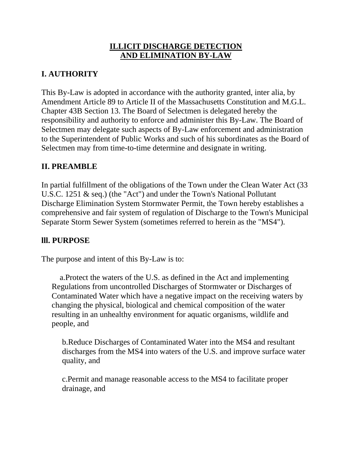## **ILLICIT DISCHARGE DETECTION AND ELIMINATION BY-LAW**

## **I. AUTHORITY**

This By-Law is adopted in accordance with the authority granted, inter alia, by Amendment Article 89 to Article II of the Massachusetts Constitution and M.G.L. Chapter 43B Section 13. The Board of Selectmen is delegated hereby the responsibility and authority to enforce and administer this By-Law. The Board of Selectmen may delegate such aspects of By-Law enforcement and administration to the Superintendent of Public Works and such of his subordinates as the Board of Selectmen may from time-to-time determine and designate in writing.

## **II. PREAMBLE**

In partial fulfillment of the obligations of the Town under the Clean Water Act (33 U.S.C. 1251 & seq.) (the "Act") and under the Town's National Pollutant Discharge Elimination System Stormwater Permit, the Town hereby establishes a comprehensive and fair system of regulation of Discharge to the Town's Municipal Separate Storm Sewer System (sometimes referred to herein as the "MS4").

#### **lll. PURPOSE**

The purpose and intent of this By-Law is to:

 a.Protect the waters of the U.S. as defined in the Act and implementing Regulations from uncontrolled Discharges of Stormwater or Discharges of Contaminated Water which have a negative impact on the receiving waters by changing the physical, biological and chemical composition of the water resulting in an unhealthy environment for aquatic organisms, wildlife and people, and

b.Reduce Discharges of Contaminated Water into the MS4 and resultant discharges from the MS4 into waters of the U.S. and improve surface water quality, and

c.Permit and manage reasonable access to the MS4 to facilitate proper drainage, and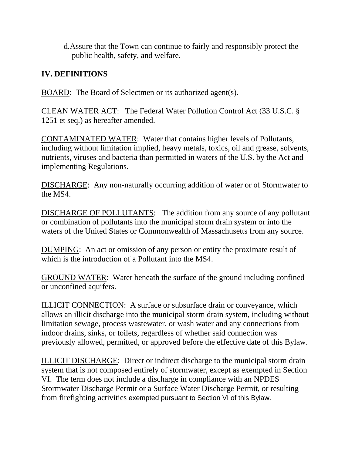d.Assure that the Town can continue to fairly and responsibly protect the public health, safety, and welfare.

## **IV. DEFINITIONS**

BOARD: The Board of Selectmen or its authorized agent(s).

CLEAN WATER ACT: The Federal Water Pollution Control Act (33 U.S.C. § 1251 et seq.) as hereafter amended.

CONTAMINATED WATER: Water that contains higher levels of Pollutants, including without limitation implied, heavy metals, toxics, oil and grease, solvents, nutrients, viruses and bacteria than permitted in waters of the U.S. by the Act and implementing Regulations.

DISCHARGE: Any non-naturally occurring addition of water or of Stormwater to the MS4.

DISCHARGE OF POLLUTANTS: The addition from any source of any pollutant or combination of pollutants into the municipal storm drain system or into the waters of the United States or Commonwealth of Massachusetts from any source.

DUMPING: An act or omission of any person or entity the proximate result of which is the introduction of a Pollutant into the MS4.

GROUND WATER: Water beneath the surface of the ground including confined or unconfined aquifers.

ILLICIT CONNECTION: A surface or subsurface drain or conveyance, which allows an illicit discharge into the municipal storm drain system, including without limitation sewage, process wastewater, or wash water and any connections from indoor drains, sinks, or toilets, regardless of whether said connection was previously allowed, permitted, or approved before the effective date of this Bylaw.

ILLICIT DISCHARGE: Direct or indirect discharge to the municipal storm drain system that is not composed entirely of stormwater, except as exempted in Section VI. The term does not include a discharge in compliance with an NPDES Stormwater Discharge Permit or a Surface Water Discharge Permit, or resulting from firefighting activities exempted pursuant to Section VI of this Bylaw.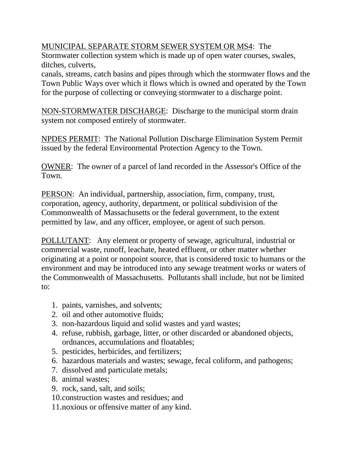## MUNICIPAL SEPARATE STORM SEWER SYSTEM OR MS4: The

Stormwater collection system which is made up of open water courses, swales, ditches, culverts,

canals, streams, catch basins and pipes through which the stormwater flows and the Town Public Ways over which it flows which is owned and operated by the Town for the purpose of collecting or conveying stormwater to a discharge point.

NON-STORMWATER DISCHARGE: Discharge to the municipal storm drain system not composed entirely of stormwater.

NPDES PERMIT: The National Pollution Discharge Elimination System Permit issued by the federal Environmental Protection Agency to the Town.

OWNER: The owner of a parcel of land recorded in the Assessor's Office of the Town.

PERSON: An individual, partnership, association, firm, company, trust, corporation, agency, authority, department, or political subdivision of the Commonwealth of Massachusetts or the federal government, to the extent permitted by law, and any officer, employee, or agent of such person.

POLLUTANT: Any element or property of sewage, agricultural, industrial or commercial waste, runoff, leachate, heated effluent, or other matter whether originating at a point or nonpoint source, that is considered toxic to humans or the environment and may be introduced into any sewage treatment works or waters of the Commonwealth of Massachusetts. Pollutants shall include, but not be limited to:

- 1. paints, varnishes, and solvents;
- 2. oil and other automotive fluids;
- 3. non-hazardous liquid and solid wastes and yard wastes;
- 4. refuse, rubbish, garbage, litter, or other discarded or abandoned objects, ordnances, accumulations and floatables;
- 5. pesticides, herbicides, and fertilizers;
- 6. hazardous materials and wastes; sewage, fecal coliform, and pathogens;
- 7. dissolved and particulate metals;
- 8. animal wastes;
- 9. rock, sand, salt, and soils;
- 10.construction wastes and residues; and
- 11.noxious or offensive matter of any kind.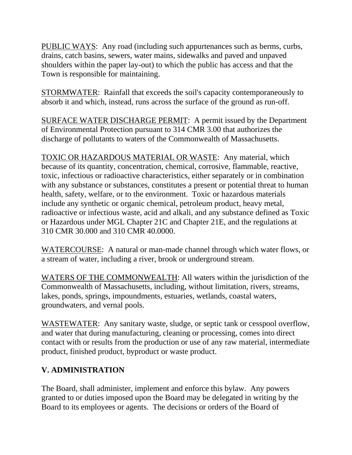PUBLIC WAYS: Any road (including such appurtenances such as berms, curbs, drains, catch basins, sewers, water mains, sidewalks and paved and unpaved shoulders within the paper lay-out) to which the public has access and that the Town is responsible for maintaining.

STORMWATER: Rainfall that exceeds the soil's capacity contemporaneously to absorb it and which, instead, runs across the surface of the ground as run-off.

SURFACE WATER DISCHARGE PERMIT: A permit issued by the Department of Environmental Protection pursuant to 314 CMR 3.00 that authorizes the discharge of pollutants to waters of the Commonwealth of Massachusetts.

TOXIC OR HAZARDOUS MATERIAL OR WASTE: Any material, which because of its quantity, concentration, chemical, corrosive, flammable, reactive, toxic, infectious or radioactive characteristics, either separately or in combination with any substance or substances, constitutes a present or potential threat to human health, safety, welfare, or to the environment. Toxic or hazardous materials include any synthetic or organic chemical, petroleum product, heavy metal, radioactive or infectious waste, acid and alkali, and any substance defined as Toxic or Hazardous under MGL Chapter 21C and Chapter 21E, and the regulations at 310 CMR 30.000 and 310 CMR 40.0000.

WATERCOURSE: A natural or man-made channel through which water flows, or a stream of water, including a river, brook or underground stream.

WATERS OF THE COMMONWEALTH: All waters within the jurisdiction of the Commonwealth of Massachusetts, including, without limitation, rivers, streams, lakes, ponds, springs, impoundments, estuaries, wetlands, coastal waters, groundwaters, and vernal pools.

WASTEWATER: Any sanitary waste, sludge, or septic tank or cesspool overflow, and water that during manufacturing, cleaning or processing, comes into direct contact with or results from the production or use of any raw material, intermediate product, finished product, byproduct or waste product.

## **V. ADMINISTRATION**

The Board, shall administer, implement and enforce this bylaw. Any powers granted to or duties imposed upon the Board may be delegated in writing by the Board to its employees or agents. The decisions or orders of the Board of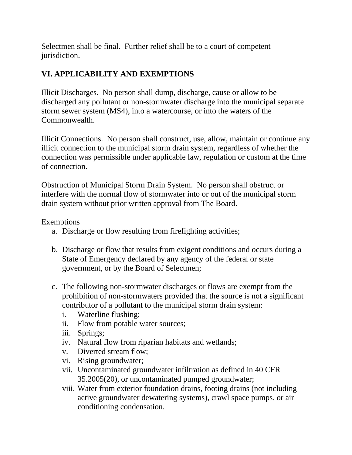Selectmen shall be final. Further relief shall be to a court of competent jurisdiction.

## **VI. APPLICABILITY AND EXEMPTIONS**

Illicit Discharges. No person shall dump, discharge, cause or allow to be discharged any pollutant or non-stormwater discharge into the municipal separate storm sewer system (MS4), into a watercourse, or into the waters of the Commonwealth.

Illicit Connections. No person shall construct, use, allow, maintain or continue any illicit connection to the municipal storm drain system, regardless of whether the connection was permissible under applicable law, regulation or custom at the time of connection.

Obstruction of Municipal Storm Drain System. No person shall obstruct or interfere with the normal flow of stormwater into or out of the municipal storm drain system without prior written approval from The Board.

Exemptions

- a. Discharge or flow resulting from firefighting activities;
- b. Discharge or flow that results from exigent conditions and occurs during a State of Emergency declared by any agency of the federal or state government, or by the Board of Selectmen;
- c. The following non-stormwater discharges or flows are exempt from the prohibition of non-stormwaters provided that the source is not a significant contributor of a pollutant to the municipal storm drain system:
	- i. Waterline flushing;
	- ii. Flow from potable water sources;
	- iii. Springs;
	- iv. Natural flow from riparian habitats and wetlands;
	- v. Diverted stream flow;
	- vi. Rising groundwater;
	- vii. Uncontaminated groundwater infiltration as defined in 40 CFR 35.2005(20), or uncontaminated pumped groundwater;
	- viii. Water from exterior foundation drains, footing drains (not including active groundwater dewatering systems), crawl space pumps, or air conditioning condensation.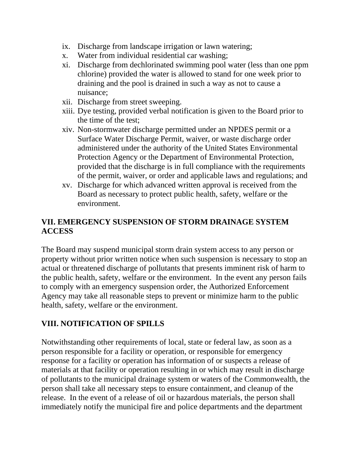- ix. Discharge from landscape irrigation or lawn watering;
- x. Water from individual residential car washing;
- xi. Discharge from dechlorinated swimming pool water (less than one ppm chlorine) provided the water is allowed to stand for one week prior to draining and the pool is drained in such a way as not to cause a nuisance;
- xii. Discharge from street sweeping.
- xiii. Dye testing, provided verbal notification is given to the Board prior to the time of the test;
- xiv. Non-stormwater discharge permitted under an NPDES permit or a Surface Water Discharge Permit, waiver, or waste discharge order administered under the authority of the United States Environmental Protection Agency or the Department of Environmental Protection, provided that the discharge is in full compliance with the requirements of the permit, waiver, or order and applicable laws and regulations; and
- xv. Discharge for which advanced written approval is received from the Board as necessary to protect public health, safety, welfare or the environment.

## **VII. EMERGENCY SUSPENSION OF STORM DRAINAGE SYSTEM ACCESS**

The Board may suspend municipal storm drain system access to any person or property without prior written notice when such suspension is necessary to stop an actual or threatened discharge of pollutants that presents imminent risk of harm to the public health, safety, welfare or the environment. In the event any person fails to comply with an emergency suspension order, the Authorized Enforcement Agency may take all reasonable steps to prevent or minimize harm to the public health, safety, welfare or the environment.

## **VIII. NOTIFICATION OF SPILLS**

Notwithstanding other requirements of local, state or federal law, as soon as a person responsible for a facility or operation, or responsible for emergency response for a facility or operation has information of or suspects a release of materials at that facility or operation resulting in or which may result in discharge of pollutants to the municipal drainage system or waters of the Commonwealth, the person shall take all necessary steps to ensure containment, and cleanup of the release. In the event of a release of oil or hazardous materials, the person shall immediately notify the municipal fire and police departments and the department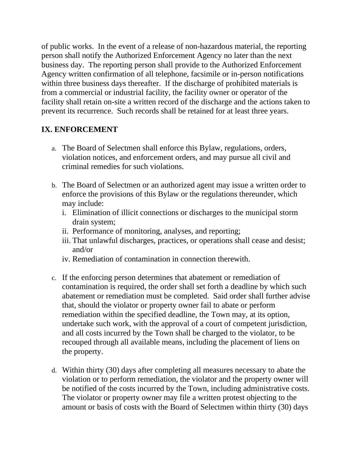of public works. In the event of a release of non-hazardous material, the reporting person shall notify the Authorized Enforcement Agency no later than the next business day. The reporting person shall provide to the Authorized Enforcement Agency written confirmation of all telephone, facsimile or in-person notifications within three business days thereafter. If the discharge of prohibited materials is from a commercial or industrial facility, the facility owner or operator of the facility shall retain on-site a written record of the discharge and the actions taken to prevent its recurrence. Such records shall be retained for at least three years.

## **IX. ENFORCEMENT**

- a. The Board of Selectmen shall enforce this Bylaw, regulations, orders, violation notices, and enforcement orders, and may pursue all civil and criminal remedies for such violations.
- b. The Board of Selectmen or an authorized agent may issue a written order to enforce the provisions of this Bylaw or the regulations thereunder, which may include:
	- i. Elimination of illicit connections or discharges to the municipal storm drain system;
	- ii. Performance of monitoring, analyses, and reporting;
	- iii. That unlawful discharges, practices, or operations shall cease and desist; and/or
	- iv. Remediation of contamination in connection therewith.
- c. If the enforcing person determines that abatement or remediation of contamination is required, the order shall set forth a deadline by which such abatement or remediation must be completed. Said order shall further advise that, should the violator or property owner fail to abate or perform remediation within the specified deadline, the Town may, at its option, undertake such work, with the approval of a court of competent jurisdiction, and all costs incurred by the Town shall be charged to the violator, to be recouped through all available means, including the placement of liens on the property.
- d. Within thirty (30) days after completing all measures necessary to abate the violation or to perform remediation, the violator and the property owner will be notified of the costs incurred by the Town, including administrative costs. The violator or property owner may file a written protest objecting to the amount or basis of costs with the Board of Selectmen within thirty (30) days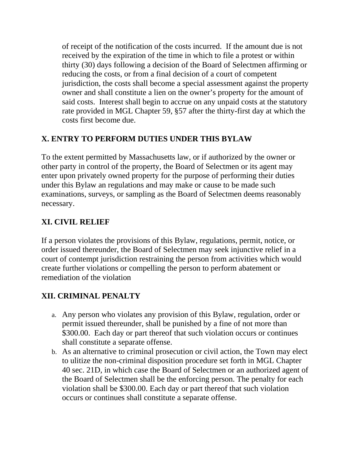of receipt of the notification of the costs incurred. If the amount due is not received by the expiration of the time in which to file a protest or within thirty (30) days following a decision of the Board of Selectmen affirming or reducing the costs, or from a final decision of a court of competent jurisdiction, the costs shall become a special assessment against the property owner and shall constitute a lien on the owner's property for the amount of said costs. Interest shall begin to accrue on any unpaid costs at the statutory rate provided in MGL Chapter 59, §57 after the thirty-first day at which the costs first become due.

## **X. ENTRY TO PERFORM DUTIES UNDER THIS BYLAW**

To the extent permitted by Massachusetts law, or if authorized by the owner or other party in control of the property, the Board of Selectmen or its agent may enter upon privately owned property for the purpose of performing their duties under this Bylaw an regulations and may make or cause to be made such examinations, surveys, or sampling as the Board of Selectmen deems reasonably necessary.

## **XI. CIVIL RELIEF**

If a person violates the provisions of this Bylaw, regulations, permit, notice, or order issued thereunder, the Board of Selectmen may seek injunctive relief in a court of contempt jurisdiction restraining the person from activities which would create further violations or compelling the person to perform abatement or remediation of the violation

## **XII. CRIMINAL PENALTY**

- a. Any person who violates any provision of this Bylaw, regulation, order or permit issued thereunder, shall be punished by a fine of not more than \$300.00. Each day or part thereof that such violation occurs or continues shall constitute a separate offense.
- b. As an alternative to criminal prosecution or civil action, the Town may elect to ulitize the non-criminal disposition procedure set forth in MGL Chapter 40 sec. 21D, in which case the Board of Selectmen or an authorized agent of the Board of Selectmen shall be the enforcing person. The penalty for each violation shall be \$300.00. Each day or part thereof that such violation occurs or continues shall constitute a separate offense.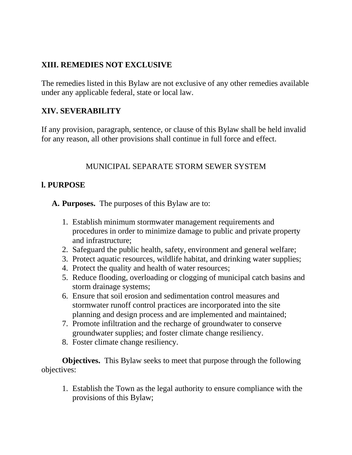## **XIII. REMEDIES NOT EXCLUSIVE**

The remedies listed in this Bylaw are not exclusive of any other remedies available under any applicable federal, state or local law.

## **XIV. SEVERABILITY**

If any provision, paragraph, sentence, or clause of this Bylaw shall be held invalid for any reason, all other provisions shall continue in full force and effect.

## MUNICIPAL SEPARATE STORM SEWER SYSTEM

#### **l. PURPOSE**

**A. Purposes.** The purposes of this Bylaw are to:

- 1. Establish minimum stormwater management requirements and procedures in order to minimize damage to public and private property and infrastructure;
- 2. Safeguard the public health, safety, environment and general welfare;
- 3. Protect aquatic resources, wildlife habitat, and drinking water supplies;
- 4. Protect the quality and health of water resources;
- 5. Reduce flooding, overloading or clogging of municipal catch basins and storm drainage systems;
- 6. Ensure that soil erosion and sedimentation control measures and stormwater runoff control practices are incorporated into the site planning and design process and are implemented and maintained;
- 7. Promote infiltration and the recharge of groundwater to conserve groundwater supplies; and foster climate change resiliency.
- 8. Foster climate change resiliency.

**Objectives.** This Bylaw seeks to meet that purpose through the following objectives:

1. Establish the Town as the legal authority to ensure compliance with the provisions of this Bylaw;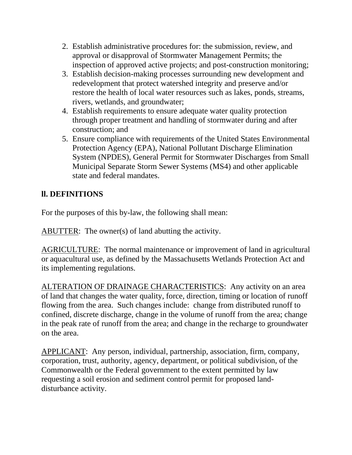- 2. Establish administrative procedures for: the submission, review, and approval or disapproval of Stormwater Management Permits; the inspection of approved active projects; and post-construction monitoring;
- 3. Establish decision-making processes surrounding new development and redevelopment that protect watershed integrity and preserve and/or restore the health of local water resources such as lakes, ponds, streams, rivers, wetlands, and groundwater;
- 4. Establish requirements to ensure adequate water quality protection through proper treatment and handling of stormwater during and after construction; and
- 5. Ensure compliance with requirements of the United States Environmental Protection Agency (EPA), National Pollutant Discharge Elimination System (NPDES), General Permit for Stormwater Discharges from Small Municipal Separate Storm Sewer Systems (MS4) and other applicable state and federal mandates.

## **ll. DEFINITIONS**

For the purposes of this by-law, the following shall mean:

ABUTTER: The owner(s) of land abutting the activity.

AGRICULTURE: The normal maintenance or improvement of land in agricultural or aquacultural use, as defined by the Massachusetts Wetlands Protection Act and its implementing regulations.

ALTERATION OF DRAINAGE CHARACTERISTICS: Any activity on an area of land that changes the water quality, force, direction, timing or location of runoff flowing from the area. Such changes include: change from distributed runoff to confined, discrete discharge, change in the volume of runoff from the area; change in the peak rate of runoff from the area; and change in the recharge to groundwater on the area.

APPLICANT: Any person, individual, partnership, association, firm, company, corporation, trust, authority, agency, department, or political subdivision, of the Commonwealth or the Federal government to the extent permitted by law requesting a soil erosion and sediment control permit for proposed landdisturbance activity.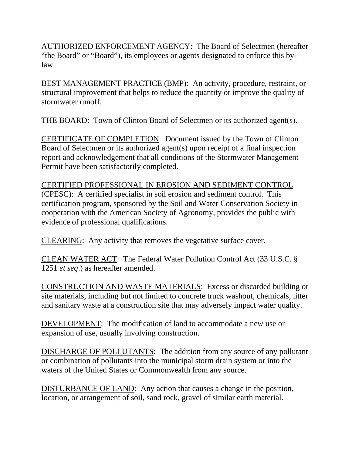AUTHORIZED ENFORCEMENT AGENCY: The Board of Selectmen (hereafter "the Board" or "Board"), its employees or agents designated to enforce this bylaw.

BEST MANAGEMENT PRACTICE (BMP): An activity, procedure, restraint, or structural improvement that helps to reduce the quantity or improve the quality of stormwater runoff.

THE BOARD: Town of Clinton Board of Selectmen or its authorized agent(s).

CERTIFICATE OF COMPLETION: Document issued by the Town of Clinton Board of Selectmen or its authorized agent(s) upon receipt of a final inspection report and acknowledgement that all conditions of the Stormwater Management Permit have been satisfactorily completed.

CERTIFIED PROFESSIONAL IN EROSION AND SEDIMENT CONTROL (CPESC): A certified specialist in soil erosion and sediment control. This certification program, sponsored by the Soil and Water Conservation Society in cooperation with the American Society of Agronomy, provides the public with evidence of professional qualifications.

CLEARING: Any activity that removes the vegetative surface cover.

CLEAN WATER ACT: The Federal Water Pollution Control Act (33 U.S.C. § 1251 *et seq*.) as hereafter amended.

CONSTRUCTION AND WASTE MATERIALS: Excess or discarded building or site materials, including but not limited to concrete truck washout, chemicals, litter and sanitary waste at a construction site that may adversely impact water quality.

DEVELOPMENT: The modification of land to accommodate a new use or expansion of use, usually involving construction.

DISCHARGE OF POLLUTANTS: The addition from any source of any pollutant or combination of pollutants into the municipal storm drain system or into the waters of the United States or Commonwealth from any source.

DISTURBANCE OF LAND: Any action that causes a change in the position, location, or arrangement of soil, sand rock, gravel of similar earth material.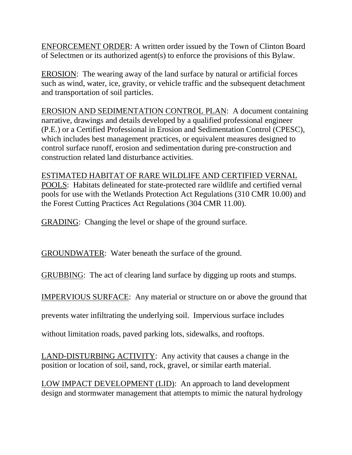ENFORCEMENT ORDER: A written order issued by the Town of Clinton Board of Selectmen or its authorized agent(s) to enforce the provisions of this Bylaw.

EROSION: The wearing away of the land surface by natural or artificial forces such as wind, water, ice, gravity, or vehicle traffic and the subsequent detachment and transportation of soil particles.

EROSION AND SEDIMENTATION CONTROL PLAN: A document containing narrative, drawings and details developed by a qualified professional engineer (P.E.) or a Certified Professional in Erosion and Sedimentation Control (CPESC), which includes best management practices, or equivalent measures designed to control surface runoff, erosion and sedimentation during pre-construction and construction related land disturbance activities.

ESTIMATED HABITAT OF RARE WILDLIFE AND CERTIFIED VERNAL POOLS: Habitats delineated for state-protected rare wildlife and certified vernal pools for use with the Wetlands Protection Act Regulations (310 CMR 10.00) and the Forest Cutting Practices Act Regulations (304 CMR 11.00).

GRADING: Changing the level or shape of the ground surface.

GROUNDWATER: Water beneath the surface of the ground.

GRUBBING: The act of clearing land surface by digging up roots and stumps.

IMPERVIOUS SURFACE: Any material or structure on or above the ground that

prevents water infiltrating the underlying soil. Impervious surface includes

without limitation roads, paved parking lots, sidewalks, and rooftops.

LAND-DISTURBING ACTIVITY: Any activity that causes a change in the position or location of soil, sand, rock, gravel, or similar earth material.

LOW IMPACT DEVELOPMENT (LID): An approach to land development design and stormwater management that attempts to mimic the natural hydrology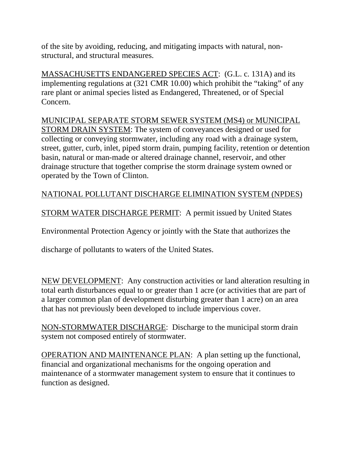of the site by avoiding, reducing, and mitigating impacts with natural, nonstructural, and structural measures.

MASSACHUSETTS ENDANGERED SPECIES ACT: (G.L. c. 131A) and its implementing regulations at (321 CMR 10.00) which prohibit the "taking" of any rare plant or animal species listed as Endangered, Threatened, or of Special Concern.

MUNICIPAL SEPARATE STORM SEWER SYSTEM (MS4) or MUNICIPAL STORM DRAIN SYSTEM: The system of conveyances designed or used for collecting or conveying stormwater, including any road with a drainage system, street, gutter, curb, inlet, piped storm drain, pumping facility, retention or detention basin, natural or man-made or altered drainage channel, reservoir, and other drainage structure that together comprise the storm drainage system owned or operated by the Town of Clinton.

## NATIONAL POLLUTANT DISCHARGE ELIMINATION SYSTEM (NPDES)

STORM WATER DISCHARGE PERMIT: A permit issued by United States

Environmental Protection Agency or jointly with the State that authorizes the

discharge of pollutants to waters of the United States.

NEW DEVELOPMENT: Any construction activities or land alteration resulting in total earth disturbances equal to or greater than 1 acre (or activities that are part of a larger common plan of development disturbing greater than 1 acre) on an area that has not previously been developed to include impervious cover.

NON-STORMWATER DISCHARGE: Discharge to the municipal storm drain system not composed entirely of stormwater.

OPERATION AND MAINTENANCE PLAN: A plan setting up the functional, financial and organizational mechanisms for the ongoing operation and maintenance of a stormwater management system to ensure that it continues to function as designed.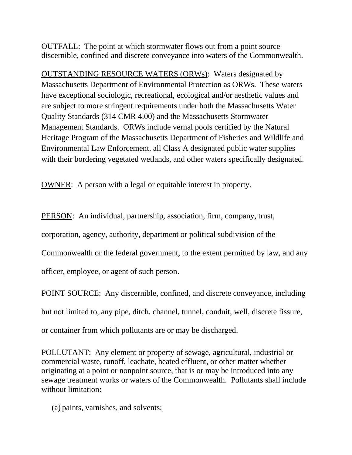OUTFALL: The point at which stormwater flows out from a point source discernible, confined and discrete conveyance into waters of the Commonwealth.

OUTSTANDING RESOURCE WATERS (ORWs): Waters designated by Massachusetts Department of Environmental Protection as ORWs. These waters have exceptional sociologic, recreational, ecological and/or aesthetic values and are subject to more stringent requirements under both the Massachusetts Water Quality Standards (314 CMR 4.00) and the Massachusetts Stormwater Management Standards. ORWs include vernal pools certified by the Natural Heritage Program of the Massachusetts Department of Fisheries and Wildlife and Environmental Law Enforcement, all Class A designated public water supplies with their bordering vegetated wetlands, and other waters specifically designated.

OWNER: A person with a legal or equitable interest in property.

PERSON: An individual, partnership, association, firm, company, trust,

corporation, agency, authority, department or political subdivision of the

Commonwealth or the federal government, to the extent permitted by law, and any

officer, employee, or agent of such person.

POINT SOURCE: Any discernible, confined, and discrete conveyance, including but not limited to, any pipe, ditch, channel, tunnel, conduit, well, discrete fissure, or container from which pollutants are or may be discharged.

POLLUTANT: Any element or property of sewage, agricultural, industrial or commercial waste, runoff, leachate, heated effluent, or other matter whether originating at a point or nonpoint source, that is or may be introduced into any sewage treatment works or waters of the Commonwealth. Pollutants shall include without limitation**:**

(a) paints, varnishes, and solvents;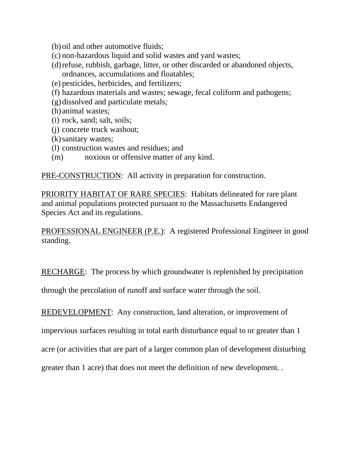- (b)oil and other automotive fluids;
- (c) non-hazardous liquid and solid wastes and yard wastes;
- (d)refuse, rubbish, garbage, litter, or other discarded or abandoned objects, ordnances, accumulations and floatables;
- (e) pesticides, herbicides, and fertilizers;
- (f) hazardous materials and wastes; sewage, fecal coliform and pathogens;
- (g)dissolved and particulate metals;
- (h) animal wastes;
- (i) rock, sand; salt, soils;
- (j) concrete truck washout;
- (k)sanitary wastes;
- (l) construction wastes and residues; and
- (m) noxious or offensive matter of any kind.

PRE-CONSTRUCTION: All activity in preparation for construction.

PRIORITY HABITAT OF RARE SPECIES: Habitats delineated for rare plant and animal populations protected pursuant to the Massachusetts Endangered Species Act and its regulations.

PROFESSIONAL ENGINEER (P.E.): A registered Professional Engineer in good standing.

RECHARGE: The process by which groundwater is replenished by precipitation

through the percolation of runoff and surface water through the soil.

REDEVELOPMENT: Any construction, land alteration, or improvement of

impervious surfaces resulting in total earth disturbance equal to or greater than 1

acre (or activities that are part of a larger common plan of development disturbing

greater than 1 acre) that does not meet the definition of new development. .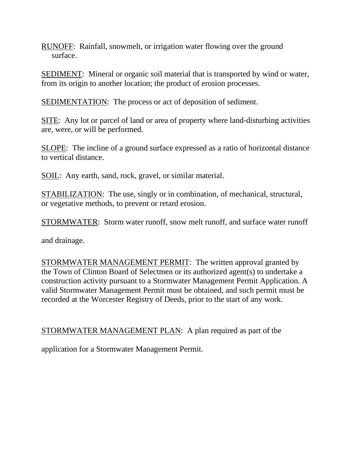RUNOFF: Rainfall, snowmelt, or irrigation water flowing over the ground surface.

SEDIMENT: Mineral or organic soil material that is transported by wind or water, from its origin to another location; the product of erosion processes.

SEDIMENTATION: The process or act of deposition of sediment.

SITE: Any lot or parcel of land or area of property where land-disturbing activities are, were, or will be performed.

SLOPE: The incline of a ground surface expressed as a ratio of horizontal distance to vertical distance.

SOIL: Any earth, sand, rock, gravel, or similar material.

STABILIZATION: The use, singly or in combination, of mechanical, structural, or vegetative methods, to prevent or retard erosion.

STORMWATER: Storm water runoff, snow melt runoff, and surface water runoff

and drainage.

STORMWATER MANAGEMENT PERMIT: The written approval granted by the Town of Clinton Board of Selectmen or its authorized agent(s) to undertake a construction activity pursuant to a Stormwater Management Permit Application. A valid Stormwater Management Permit must be obtained, and such permit must be recorded at the Worcester Registry of Deeds, prior to the start of any work.

STORMWATER MANAGEMENT PLAN: A plan required as part of the

application for a Stormwater Management Permit.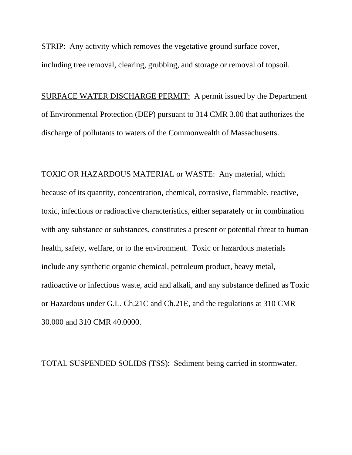STRIP: Any activity which removes the vegetative ground surface cover, including tree removal, clearing, grubbing, and storage or removal of topsoil.

SURFACE WATER DISCHARGE PERMIT: A permit issued by the Department of Environmental Protection (DEP) pursuant to 314 CMR 3.00 that authorizes the discharge of pollutants to waters of the Commonwealth of Massachusetts.

TOXIC OR HAZARDOUS MATERIAL or WASTE: Any material, which because of its quantity, concentration, chemical, corrosive, flammable, reactive, toxic, infectious or radioactive characteristics, either separately or in combination with any substance or substances, constitutes a present or potential threat to human health, safety, welfare, or to the environment. Toxic or hazardous materials include any synthetic organic chemical, petroleum product, heavy metal, radioactive or infectious waste, acid and alkali, and any substance defined as Toxic or Hazardous under G.L. Ch.21C and Ch.21E, and the regulations at 310 CMR 30.000 and 310 CMR 40.0000.

TOTAL SUSPENDED SOLIDS (TSS): Sediment being carried in stormwater.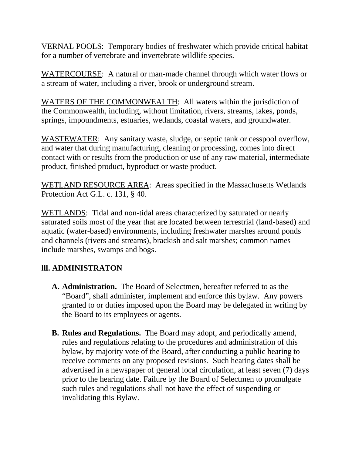VERNAL POOLS: Temporary bodies of freshwater which provide critical habitat for a number of vertebrate and invertebrate wildlife species.

WATERCOURSE: A natural or man-made channel through which water flows or a stream of water, including a river, brook or underground stream.

WATERS OF THE COMMONWEALTH: All waters within the jurisdiction of the Commonwealth, including, without limitation, rivers, streams, lakes, ponds, springs, impoundments, estuaries, wetlands, coastal waters, and groundwater.

WASTEWATER: Any sanitary waste, sludge, or septic tank or cesspool overflow, and water that during manufacturing, cleaning or processing, comes into direct contact with or results from the production or use of any raw material, intermediate product, finished product, byproduct or waste product.

WETLAND RESOURCE AREA: Areas specified in the Massachusetts Wetlands Protection Act G.L. c. 131, § 40.

WETLANDS: Tidal and non-tidal areas characterized by saturated or nearly saturated soils most of the year that are located between terrestrial (land-based) and aquatic (water-based) environments, including freshwater marshes around ponds and channels (rivers and streams), brackish and salt marshes; common names include marshes, swamps and bogs.

## **lll. ADMINISTRATON**

- **A. Administration.** The Board of Selectmen, hereafter referred to as the "Board", shall administer, implement and enforce this bylaw. Any powers granted to or duties imposed upon the Board may be delegated in writing by the Board to its employees or agents.
- **B. Rules and Regulations.** The Board may adopt, and periodically amend, rules and regulations relating to the procedures and administration of this bylaw, by majority vote of the Board, after conducting a public hearing to receive comments on any proposed revisions. Such hearing dates shall be advertised in a newspaper of general local circulation, at least seven (7) days prior to the hearing date. Failure by the Board of Selectmen to promulgate such rules and regulations shall not have the effect of suspending or invalidating this Bylaw.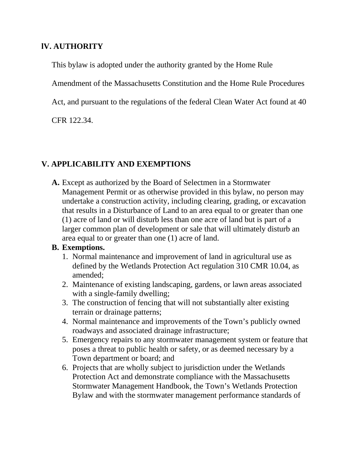### **lV. AUTHORITY**

This bylaw is adopted under the authority granted by the Home Rule

Amendment of the Massachusetts Constitution and the Home Rule Procedures

Act, and pursuant to the regulations of the federal Clean Water Act found at 40

CFR 122.34.

### **V. APPLICABILITY AND EXEMPTIONS**

**A.** Except as authorized by the Board of Selectmen in a Stormwater Management Permit or as otherwise provided in this bylaw, no person may undertake a construction activity, including clearing, grading, or excavation that results in a Disturbance of Land to an area equal to or greater than one (1) acre of land or will disturb less than one acre of land but is part of a larger common plan of development or sale that will ultimately disturb an area equal to or greater than one (1) acre of land.

### **B. Exemptions.**

- 1. Normal maintenance and improvement of land in agricultural use as defined by the Wetlands Protection Act regulation 310 CMR 10.04, as amended;
- 2. Maintenance of existing landscaping, gardens, or lawn areas associated with a single-family dwelling;
- 3. The construction of fencing that will not substantially alter existing terrain or drainage patterns;
- 4. Normal maintenance and improvements of the Town's publicly owned roadways and associated drainage infrastructure;
- 5. Emergency repairs to any stormwater management system or feature that poses a threat to public health or safety, or as deemed necessary by a Town department or board; and
- 6. Projects that are wholly subject to jurisdiction under the Wetlands Protection Act and demonstrate compliance with the Massachusetts Stormwater Management Handbook, the Town's Wetlands Protection Bylaw and with the stormwater management performance standards of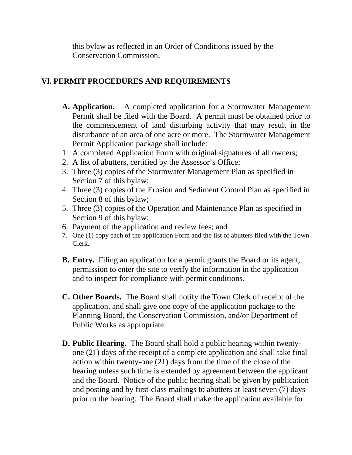this bylaw as reflected in an Order of Conditions issued by the Conservation Commission.

### **Vl. PERMIT PROCEDURES AND REQUIREMENTS**

- **A. Application.** A completed application for a Stormwater Management Permit shall be filed with the Board. A permit must be obtained prior to the commencement of land disturbing activity that may result in the disturbance of an area of one acre or more.The Stormwater Management Permit Application package shall include:
- 1. A completed Application Form with original signatures of all owners;
- 2. A list of abutters, certified by the Assessor's Office;
- 3. Three (3) copies of the Stormwater Management Plan as specified in Section 7 of this bylaw;
- 4. Three (3) copies of the Erosion and Sediment Control Plan as specified in Section 8 of this bylaw;
- 5. Three (3) copies of the Operation and Maintenance Plan as specified in Section 9 of this bylaw;
- 6. Payment of the application and review fees; and
- 7. One (1) copy each of the application Form and the list of abutters filed with the Town Clerk.
- **B. Entry.** Filing an application for a permit grants the Board or its agent, permission to enter the site to verify the information in the application and to inspect for compliance with permit conditions.
- **C. Other Boards.** The Board shall notify the Town Clerk of receipt of the application, and shall give one copy of the application package to the Planning Board, the Conservation Commission, and/or Department of Public Works as appropriate.
- **D. Public Hearing.** The Board shall hold a public hearing within twentyone (21) days of the receipt of a complete application and shall take final action within twenty-one (21) days from the time of the close of the hearing unless such time is extended by agreement between the applicant and the Board. Notice of the public hearing shall be given by publication and posting and by first-class mailings to abutters at least seven (7) days prior to the hearing. The Board shall make the application available for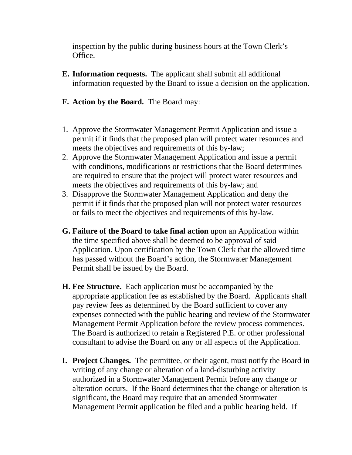inspection by the public during business hours at the Town Clerk's Office.

- **E. Information requests.** The applicant shall submit all additional information requested by the Board to issue a decision on the application.
- **F. Action by the Board.** The Board may:
- 1. Approve the Stormwater Management Permit Application and issue a permit if it finds that the proposed plan will protect water resources and meets the objectives and requirements of this by-law;
- 2. Approve the Stormwater Management Application and issue a permit with conditions, modifications or restrictions that the Board determines are required to ensure that the project will protect water resources and meets the objectives and requirements of this by-law; and
- 3. Disapprove the Stormwater Management Application and deny the permit if it finds that the proposed plan will not protect water resources or fails to meet the objectives and requirements of this by-law.
- **G. Failure of the Board to take final action** upon an Application within the time specified above shall be deemed to be approval of said Application. Upon certification by the Town Clerk that the allowed time has passed without the Board's action, the Stormwater Management Permit shall be issued by the Board.
- **H. Fee Structure.** Each application must be accompanied by the appropriate application fee as established by the Board. Applicants shall pay review fees as determined by the Board sufficient to cover any expenses connected with the public hearing and review of the Stormwater Management Permit Application before the review process commences. The Board is authorized to retain a Registered P.E. or other professional consultant to advise the Board on any or all aspects of the Application.
- **I. Project Changes.** The permittee, or their agent, must notify the Board in writing of any change or alteration of a land-disturbing activity authorized in a Stormwater Management Permit before any change or alteration occurs. If the Board determines that the change or alteration is significant, the Board may require that an amended Stormwater Management Permit application be filed and a public hearing held. If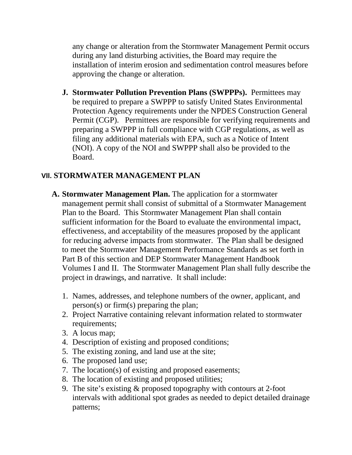any change or alteration from the Stormwater Management Permit occurs during any land disturbing activities, the Board may require the installation of interim erosion and sedimentation control measures before approving the change or alteration.

**J. Stormwater Pollution Prevention Plans (SWPPPs).** Permittees may be required to prepare a SWPPP to satisfy United States Environmental Protection Agency requirements under the NPDES Construction General Permit (CGP). Permittees are responsible for verifying requirements and preparing a SWPPP in full compliance with CGP regulations, as well as filing any additional materials with EPA, such as a Notice of Intent (NOI). A copy of the NOI and SWPPP shall also be provided to the Board.

### **Vll. STORMWATER MANAGEMENT PLAN**

- **A. Stormwater Management Plan.** The application for a stormwater management permit shall consist of submittal of a Stormwater Management Plan to the Board. This Stormwater Management Plan shall contain sufficient information for the Board to evaluate the environmental impact, effectiveness, and acceptability of the measures proposed by the applicant for reducing adverse impacts from stormwater. The Plan shall be designed to meet the Stormwater Management Performance Standards as set forth in Part B of this section and DEP Stormwater Management Handbook Volumes I and II. The Stormwater Management Plan shall fully describe the project in drawings, and narrative. It shall include:
	- 1. Names, addresses, and telephone numbers of the owner, applicant, and person(s) or firm(s) preparing the plan;
	- 2. Project Narrative containing relevant information related to stormwater requirements;
	- 3. A locus map;
	- 4. Description of existing and proposed conditions;
	- 5. The existing zoning, and land use at the site;
	- 6. The proposed land use;
	- 7. The location(s) of existing and proposed easements;
	- 8. The location of existing and proposed utilities;
	- 9. The site's existing & proposed topography with contours at 2-foot intervals with additional spot grades as needed to depict detailed drainage patterns;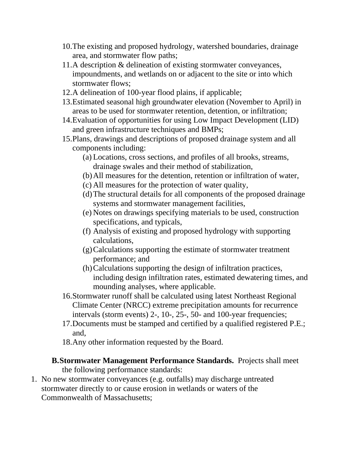- 10.The existing and proposed hydrology, watershed boundaries, drainage area, and stormwater flow paths;
- 11.A description & delineation of existing stormwater conveyances, impoundments, and wetlands on or adjacent to the site or into which stormwater flows;
- 12.A delineation of 100-year flood plains, if applicable;
- 13.Estimated seasonal high groundwater elevation (November to April) in areas to be used for stormwater retention, detention, or infiltration;
- 14.Evaluation of opportunities for using Low Impact Development (LID) and green infrastructure techniques and BMPs;
- 15.Plans, drawings and descriptions of proposed drainage system and all components including:
	- (a) Locations, cross sections, and profiles of all brooks, streams, drainage swales and their method of stabilization,
	- (b)All measures for the detention, retention or infiltration of water,
	- (c) All measures for the protection of water quality,
	- (d)The structural details for all components of the proposed drainage systems and stormwater management facilities,
	- (e) Notes on drawings specifying materials to be used, construction specifications, and typicals,
	- (f) Analysis of existing and proposed hydrology with supporting calculations,
	- (g)Calculations supporting the estimate of stormwater treatment performance; and
	- (h)Calculations supporting the design of infiltration practices, including design infiltration rates, estimated dewatering times, and mounding analyses, where applicable.
- 16.Stormwater runoff shall be calculated using latest Northeast Regional Climate Center (NRCC) extreme precipitation amounts for recurrence intervals (storm events) 2-, 10-, 25-, 50- and 100-year frequencies;
- 17.Documents must be stamped and certified by a qualified registered P.E.; and,
- 18.Any other information requested by the Board.
- **B.Stormwater Management Performance Standards.** Projects shall meet the following performance standards:
- 1. No new stormwater conveyances (e.g. outfalls) may discharge untreated stormwater directly to or cause erosion in wetlands or waters of the Commonwealth of Massachusetts;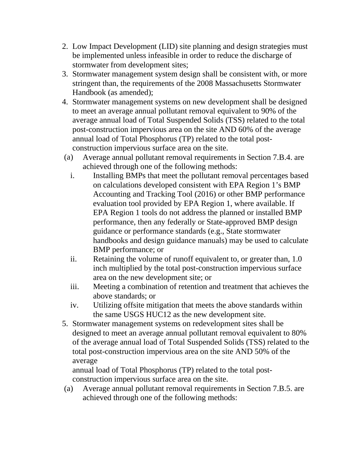- 2. Low Impact Development (LID) site planning and design strategies must be implemented unless infeasible in order to reduce the discharge of stormwater from development sites;
- 3. Stormwater management system design shall be consistent with, or more stringent than, the requirements of the 2008 Massachusetts Stormwater Handbook (as amended);
- 4. Stormwater management systems on new development shall be designed to meet an average annual pollutant removal equivalent to 90% of the average annual load of Total Suspended Solids (TSS) related to the total post-construction impervious area on the site AND 60% of the average annual load of Total Phosphorus (TP) related to the total postconstruction impervious surface area on the site.
- (a) Average annual pollutant removal requirements in Section 7.B.4. are achieved through one of the following methods:
	- i. Installing BMPs that meet the pollutant removal percentages based on calculations developed consistent with EPA Region 1's BMP Accounting and Tracking Tool (2016) or other BMP performance evaluation tool provided by EPA Region 1, where available. If EPA Region 1 tools do not address the planned or installed BMP performance, then any federally or State-approved BMP design guidance or performance standards (e.g., State stormwater handbooks and design guidance manuals) may be used to calculate BMP performance; or
	- ii. Retaining the volume of runoff equivalent to, or greater than, 1.0 inch multiplied by the total post-construction impervious surface area on the new development site; or
	- iii. Meeting a combination of retention and treatment that achieves the above standards; or
	- iv. Utilizing offsite mitigation that meets the above standards within the same USGS HUC12 as the new development site.
- 5. Stormwater management systems on redevelopment sites shall be designed to meet an average annual pollutant removal equivalent to 80% of the average annual load of Total Suspended Solids (TSS) related to the total post-construction impervious area on the site AND 50% of the average

annual load of Total Phosphorus (TP) related to the total postconstruction impervious surface area on the site.

(a) Average annual pollutant removal requirements in Section 7.B.5. are achieved through one of the following methods: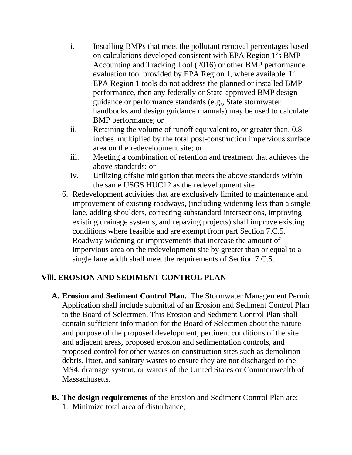- i. Installing BMPs that meet the pollutant removal percentages based on calculations developed consistent with EPA Region 1's BMP Accounting and Tracking Tool (2016) or other BMP performance evaluation tool provided by EPA Region 1, where available. If EPA Region 1 tools do not address the planned or installed BMP performance, then any federally or State-approved BMP design guidance or performance standards (e.g., State stormwater handbooks and design guidance manuals) may be used to calculate BMP performance; or
- ii. Retaining the volume of runoff equivalent to, or greater than, 0.8 inches multiplied by the total post-construction impervious surface area on the redevelopment site; or
- iii. Meeting a combination of retention and treatment that achieves the above standards; or
- iv. Utilizing offsite mitigation that meets the above standards within the same USGS HUC12 as the redevelopment site.
- 6. Redevelopment activities that are exclusively limited to maintenance and improvement of existing roadways, (including widening less than a single lane, adding shoulders, correcting substandard intersections, improving existing drainage systems, and repaving projects) shall improve existing conditions where feasible and are exempt from part Section 7.C.5. Roadway widening or improvements that increase the amount of impervious area on the redevelopment site by greater than or equal to a single lane width shall meet the requirements of Section 7.C.5.

## **Vlll. EROSION AND SEDIMENT CONTROL PLAN**

- **A. Erosion and Sediment Control Plan.** The Stormwater Management Permit Application shall include submittal of an Erosion and Sediment Control Plan to the Board of Selectmen. This Erosion and Sediment Control Plan shall contain sufficient information for the Board of Selectmen about the nature and purpose of the proposed development, pertinent conditions of the site and adjacent areas, proposed erosion and sedimentation controls, and proposed control for other wastes on construction sites such as demolition debris, litter, and sanitary wastes to ensure they are not discharged to the MS4, drainage system, or waters of the United States or Commonwealth of Massachusetts.
- **B. The design requirements** of the Erosion and Sediment Control Plan are: 1. Minimize total area of disturbance;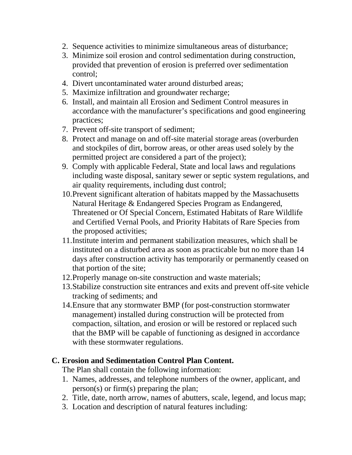- 2. Sequence activities to minimize simultaneous areas of disturbance;
- 3. Minimize soil erosion and control sedimentation during construction, provided that prevention of erosion is preferred over sedimentation control;
- 4. Divert uncontaminated water around disturbed areas;
- 5. Maximize infiltration and groundwater recharge;
- 6. Install, and maintain all Erosion and Sediment Control measures in accordance with the manufacturer's specifications and good engineering practices;
- 7. Prevent off-site transport of sediment;
- 8. Protect and manage on and off-site material storage areas (overburden and stockpiles of dirt, borrow areas, or other areas used solely by the permitted project are considered a part of the project);
- 9. Comply with applicable Federal, State and local laws and regulations including waste disposal, sanitary sewer or septic system regulations, and air quality requirements, including dust control;
- 10.Prevent significant alteration of habitats mapped by the Massachusetts Natural Heritage & Endangered Species Program as Endangered, Threatened or Of Special Concern, Estimated Habitats of Rare Wildlife and Certified Vernal Pools, and Priority Habitats of Rare Species from the proposed activities;
- 11.Institute interim and permanent stabilization measures, which shall be instituted on a disturbed area as soon as practicable but no more than 14 days after construction activity has temporarily or permanently ceased on that portion of the site;
- 12.Properly manage on-site construction and waste materials;
- 13.Stabilize construction site entrances and exits and prevent off-site vehicle tracking of sediments; and
- 14.Ensure that any stormwater BMP (for post-construction stormwater management) installed during construction will be protected from compaction, siltation, and erosion or will be restored or replaced such that the BMP will be capable of functioning as designed in accordance with these stormwater regulations.

## **C. Erosion and Sedimentation Control Plan Content.**

The Plan shall contain the following information:

- 1. Names, addresses, and telephone numbers of the owner, applicant, and person(s) or firm(s) preparing the plan;
- 2. Title, date, north arrow, names of abutters, scale, legend, and locus map;
- 3. Location and description of natural features including: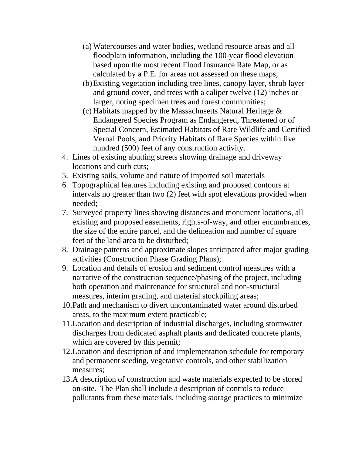- (a) Watercourses and water bodies, wetland resource areas and all floodplain information, including the 100-year flood elevation based upon the most recent Flood Insurance Rate Map, or as calculated by a P.E. for areas not assessed on these maps;
- (b)Existing vegetation including tree lines, canopy layer, shrub layer and ground cover, and trees with a caliper twelve (12) inches or larger, noting specimen trees and forest communities;
- (c) Habitats mapped by the Massachusetts Natural Heritage & Endangered Species Program as Endangered, Threatened or of Special Concern, Estimated Habitats of Rare Wildlife and Certified Vernal Pools, and Priority Habitats of Rare Species within five hundred (500) feet of any construction activity.
- 4. Lines of existing abutting streets showing drainage and driveway locations and curb cuts;
- 5. Existing soils, volume and nature of imported soil materials
- 6. Topographical features including existing and proposed contours at intervals no greater than two (2) feet with spot elevations provided when needed;
- 7. Surveyed property lines showing distances and monument locations, all existing and proposed easements, rights-of-way, and other encumbrances, the size of the entire parcel, and the delineation and number of square feet of the land area to be disturbed;
- 8. Drainage patterns and approximate slopes anticipated after major grading activities (Construction Phase Grading Plans);
- 9. Location and details of erosion and sediment control measures with a narrative of the construction sequence/phasing of the project, including both operation and maintenance for structural and non-structural measures, interim grading, and material stockpiling areas;
- 10.Path and mechanism to divert uncontaminated water around disturbed areas, to the maximum extent practicable;
- 11.Location and description of industrial discharges, including stormwater discharges from dedicated asphalt plants and dedicated concrete plants, which are covered by this permit;
- 12.Location and description of and implementation schedule for temporary and permanent seeding, vegetative controls, and other stabilization measures;
- 13.A description of construction and waste materials expected to be stored on-site. The Plan shall include a description of controls to reduce pollutants from these materials, including storage practices to minimize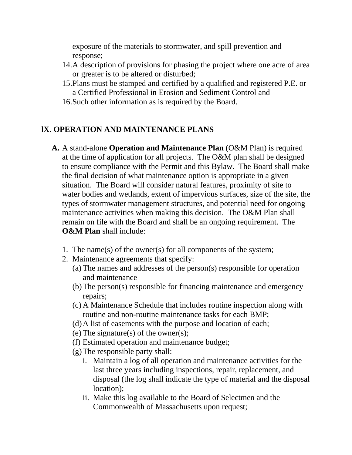exposure of the materials to stormwater, and spill prevention and response;

- 14.A description of provisions for phasing the project where one acre of area or greater is to be altered or disturbed;
- 15.Plans must be stamped and certified by a qualified and registered P.E. or a Certified Professional in Erosion and Sediment Control and
- 16.Such other information as is required by the Board.

### **lX. OPERATION AND MAINTENANCE PLANS**

- **A.** A stand-alone **Operation and Maintenance Plan** (O&M Plan) is required at the time of application for all projects. The O&M plan shall be designed to ensure compliance with the Permit and this Bylaw. The Board shall make the final decision of what maintenance option is appropriate in a given situation. The Board will consider natural features, proximity of site to water bodies and wetlands, extent of impervious surfaces, size of the site, the types of stormwater management structures, and potential need for ongoing maintenance activities when making this decision. The O&M Plan shall remain on file with the Board and shall be an ongoing requirement. The **O&M Plan** shall include:
	- 1. The name(s) of the owner(s) for all components of the system;
	- 2. Maintenance agreements that specify:
		- (a) The names and addresses of the person(s) responsible for operation and maintenance
		- (b)The person(s) responsible for financing maintenance and emergency repairs;
		- (c) A Maintenance Schedule that includes routine inspection along with routine and non-routine maintenance tasks for each BMP;
		- (d)A list of easements with the purpose and location of each;
		- (e) The signature(s) of the owner(s);
		- (f) Estimated operation and maintenance budget;
		- (g)The responsible party shall:
			- i. Maintain a log of all operation and maintenance activities for the last three years including inspections, repair, replacement, and disposal (the log shall indicate the type of material and the disposal location);
			- ii. Make this log available to the Board of Selectmen and the Commonwealth of Massachusetts upon request;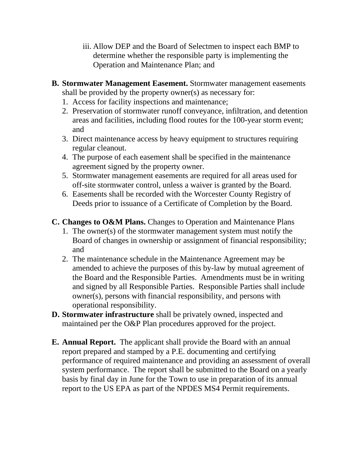- iii. Allow DEP and the Board of Selectmen to inspect each BMP to determine whether the responsible party is implementing the Operation and Maintenance Plan; and
- **B. Stormwater Management Easement.** Stormwater management easements shall be provided by the property owner(s) as necessary for:
	- 1. Access for facility inspections and maintenance;
	- 2. Preservation of stormwater runoff conveyance, infiltration, and detention areas and facilities, including flood routes for the 100-year storm event; and
	- 3. Direct maintenance access by heavy equipment to structures requiring regular cleanout.
	- 4. The purpose of each easement shall be specified in the maintenance agreement signed by the property owner.
	- 5. Stormwater management easements are required for all areas used for off-site stormwater control, unless a waiver is granted by the Board.
	- 6. Easements shall be recorded with the Worcester County Registry of Deeds prior to issuance of a Certificate of Completion by the Board.
- **C. Changes to O&M Plans.** Changes to Operation and Maintenance Plans
	- 1. The owner(s) of the stormwater management system must notify the Board of changes in ownership or assignment of financial responsibility; and
	- 2. The maintenance schedule in the Maintenance Agreement may be amended to achieve the purposes of this by-law by mutual agreement of the Board and the Responsible Parties. Amendments must be in writing and signed by all Responsible Parties. Responsible Parties shall include owner(s), persons with financial responsibility, and persons with operational responsibility.
- **D. Stormwater infrastructure** shall be privately owned, inspected and maintained per the O&P Plan procedures approved for the project.
- **E. Annual Report.** The applicant shall provide the Board with an annual report prepared and stamped by a P.E. documenting and certifying performance of required maintenance and providing an assessment of overall system performance. The report shall be submitted to the Board on a yearly basis by final day in June for the Town to use in preparation of its annual report to the US EPA as part of the NPDES MS4 Permit requirements.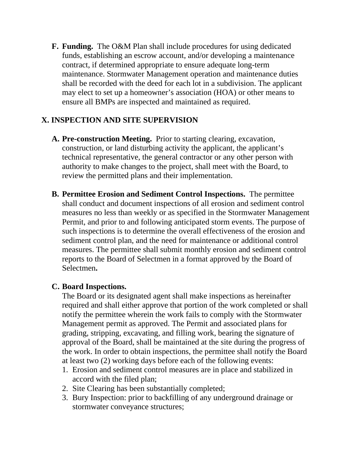**F. Funding.** The O&M Plan shall include procedures for using dedicated funds, establishing an escrow account, and/or developing a maintenance contract, if determined appropriate to ensure adequate long-term maintenance. Stormwater Management operation and maintenance duties shall be recorded with the deed for each lot in a subdivision. The applicant may elect to set up a homeowner's association (HOA) or other means to ensure all BMPs are inspected and maintained as required.

### **X. INSPECTION AND SITE SUPERVISION**

- **A. Pre-construction Meeting.** Prior to starting clearing, excavation, construction, or land disturbing activity the applicant, the applicant's technical representative, the general contractor or any other person with authority to make changes to the project, shall meet with the Board, to review the permitted plans and their implementation.
- **B. Permittee Erosion and Sediment Control Inspections.** The permittee shall conduct and document inspections of all erosion and sediment control measures no less than weekly or as specified in the Stormwater Management Permit, and prior to and following anticipated storm events. The purpose of such inspections is to determine the overall effectiveness of the erosion and sediment control plan, and the need for maintenance or additional control measures. The permittee shall submit monthly erosion and sediment control reports to the Board of Selectmen in a format approved by the Board of Selectmen**.**

### **C. Board Inspections.**

The Board or its designated agent shall make inspections as hereinafter required and shall either approve that portion of the work completed or shall notify the permittee wherein the work fails to comply with the Stormwater Management permit as approved. The Permit and associated plans for grading, stripping, excavating, and filling work, bearing the signature of approval of the Board, shall be maintained at the site during the progress of the work. In order to obtain inspections, the permittee shall notify the Board at least two (2) working days before each of the following events:

- 1. Erosion and sediment control measures are in place and stabilized in accord with the filed plan;
- 2. Site Clearing has been substantially completed;
- 3. Bury Inspection: prior to backfilling of any underground drainage or stormwater conveyance structures;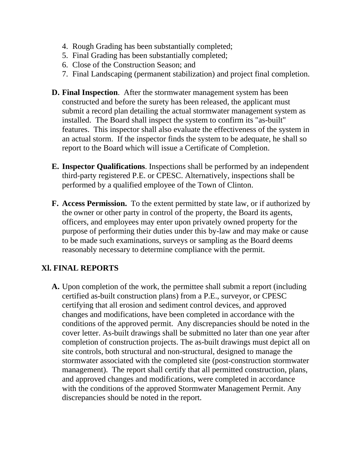- 4. Rough Grading has been substantially completed;
- 5. Final Grading has been substantially completed;
- 6. Close of the Construction Season; and
- 7. Final Landscaping (permanent stabilization) and project final completion.
- **D. Final Inspection**. After the stormwater management system has been constructed and before the surety has been released, the applicant must submit a record plan detailing the actual stormwater management system as installed. The Board shall inspect the system to confirm its "as-built" features. This inspector shall also evaluate the effectiveness of the system in an actual storm. If the inspector finds the system to be adequate, he shall so report to the Board which will issue a Certificate of Completion.
- **E. Inspector Qualifications**. Inspections shall be performed by an independent third-party registered P.E. or CPESC. Alternatively, inspections shall be performed by a qualified employee of the Town of Clinton.
- **F. Access Permission.** To the extent permitted by state law, or if authorized by the owner or other party in control of the property, the Board its agents, officers, and employees may enter upon privately owned property for the purpose of performing their duties under this by-law and may make or cause to be made such examinations, surveys or sampling as the Board deems reasonably necessary to determine compliance with the permit.

# **Xl. FINAL REPORTS**

**A.** Upon completion of the work, the permittee shall submit a report (including certified as-built construction plans) from a P.E., surveyor, or CPESC certifying that all erosion and sediment control devices, and approved changes and modifications, have been completed in accordance with the conditions of the approved permit. Any discrepancies should be noted in the cover letter. As-built drawings shall be submitted no later than one year after completion of construction projects. The as-built drawings must depict all on site controls, both structural and non-structural, designed to manage the stormwater associated with the completed site (post-construction stormwater management). The report shall certify that all permitted construction, plans, and approved changes and modifications, were completed in accordance with the conditions of the approved Stormwater Management Permit. Any discrepancies should be noted in the report.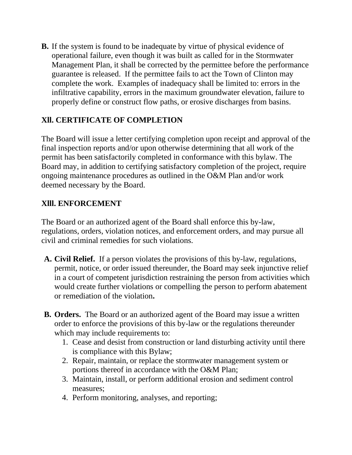**B.** If the system is found to be inadequate by virtue of physical evidence of operational failure, even though it was built as called for in the Stormwater Management Plan, it shall be corrected by the permittee before the performance guarantee is released. If the permittee fails to act the Town of Clinton may complete the work. Examples of inadequacy shall be limited to: errors in the infiltrative capability, errors in the maximum groundwater elevation, failure to properly define or construct flow paths, or erosive discharges from basins.

### **Xll. CERTIFICATE OF COMPLETION**

The Board will issue a letter certifying completion upon receipt and approval of the final inspection reports and/or upon otherwise determining that all work of the permit has been satisfactorily completed in conformance with this bylaw. The Board may, in addition to certifying satisfactory completion of the project, require ongoing maintenance procedures as outlined in the O&M Plan and/or work deemed necessary by the Board.

### **Xlll. ENFORCEMENT**

The Board or an authorized agent of the Board shall enforce this by-law, regulations, orders, violation notices, and enforcement orders, and may pursue all civil and criminal remedies for such violations.

- **A. Civil Relief.** If a person violates the provisions of this by-law, regulations, permit, notice, or order issued thereunder, the Board may seek injunctive relief in a court of competent jurisdiction restraining the person from activities which would create further violations or compelling the person to perform abatement or remediation of the violation**.**
- **B. Orders.** The Board or an authorized agent of the Board may issue a written order to enforce the provisions of this by-law or the regulations thereunder which may include requirements to:
	- 1. Cease and desist from construction or land disturbing activity until there is compliance with this Bylaw;
	- 2. Repair, maintain, or replace the stormwater management system or portions thereof in accordance with the O&M Plan;
	- 3. Maintain, install, or perform additional erosion and sediment control measures;
	- 4. Perform monitoring, analyses, and reporting;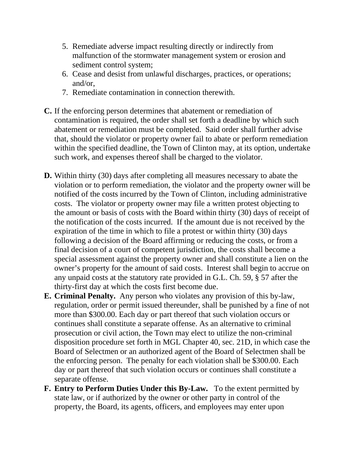- 5. Remediate adverse impact resulting directly or indirectly from malfunction of the stormwater management system or erosion and sediment control system;
- 6. Cease and desist from unlawful discharges, practices, or operations; and/or,
- 7. Remediate contamination in connection therewith.
- **C.** If the enforcing person determines that abatement or remediation of contamination is required, the order shall set forth a deadline by which such abatement or remediation must be completed. Said order shall further advise that, should the violator or property owner fail to abate or perform remediation within the specified deadline, the Town of Clinton may, at its option, undertake such work, and expenses thereof shall be charged to the violator.
- **D.** Within thirty (30) days after completing all measures necessary to abate the violation or to perform remediation, the violator and the property owner will be notified of the costs incurred by the Town of Clinton, including administrative costs. The violator or property owner may file a written protest objecting to the amount or basis of costs with the Board within thirty (30) days of receipt of the notification of the costs incurred. If the amount due is not received by the expiration of the time in which to file a protest or within thirty (30) days following a decision of the Board affirming or reducing the costs, or from a final decision of a court of competent jurisdiction, the costs shall become a special assessment against the property owner and shall constitute a lien on the owner's property for the amount of said costs. Interest shall begin to accrue on any unpaid costs at the statutory rate provided in G.L. Ch. 59, § 57 after the thirty-first day at which the costs first become due.
- **E. Criminal Penalty.** Any person who violates any provision of this by-law, regulation, order or permit issued thereunder, shall be punished by a fine of not more than \$300.00. Each day or part thereof that such violation occurs or continues shall constitute a separate offense. As an alternative to criminal prosecution or civil action, the Town may elect to utilize the non-criminal disposition procedure set forth in MGL Chapter 40, sec. 21D, in which case the Board of Selectmen or an authorized agent of the Board of Selectmen shall be the enforcing person. The penalty for each violation shall be \$300.00. Each day or part thereof that such violation occurs or continues shall constitute a separate offense.
- **F. Entry to Perform Duties Under this By-Law.** To the extent permitted by state law, or if authorized by the owner or other party in control of the property, the Board, its agents, officers, and employees may enter upon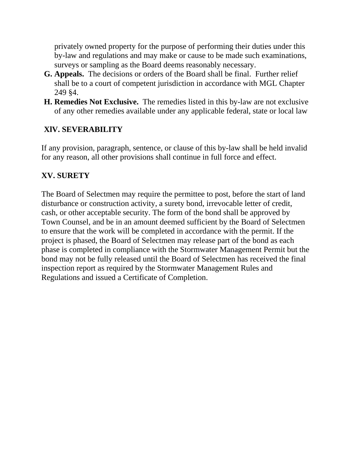privately owned property for the purpose of performing their duties under this by-law and regulations and may make or cause to be made such examinations, surveys or sampling as the Board deems reasonably necessary.

- **G. Appeals.** The decisions or orders of the Board shall be final. Further relief shall be to a court of competent jurisdiction in accordance with MGL Chapter 249 §4.
- **H. Remedies Not Exclusive.** The remedies listed in this by-law are not exclusive of any other remedies available under any applicable federal, state or local law

### **XlV. SEVERABILITY**

If any provision, paragraph, sentence, or clause of this by-law shall be held invalid for any reason, all other provisions shall continue in full force and effect.

### **XV. SURETY**

The Board of Selectmen may require the permittee to post, before the start of land disturbance or construction activity, a surety bond, irrevocable letter of credit, cash, or other acceptable security. The form of the bond shall be approved by Town Counsel, and be in an amount deemed sufficient by the Board of Selectmen to ensure that the work will be completed in accordance with the permit. If the project is phased, the Board of Selectmen may release part of the bond as each phase is completed in compliance with the Stormwater Management Permit but the bond may not be fully released until the Board of Selectmen has received the final inspection report as required by the Stormwater Management Rules and Regulations and issued a Certificate of Completion.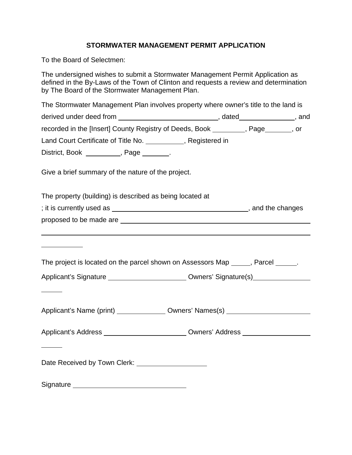#### **STORMWATER MANAGEMENT PERMIT APPLICATION**

To the Board of Selectmen:

The undersigned wishes to submit a Stormwater Management Permit Application as defined in the By-Laws of the Town of Clinton and requests a review and determination by The Board of the Stormwater Management Plan.

The Stormwater Management Plan involves property where owner's title to the land is derived under deed from \_\_\_\_\_\_\_\_\_\_\_\_\_\_\_\_\_\_\_\_\_\_\_\_\_\_\_\_\_\_\_\_\_, dated\_\_\_\_\_\_\_\_\_\_\_\_\_\_\_\_, and recorded in the [Insert] County Registry of Deeds, Book \_\_\_\_\_\_\_, Page\_\_\_\_\_\_, or Land Court Certificate of Title No. \_\_\_\_\_\_\_\_\_\_\_, Registered in District, Book \_\_\_\_\_\_\_\_, Page \_\_\_\_\_\_. Give a brief summary of the nature of the project.

The property (building) is described as being located at

; it is currently used as , and the changes

| proposed to be made are |  |
|-------------------------|--|
|                         |  |

| The project is located on the parcel shown on Assessors Map<br>. Parcel |
|-------------------------------------------------------------------------|
|-------------------------------------------------------------------------|

| Applicant's Signature<br>Owners' Signature(s) |  |
|-----------------------------------------------|--|
|-----------------------------------------------|--|

Applicant's Name (print) Owners' Names(s)

Applicant's Address Owners' Address

Date Received by Town Clerk: University of Received by Town Clerk:

Signature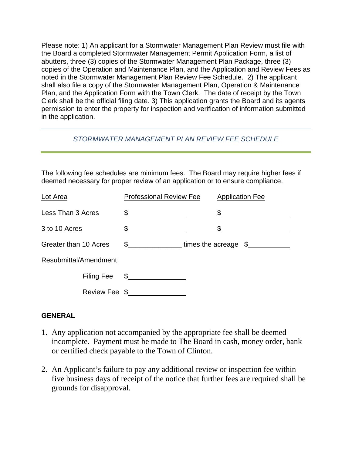Please note: 1) An applicant for a Stormwater Management Plan Review must file with the Board a completed Stormwater Management Permit Application Form, a list of abutters, three (3) copies of the Stormwater Management Plan Package, three (3) copies of the Operation and Maintenance Plan, and the Application and Review Fees as noted in the Stormwater Management Plan Review Fee Schedule. 2) The applicant shall also file a copy of the Stormwater Management Plan, Operation & Maintenance Plan, and the Application Form with the Town Clerk. The date of receipt by the Town Clerk shall be the official filing date. 3) This application grants the Board and its agents permission to enter the property for inspection and verification of information submitted in the application.

#### *STORMWATER MANAGEMENT PLAN REVIEW FEE SCHEDULE*

The following fee schedules are minimum fees. The Board may require higher fees if deemed necessary for proper review of an application or to ensure compliance.

| Lot Area              |               | <b>Professional Review Fee</b>                                                                                                                                                                                                                                                                                                                                                                                                  | <b>Application Fee</b>    |
|-----------------------|---------------|---------------------------------------------------------------------------------------------------------------------------------------------------------------------------------------------------------------------------------------------------------------------------------------------------------------------------------------------------------------------------------------------------------------------------------|---------------------------|
| Less Than 3 Acres     |               | $\frac{1}{2}$                                                                                                                                                                                                                                                                                                                                                                                                                   |                           |
| 3 to 10 Acres         |               | $\frac{1}{\sqrt{1-\frac{1}{2}}}\frac{1}{\sqrt{1-\frac{1}{2}}}\frac{1}{\sqrt{1-\frac{1}{2}}}\frac{1}{\sqrt{1-\frac{1}{2}}}\frac{1}{\sqrt{1-\frac{1}{2}}}\frac{1}{\sqrt{1-\frac{1}{2}}}\frac{1}{\sqrt{1-\frac{1}{2}}}\frac{1}{\sqrt{1-\frac{1}{2}}}\frac{1}{\sqrt{1-\frac{1}{2}}}\frac{1}{\sqrt{1-\frac{1}{2}}}\frac{1}{\sqrt{1-\frac{1}{2}}}\frac{1}{\sqrt{1-\frac{1}{2}}}\frac{1}{\sqrt{1-\frac{1}{2}}}\frac{1}{\sqrt{1-\frac{$ |                           |
| Greater than 10 Acres |               | $\frac{1}{2}$                                                                                                                                                                                                                                                                                                                                                                                                                   | times the acreage $\,$ \$ |
| Resubmittal/Amendment |               |                                                                                                                                                                                                                                                                                                                                                                                                                                 |                           |
|                       | Filing Fee    | $\mathfrak{S}$                                                                                                                                                                                                                                                                                                                                                                                                                  |                           |
|                       | Review Fee \$ |                                                                                                                                                                                                                                                                                                                                                                                                                                 |                           |

#### **GENERAL**

- 1. Any application not accompanied by the appropriate fee shall be deemed incomplete. Payment must be made to The Board in cash, money order, bank or certified check payable to the Town of Clinton.
- 2. An Applicant's failure to pay any additional review or inspection fee within five business days of receipt of the notice that further fees are required shall be grounds for disapproval.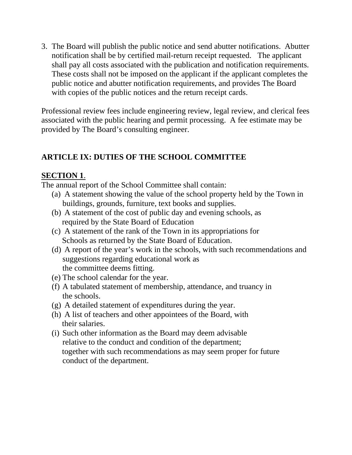3. The Board will publish the public notice and send abutter notifications. Abutter notification shall be by certified mail-return receipt requested. The applicant shall pay all costs associated with the publication and notification requirements. These costs shall not be imposed on the applicant if the applicant completes the public notice and abutter notification requirements, and provides The Board with copies of the public notices and the return receipt cards.

Professional review fees include engineering review, legal review, and clerical fees associated with the public hearing and permit processing. A fee estimate may be provided by The Board's consulting engineer.

## **ARTICLE IX: DUTIES OF THE SCHOOL COMMITTEE**

### **SECTION 1**.

The annual report of the School Committee shall contain:

- (a) A statement showing the value of the school property held by the Town in buildings, grounds, furniture, text books and supplies.
- (b) A statement of the cost of public day and evening schools, as required by the State Board of Education
- (c) A statement of the rank of the Town in its appropriations for Schools as returned by the State Board of Education.
- (d) A report of the year's work in the schools, with such recommendations and suggestions regarding educational work as the committee deems fitting.
- (e) The school calendar for the year.
- (f) A tabulated statement of membership, attendance, and truancy in the schools.
- (g) A detailed statement of expenditures during the year.
- (h) A list of teachers and other appointees of the Board, with their salaries.
- (i) Such other information as the Board may deem advisable relative to the conduct and condition of the department; together with such recommendations as may seem proper for future conduct of the department.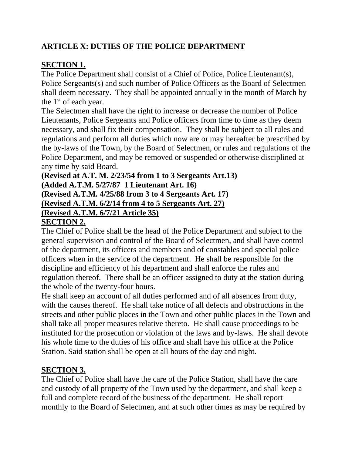## **ARTICLE X: DUTIES OF THE POLICE DEPARTMENT**

## **SECTION 1.**

The Police Department shall consist of a Chief of Police, Police Lieutenant(s), Police Sergeants(s) and such number of Police Officers as the Board of Selectmen shall deem necessary. They shall be appointed annually in the month of March by the 1st of each year.

The Selectmen shall have the right to increase or decrease the number of Police Lieutenants, Police Sergeants and Police officers from time to time as they deem necessary, and shall fix their compensation. They shall be subject to all rules and regulations and perform all duties which now are or may hereafter be prescribed by the by-laws of the Town, by the Board of Selectmen, or rules and regulations of the Police Department, and may be removed or suspended or otherwise disciplined at any time by said Board.

**(Revised at A.T. M. 2/23/54 from 1 to 3 Sergeants Art.13) (Added A.T.M. 5/27/87 1 Lieutenant Art. 16) (Revised A.T.M. 4/25/88 from 3 to 4 Sergeants Art. 17) (Revised A.T.M. 6/2/14 from 4 to 5 Sergeants Art. 27) (Revised A.T.M. 6/7/21 Article 35) SECTION 2.**

The Chief of Police shall be the head of the Police Department and subject to the general supervision and control of the Board of Selectmen, and shall have control of the department, its officers and members and of constables and special police officers when in the service of the department. He shall be responsible for the discipline and efficiency of his department and shall enforce the rules and regulation thereof. There shall be an officer assigned to duty at the station during the whole of the twenty-four hours.

He shall keep an account of all duties performed and of all absences from duty, with the causes thereof. He shall take notice of all defects and obstructions in the streets and other public places in the Town and other public places in the Town and shall take all proper measures relative thereto. He shall cause proceedings to be instituted for the prosecution or violation of the laws and by-laws. He shall devote his whole time to the duties of his office and shall have his office at the Police Station. Said station shall be open at all hours of the day and night.

## **SECTION 3.**

The Chief of Police shall have the care of the Police Station, shall have the care and custody of all property of the Town used by the department, and shall keep a full and complete record of the business of the department. He shall report monthly to the Board of Selectmen, and at such other times as may be required by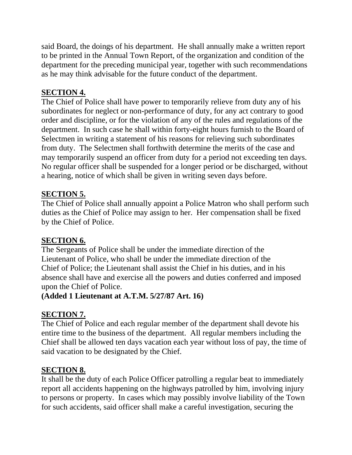said Board, the doings of his department. He shall annually make a written report to be printed in the Annual Town Report, of the organization and condition of the department for the preceding municipal year, together with such recommendations as he may think advisable for the future conduct of the department.

## **SECTION 4.**

The Chief of Police shall have power to temporarily relieve from duty any of his subordinates for neglect or non-performance of duty, for any act contrary to good order and discipline, or for the violation of any of the rules and regulations of the department. In such case he shall within forty-eight hours furnish to the Board of Selectmen in writing a statement of his reasons for relieving such subordinates from duty. The Selectmen shall forthwith determine the merits of the case and may temporarily suspend an officer from duty for a period not exceeding ten days. No regular officer shall be suspended for a longer period or be discharged, without a hearing, notice of which shall be given in writing seven days before.

## **SECTION 5.**

The Chief of Police shall annually appoint a Police Matron who shall perform such duties as the Chief of Police may assign to her. Her compensation shall be fixed by the Chief of Police.

## **SECTION 6.**

The Sergeants of Police shall be under the immediate direction of the Lieutenant of Police, who shall be under the immediate direction of the Chief of Police; the Lieutenant shall assist the Chief in his duties, and in his absence shall have and exercise all the powers and duties conferred and imposed upon the Chief of Police.

### **(Added 1 Lieutenant at A.T.M. 5/27/87 Art. 16)**

### **SECTION 7.**

The Chief of Police and each regular member of the department shall devote his entire time to the business of the department. All regular members including the Chief shall be allowed ten days vacation each year without loss of pay, the time of said vacation to be designated by the Chief.

### **SECTION 8.**

It shall be the duty of each Police Officer patrolling a regular beat to immediately report all accidents happening on the highways patrolled by him, involving injury to persons or property. In cases which may possibly involve liability of the Town for such accidents, said officer shall make a careful investigation, securing the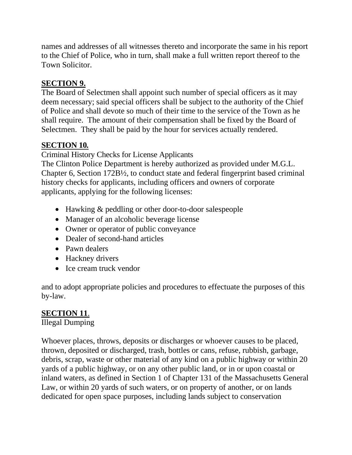names and addresses of all witnesses thereto and incorporate the same in his report to the Chief of Police, who in turn, shall make a full written report thereof to the Town Solicitor.

## **SECTION 9.**

The Board of Selectmen shall appoint such number of special officers as it may deem necessary; said special officers shall be subject to the authority of the Chief of Police and shall devote so much of their time to the service of the Town as he shall require. The amount of their compensation shall be fixed by the Board of Selectmen. They shall be paid by the hour for services actually rendered.

## **SECTION 10***.*

Criminal History Checks for License Applicants

The Clinton Police Department is hereby authorized as provided under M.G.L. Chapter 6, Section 172B½, to conduct state and federal fingerprint based criminal history checks for applicants, including officers and owners of corporate applicants, applying for the following licenses:

- Hawking & peddling or other door-to-door salespeople
- Manager of an alcoholic beverage license
- Owner or operator of public conveyance
- Dealer of second-hand articles
- Pawn dealers
- Hackney drivers
- Ice cream truck vendor

and to adopt appropriate policies and procedures to effectuate the purposes of this by-law.

# **SECTION 11**.

Illegal Dumping

Whoever places, throws, deposits or discharges or whoever causes to be placed, thrown, deposited or discharged, trash, bottles or cans, refuse, rubbish, garbage, debris, scrap, waste or other material of any kind on a public highway or within 20 yards of a public highway, or on any other public land, or in or upon coastal or inland waters, as defined in Section 1 of Chapter 131 of the Massachusetts General Law, or within 20 yards of such waters, or on property of another, or on lands dedicated for open space purposes, including lands subject to conservation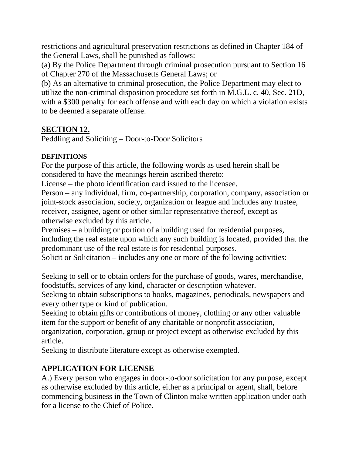restrictions and agricultural preservation restrictions as defined in Chapter 184 of the General Laws, shall be punished as follows:

(a) By the Police Department through criminal prosecution pursuant to Section 16 of Chapter 270 of the Massachusetts General Laws; or

(b) As an alternative to criminal prosecution, the Police Department may elect to utilize the non-criminal disposition procedure set forth in M.G.L. c. 40, Sec. 21D, with a \$300 penalty for each offense and with each day on which a violation exists to be deemed a separate offense.

### **SECTION 12.**

Peddling and Soliciting – Door-to-Door Solicitors

#### **DEFINITIONS**

For the purpose of this article, the following words as used herein shall be considered to have the meanings herein ascribed thereto:

License – the photo identification card issued to the licensee.

Person – any individual, firm, co-partnership, corporation, company, association or joint-stock association, society, organization or league and includes any trustee, receiver, assignee, agent or other similar representative thereof, except as otherwise excluded by this article.

Premises – a building or portion of a building used for residential purposes, including the real estate upon which any such building is located, provided that the predominant use of the real estate is for residential purposes.

Solicit or Solicitation – includes any one or more of the following activities:

Seeking to sell or to obtain orders for the purchase of goods, wares, merchandise, foodstuffs, services of any kind, character or description whatever.

Seeking to obtain subscriptions to books, magazines, periodicals, newspapers and every other type or kind of publication.

Seeking to obtain gifts or contributions of money, clothing or any other valuable item for the support or benefit of any charitable or nonprofit association,

organization, corporation, group or project except as otherwise excluded by this article.

Seeking to distribute literature except as otherwise exempted.

# **APPLICATION FOR LICENSE**

A.) Every person who engages in door-to-door solicitation for any purpose, except as otherwise excluded by this article, either as a principal or agent, shall, before commencing business in the Town of Clinton make written application under oath for a license to the Chief of Police.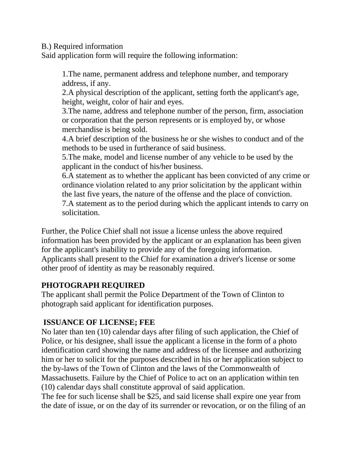B.) Required information

Said application form will require the following information:

1.The name, permanent address and telephone number, and temporary address, if any.

2.A physical description of the applicant, setting forth the applicant's age, height, weight, color of hair and eyes.

3.The name, address and telephone number of the person, firm, association or corporation that the person represents or is employed by, or whose merchandise is being sold.

4.A brief description of the business he or she wishes to conduct and of the methods to be used in furtherance of said business.

5.The make, model and license number of any vehicle to be used by the applicant in the conduct of his/her business.

6.A statement as to whether the applicant has been convicted of any crime or ordinance violation related to any prior solicitation by the applicant within the last five years, the nature of the offense and the place of conviction.

7.A statement as to the period during which the applicant intends to carry on solicitation.

Further, the Police Chief shall not issue a license unless the above required information has been provided by the applicant or an explanation has been given for the applicant's inability to provide any of the foregoing information. Applicants shall present to the Chief for examination a driver's license or some other proof of identity as may be reasonably required.

## **PHOTOGRAPH REQUIRED**

The applicant shall permit the Police Department of the Town of Clinton to photograph said applicant for identification purposes.

## **ISSUANCE OF LICENSE; FEE**

No later than ten (10) calendar days after filing of such application, the Chief of Police, or his designee, shall issue the applicant a license in the form of a photo identification card showing the name and address of the licensee and authorizing him or her to solicit for the purposes described in his or her application subject to the by-laws of the Town of Clinton and the laws of the Commonwealth of Massachusetts. Failure by the Chief of Police to act on an application within ten (10) calendar days shall constitute approval of said application.

The fee for such license shall be \$25, and said license shall expire one year from the date of issue, or on the day of its surrender or revocation, or on the filing of an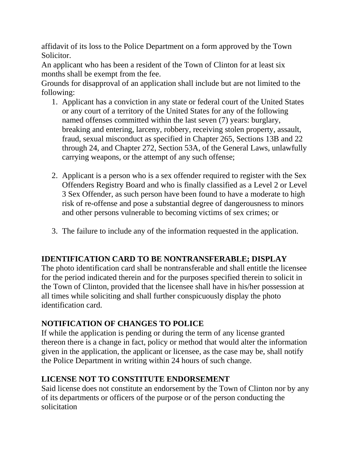affidavit of its loss to the Police Department on a form approved by the Town Solicitor.

An applicant who has been a resident of the Town of Clinton for at least six months shall be exempt from the fee.

Grounds for disapproval of an application shall include but are not limited to the following:

- 1. Applicant has a conviction in any state or federal court of the United States or any court of a territory of the United States for any of the following named offenses committed within the last seven (7) years: burglary, breaking and entering, larceny, robbery, receiving stolen property, assault, fraud, sexual misconduct as specified in Chapter 265, Sections 13B and 22 through 24, and Chapter 272, Section 53A, of the General Laws, unlawfully carrying weapons, or the attempt of any such offense;
- 2. Applicant is a person who is a sex offender required to register with the Sex Offenders Registry Board and who is finally classified as a Level 2 or Level 3 Sex Offender, as such person have been found to have a moderate to high risk of re-offense and pose a substantial degree of dangerousness to minors and other persons vulnerable to becoming victims of sex crimes; or
- 3. The failure to include any of the information requested in the application.

## **IDENTIFICATION CARD TO BE NONTRANSFERABLE; DISPLAY**

The photo identification card shall be nontransferable and shall entitle the licensee for the period indicated therein and for the purposes specified therein to solicit in the Town of Clinton, provided that the licensee shall have in his/her possession at all times while soliciting and shall further conspicuously display the photo identification card.

# **NOTIFICATION OF CHANGES TO POLICE**

If while the application is pending or during the term of any license granted thereon there is a change in fact, policy or method that would alter the information given in the application, the applicant or licensee, as the case may be, shall notify the Police Department in writing within 24 hours of such change.

## **LICENSE NOT TO CONSTITUTE ENDORSEMENT**

Said license does not constitute an endorsement by the Town of Clinton nor by any of its departments or officers of the purpose or of the person conducting the solicitation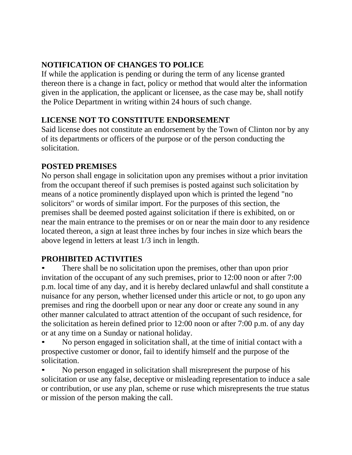# **NOTIFICATION OF CHANGES TO POLICE**

If while the application is pending or during the term of any license granted thereon there is a change in fact, policy or method that would alter the information given in the application, the applicant or licensee, as the case may be, shall notify the Police Department in writing within 24 hours of such change.

## **LICENSE NOT TO CONSTITUTE ENDORSEMENT**

Said license does not constitute an endorsement by the Town of Clinton nor by any of its departments or officers of the purpose or of the person conducting the solicitation.

## **POSTED PREMISES**

No person shall engage in solicitation upon any premises without a prior invitation from the occupant thereof if such premises is posted against such solicitation by means of a notice prominently displayed upon which is printed the legend "no solicitors" or words of similar import. For the purposes of this section, the premises shall be deemed posted against solicitation if there is exhibited, on or near the main entrance to the premises or on or near the main door to any residence located thereon, a sign at least three inches by four inches in size which bears the above legend in letters at least 1/3 inch in length.

# **PROHIBITED ACTIVITIES**

There shall be no solicitation upon the premises, other than upon prior invitation of the occupant of any such premises, prior to 12:00 noon or after 7:00 p.m. local time of any day, and it is hereby declared unlawful and shall constitute a nuisance for any person, whether licensed under this article or not, to go upon any premises and ring the doorbell upon or near any door or create any sound in any other manner calculated to attract attention of the occupant of such residence, for the solicitation as herein defined prior to 12:00 noon or after 7:00 p.m. of any day or at any time on a Sunday or national holiday.

• No person engaged in solicitation shall, at the time of initial contact with a prospective customer or donor, fail to identify himself and the purpose of the solicitation.

• No person engaged in solicitation shall misrepresent the purpose of his solicitation or use any false, deceptive or misleading representation to induce a sale or contribution, or use any plan, scheme or ruse which misrepresents the true status or mission of the person making the call.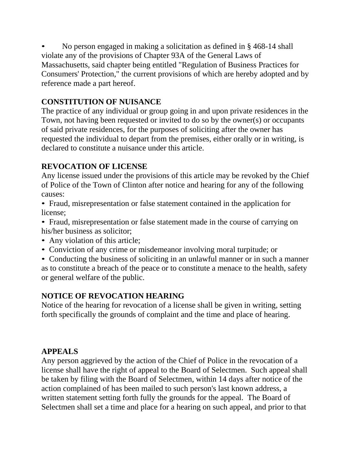• No person engaged in making a solicitation as defined in § 468-14 shall violate any of the provisions of Chapter 93A of the General Laws of Massachusetts, said chapter being entitled "Regulation of Business Practices for Consumers' Protection," the current provisions of which are hereby adopted and by reference made a part hereof.

## **CONSTITUTION OF NUISANCE**

The practice of any individual or group going in and upon private residences in the Town, not having been requested or invited to do so by the owner(s) or occupants of said private residences, for the purposes of soliciting after the owner has requested the individual to depart from the premises, either orally or in writing, is declared to constitute a nuisance under this article.

### **REVOCATION OF LICENSE**

Any license issued under the provisions of this article may be revoked by the Chief of Police of the Town of Clinton after notice and hearing for any of the following causes:

• Fraud, misrepresentation or false statement contained in the application for license;

• Fraud, misrepresentation or false statement made in the course of carrying on his/her business as solicitor;

- Any violation of this article;
- Conviction of any crime or misdemeanor involving moral turpitude; or

• Conducting the business of soliciting in an unlawful manner or in such a manner as to constitute a breach of the peace or to constitute a menace to the health, safety or general welfare of the public.

### **NOTICE OF REVOCATION HEARING**

Notice of the hearing for revocation of a license shall be given in writing, setting forth specifically the grounds of complaint and the time and place of hearing.

### **APPEALS**

Any person aggrieved by the action of the Chief of Police in the revocation of a license shall have the right of appeal to the Board of Selectmen. Such appeal shall be taken by filing with the Board of Selectmen, within 14 days after notice of the action complained of has been mailed to such person's last known address, a written statement setting forth fully the grounds for the appeal. The Board of Selectmen shall set a time and place for a hearing on such appeal, and prior to that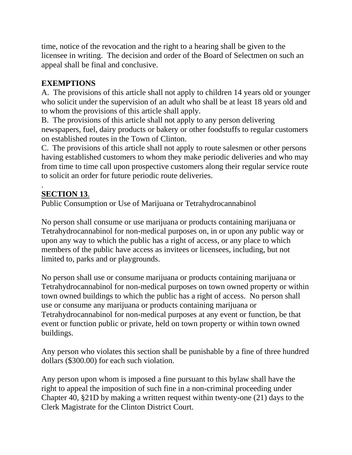time, notice of the revocation and the right to a hearing shall be given to the licensee in writing. The decision and order of the Board of Selectmen on such an appeal shall be final and conclusive.

## **EXEMPTIONS**

A. The provisions of this article shall not apply to children 14 years old or younger who solicit under the supervision of an adult who shall be at least 18 years old and to whom the provisions of this article shall apply.

B. The provisions of this article shall not apply to any person delivering newspapers, fuel, dairy products or bakery or other foodstuffs to regular customers on established routes in the Town of Clinton.

C. The provisions of this article shall not apply to route salesmen or other persons having established customers to whom they make periodic deliveries and who may from time to time call upon prospective customers along their regular service route to solicit an order for future periodic route deliveries.

#### . **SECTION 13**.

Public Consumption or Use of Marijuana or Tetrahydrocannabinol

No person shall consume or use marijuana or products containing marijuana or Tetrahydrocannabinol for non-medical purposes on, in or upon any public way or upon any way to which the public has a right of access, or any place to which members of the public have access as invitees or licensees, including, but not limited to, parks and or playgrounds.

No person shall use or consume marijuana or products containing marijuana or Tetrahydrocannabinol for non-medical purposes on town owned property or within town owned buildings to which the public has a right of access. No person shall use or consume any marijuana or products containing marijuana or Tetrahydrocannabinol for non-medical purposes at any event or function, be that event or function public or private, held on town property or within town owned buildings.

Any person who violates this section shall be punishable by a fine of three hundred dollars (\$300.00) for each such violation.

Any person upon whom is imposed a fine pursuant to this bylaw shall have the right to appeal the imposition of such fine in a non-criminal proceeding under Chapter 40, §21D by making a written request within twenty-one (21) days to the Clerk Magistrate for the Clinton District Court.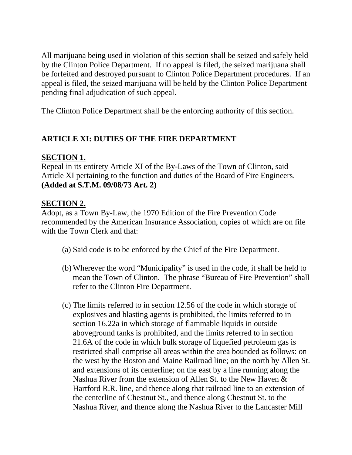All marijuana being used in violation of this section shall be seized and safely held by the Clinton Police Department. If no appeal is filed, the seized marijuana shall be forfeited and destroyed pursuant to Clinton Police Department procedures. If an appeal is filed, the seized marijuana will be held by the Clinton Police Department pending final adjudication of such appeal.

The Clinton Police Department shall be the enforcing authority of this section.

## **ARTICLE XI: DUTIES OF THE FIRE DEPARTMENT**

#### **SECTION 1.**

Repeal in its entirety Article XI of the By-Laws of the Town of Clinton, said Article XI pertaining to the function and duties of the Board of Fire Engineers. **(Added at S.T.M. 09/08/73 Art. 2)**

### **SECTION 2.**

Adopt, as a Town By-Law, the 1970 Edition of the Fire Prevention Code recommended by the American Insurance Association, copies of which are on file with the Town Clerk and that:

- (a) Said code is to be enforced by the Chief of the Fire Department.
- (b) Wherever the word "Municipality" is used in the code, it shall be held to mean the Town of Clinton. The phrase "Bureau of Fire Prevention" shall refer to the Clinton Fire Department.
- (c) The limits referred to in section 12.56 of the code in which storage of explosives and blasting agents is prohibited, the limits referred to in section 16.22a in which storage of flammable liquids in outside aboveground tanks is prohibited, and the limits referred to in section 21.6A of the code in which bulk storage of liquefied petroleum gas is restricted shall comprise all areas within the area bounded as follows: on the west by the Boston and Maine Railroad line; on the north by Allen St. and extensions of its centerline; on the east by a line running along the Nashua River from the extension of Allen St. to the New Haven & Hartford R.R. line, and thence along that railroad line to an extension of the centerline of Chestnut St., and thence along Chestnut St. to the Nashua River, and thence along the Nashua River to the Lancaster Mill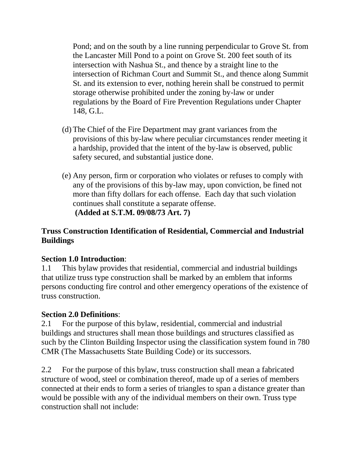Pond; and on the south by a line running perpendicular to Grove St. from the Lancaster Mill Pond to a point on Grove St. 200 feet south of its intersection with Nashua St., and thence by a straight line to the intersection of Richman Court and Summit St., and thence along Summit St. and its extension to ever, nothing herein shall be construed to permit storage otherwise prohibited under the zoning by-law or under regulations by the Board of Fire Prevention Regulations under Chapter 148, G.L.

- (d) The Chief of the Fire Department may grant variances from the provisions of this by-law where peculiar circumstances render meeting it a hardship, provided that the intent of the by-law is observed, public safety secured, and substantial justice done.
- (e) Any person, firm or corporation who violates or refuses to comply with any of the provisions of this by-law may, upon conviction, be fined not more than fifty dollars for each offense. Each day that such violation continues shall constitute a separate offense. **(Added at S.T.M. 09/08/73 Art. 7)**

### **Truss Construction Identification of Residential, Commercial and Industrial Buildings**

### **Section 1.0 Introduction**:

1.1 This bylaw provides that residential, commercial and industrial buildings that utilize truss type construction shall be marked by an emblem that informs persons conducting fire control and other emergency operations of the existence of truss construction.

### **Section 2.0 Definitions**:

2.1 For the purpose of this bylaw, residential, commercial and industrial buildings and structures shall mean those buildings and structures classified as such by the Clinton Building Inspector using the classification system found in 780 CMR (The Massachusetts State Building Code) or its successors.

2.2 For the purpose of this bylaw, truss construction shall mean a fabricated structure of wood, steel or combination thereof, made up of a series of members connected at their ends to form a series of triangles to span a distance greater than would be possible with any of the individual members on their own. Truss type construction shall not include: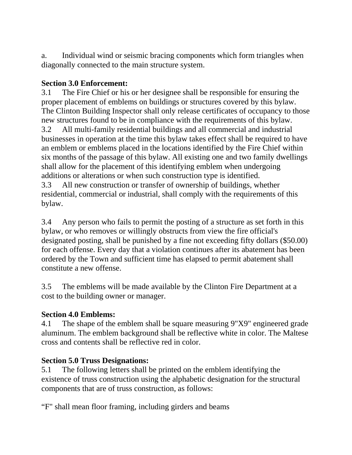a. Individual wind or seismic bracing components which form triangles when diagonally connected to the main structure system.

### **Section 3.0 Enforcement:**

3.1 The Fire Chief or his or her designee shall be responsible for ensuring the proper placement of emblems on buildings or structures covered by this bylaw. The Clinton Building Inspector shall only release certificates of occupancy to those new structures found to be in compliance with the requirements of this bylaw. 3.2 All multi-family residential buildings and all commercial and industrial businesses in operation at the time this bylaw takes effect shall be required to have an emblem or emblems placed in the locations identified by the Fire Chief within six months of the passage of this bylaw. All existing one and two family dwellings shall allow for the placement of this identifying emblem when undergoing additions or alterations or when such construction type is identified.

3.3 All new construction or transfer of ownership of buildings, whether residential, commercial or industrial, shall comply with the requirements of this bylaw.

3.4 Any person who fails to permit the posting of a structure as set forth in this bylaw, or who removes or willingly obstructs from view the fire official's designated posting, shall be punished by a fine not exceeding fifty dollars (\$50.00) for each offense. Every day that a violation continues after its abatement has been ordered by the Town and sufficient time has elapsed to permit abatement shall constitute a new offense.

3.5 The emblems will be made available by the Clinton Fire Department at a cost to the building owner or manager.

### **Section 4.0 Emblems:**

4.1 The shape of the emblem shall be square measuring 9"X9" engineered grade aluminum. The emblem background shall be reflective white in color. The Maltese cross and contents shall be reflective red in color.

### **Section 5.0 Truss Designations:**

5.1 The following letters shall be printed on the emblem identifying the existence of truss construction using the alphabetic designation for the structural components that are of truss construction, as follows:

"F" shall mean floor framing, including girders and beams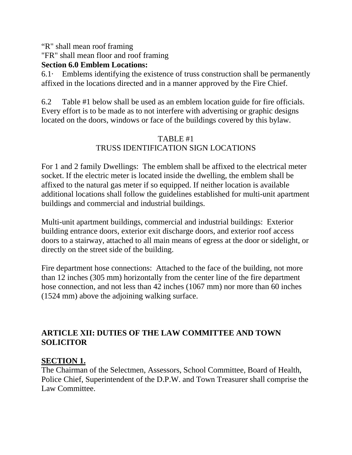"R" shall mean roof framing

"FR" shall mean floor and roof framing

### **Section 6.0 Emblem Locations:**

 $6.1\cdot$  Emblems identifying the existence of truss construction shall be permanently affixed in the locations directed and in a manner approved by the Fire Chief.

6.2 Table #1 below shall be used as an emblem location guide for fire officials. Every effort is to be made as to not interfere with advertising or graphic designs located on the doors, windows or face of the buildings covered by this bylaw.

# TABLE #1 TRUSS IDENTIFICATION SIGN LOCATIONS

For 1 and 2 family Dwellings: The emblem shall be affixed to the electrical meter socket. If the electric meter is located inside the dwelling, the emblem shall be affixed to the natural gas meter if so equipped. If neither location is available additional locations shall follow the guidelines established for multi-unit apartment buildings and commercial and industrial buildings.

Multi-unit apartment buildings, commercial and industrial buildings: Exterior building entrance doors, exterior exit discharge doors, and exterior roof access doors to a stairway, attached to all main means of egress at the door or sidelight, or directly on the street side of the building.

Fire department hose connections: Attached to the face of the building, not more than 12 inches (305 mm) horizontally from the center line of the fire department hose connection, and not less than 42 inches (1067 mm) nor more than 60 inches (1524 mm) above the adjoining walking surface.

# **ARTICLE XII: DUTIES OF THE LAW COMMITTEE AND TOWN SOLICITOR**

# **SECTION 1.**

The Chairman of the Selectmen, Assessors, School Committee, Board of Health, Police Chief, Superintendent of the D.P.W. and Town Treasurer shall comprise the Law Committee.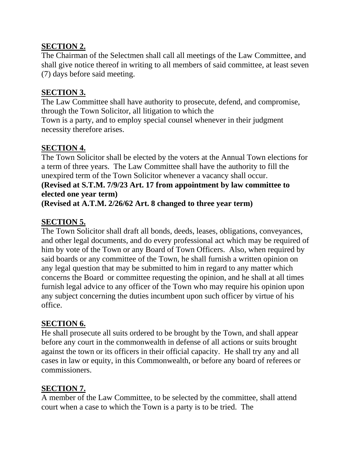### **SECTION 2.**

The Chairman of the Selectmen shall call all meetings of the Law Committee, and shall give notice thereof in writing to all members of said committee, at least seven (7) days before said meeting.

## **SECTION 3.**

The Law Committee shall have authority to prosecute, defend, and compromise, through the Town Solicitor, all litigation to which the

Town is a party, and to employ special counsel whenever in their judgment necessity therefore arises.

## **SECTION 4.**

The Town Solicitor shall be elected by the voters at the Annual Town elections for a term of three years. The Law Committee shall have the authority to fill the unexpired term of the Town Solicitor whenever a vacancy shall occur.

## **(Revised at S.T.M. 7/9/23 Art. 17 from appointment by law committee to elected one year term)**

**(Revised at A.T.M. 2/26/62 Art. 8 changed to three year term)**

# **SECTION 5.**

The Town Solicitor shall draft all bonds, deeds, leases, obligations, conveyances, and other legal documents, and do every professional act which may be required of him by vote of the Town or any Board of Town Officers. Also, when required by said boards or any committee of the Town, he shall furnish a written opinion on any legal question that may be submitted to him in regard to any matter which concerns the Board or committee requesting the opinion, and he shall at all times furnish legal advice to any officer of the Town who may require his opinion upon any subject concerning the duties incumbent upon such officer by virtue of his office.

# **SECTION 6.**

He shall prosecute all suits ordered to be brought by the Town, and shall appear before any court in the commonwealth in defense of all actions or suits brought against the town or its officers in their official capacity. He shall try any and all cases in law or equity, in this Commonwealth, or before any board of referees or commissioners.

# **SECTION 7.**

A member of the Law Committee, to be selected by the committee, shall attend court when a case to which the Town is a party is to be tried. The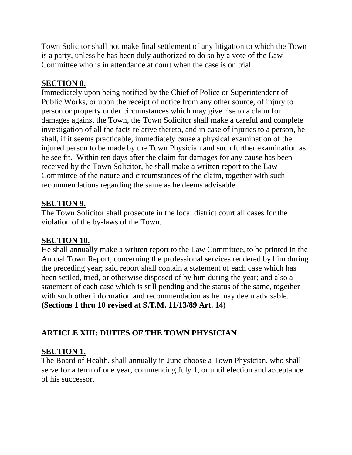Town Solicitor shall not make final settlement of any litigation to which the Town is a party, unless he has been duly authorized to do so by a vote of the Law Committee who is in attendance at court when the case is on trial.

# **SECTION 8.**

Immediately upon being notified by the Chief of Police or Superintendent of Public Works, or upon the receipt of notice from any other source, of injury to person or property under circumstances which may give rise to a claim for damages against the Town, the Town Solicitor shall make a careful and complete investigation of all the facts relative thereto, and in case of injuries to a person, he shall, if it seems practicable, immediately cause a physical examination of the injured person to be made by the Town Physician and such further examination as he see fit. Within ten days after the claim for damages for any cause has been received by the Town Solicitor, he shall make a written report to the Law Committee of the nature and circumstances of the claim, together with such recommendations regarding the same as he deems advisable.

# **SECTION 9.**

The Town Solicitor shall prosecute in the local district court all cases for the violation of the by-laws of the Town.

### **SECTION 10.**

He shall annually make a written report to the Law Committee, to be printed in the Annual Town Report, concerning the professional services rendered by him during the preceding year; said report shall contain a statement of each case which has been settled, tried, or otherwise disposed of by him during the year; and also a statement of each case which is still pending and the status of the same, together with such other information and recommendation as he may deem advisable. **(Sections 1 thru 10 revised at S.T.M. 11/13/89 Art. 14)**

# **ARTICLE XIII: DUTIES OF THE TOWN PHYSICIAN**

### **SECTION 1.**

The Board of Health, shall annually in June choose a Town Physician, who shall serve for a term of one year, commencing July 1, or until election and acceptance of his successor.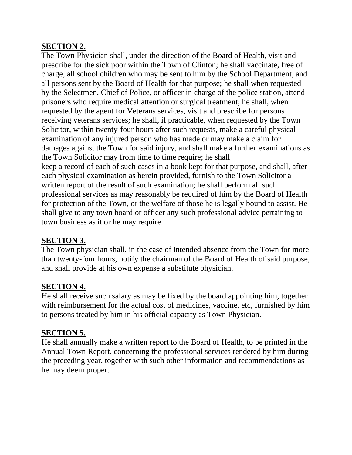### **SECTION 2.**

The Town Physician shall, under the direction of the Board of Health, visit and prescribe for the sick poor within the Town of Clinton; he shall vaccinate, free of charge, all school children who may be sent to him by the School Department, and all persons sent by the Board of Health for that purpose; he shall when requested by the Selectmen, Chief of Police, or officer in charge of the police station, attend prisoners who require medical attention or surgical treatment; he shall, when requested by the agent for Veterans services, visit and prescribe for persons receiving veterans services; he shall, if practicable, when requested by the Town Solicitor, within twenty-four hours after such requests, make a careful physical examination of any injured person who has made or may make a claim for damages against the Town for said injury, and shall make a further examinations as the Town Solicitor may from time to time require; he shall keep a record of each of such cases in a book kept for that purpose, and shall, after each physical examination as herein provided, furnish to the Town Solicitor a written report of the result of such examination; he shall perform all such professional services as may reasonably be required of him by the Board of Health for protection of the Town, or the welfare of those he is legally bound to assist. He shall give to any town board or officer any such professional advice pertaining to town business as it or he may require.

### **SECTION 3.**

The Town physician shall, in the case of intended absence from the Town for more than twenty-four hours, notify the chairman of the Board of Health of said purpose, and shall provide at his own expense a substitute physician.

### **SECTION 4.**

He shall receive such salary as may be fixed by the board appointing him, together with reimbursement for the actual cost of medicines, vaccine, etc, furnished by him to persons treated by him in his official capacity as Town Physician.

#### **SECTION 5.**

He shall annually make a written report to the Board of Health, to be printed in the Annual Town Report, concerning the professional services rendered by him during the preceding year, together with such other information and recommendations as he may deem proper.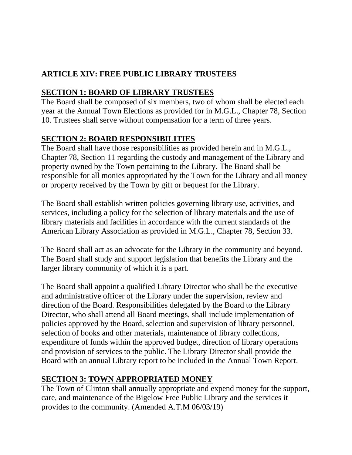# **ARTICLE XIV: FREE PUBLIC LIBRARY TRUSTEES**

# **SECTION 1: BOARD OF LIBRARY TRUSTEES**

The Board shall be composed of six members, two of whom shall be elected each year at the Annual Town Elections as provided for in M.G.L., Chapter 78, Section 10. Trustees shall serve without compensation for a term of three years.

# **SECTION 2: BOARD RESPONSIBILITIES**

The Board shall have those responsibilities as provided herein and in M.G.L., Chapter 78, Section 11 regarding the custody and management of the Library and property owned by the Town pertaining to the Library. The Board shall be responsible for all monies appropriated by the Town for the Library and all money or property received by the Town by gift or bequest for the Library.

The Board shall establish written policies governing library use, activities, and services, including a policy for the selection of library materials and the use of library materials and facilities in accordance with the current standards of the American Library Association as provided in M.G.L., Chapter 78, Section 33.

The Board shall act as an advocate for the Library in the community and beyond. The Board shall study and support legislation that benefits the Library and the larger library community of which it is a part.

The Board shall appoint a qualified Library Director who shall be the executive and administrative officer of the Library under the supervision, review and direction of the Board. Responsibilities delegated by the Board to the Library Director, who shall attend all Board meetings, shall include implementation of policies approved by the Board, selection and supervision of library personnel, selection of books and other materials, maintenance of library collections, expenditure of funds within the approved budget, direction of library operations and provision of services to the public. The Library Director shall provide the Board with an annual Library report to be included in the Annual Town Report.

# **SECTION 3: TOWN APPROPRIATED MONEY**

The Town of Clinton shall annually appropriate and expend money for the support, care, and maintenance of the Bigelow Free Public Library and the services it provides to the community. (Amended A.T.M 06/03/19)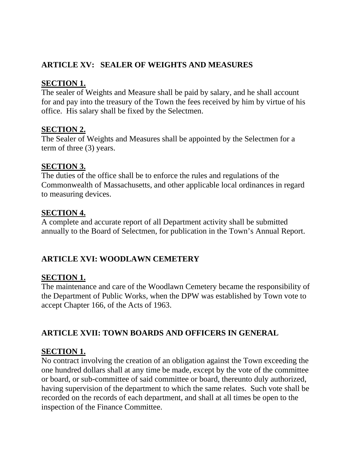# **ARTICLE XV: SEALER OF WEIGHTS AND MEASURES**

## **SECTION 1.**

The sealer of Weights and Measure shall be paid by salary, and he shall account for and pay into the treasury of the Town the fees received by him by virtue of his office. His salary shall be fixed by the Selectmen.

### **SECTION 2.**

The Sealer of Weights and Measures shall be appointed by the Selectmen for a term of three (3) years.

### **SECTION 3.**

The duties of the office shall be to enforce the rules and regulations of the Commonwealth of Massachusetts, and other applicable local ordinances in regard to measuring devices.

### **SECTION 4.**

A complete and accurate report of all Department activity shall be submitted annually to the Board of Selectmen, for publication in the Town's Annual Report.

# **ARTICLE XVI: WOODLAWN CEMETERY**

### **SECTION 1.**

The maintenance and care of the Woodlawn Cemetery became the responsibility of the Department of Public Works, when the DPW was established by Town vote to accept Chapter 166, of the Acts of 1963.

# **ARTICLE XVII: TOWN BOARDS AND OFFICERS IN GENERAL**

### **SECTION 1.**

No contract involving the creation of an obligation against the Town exceeding the one hundred dollars shall at any time be made, except by the vote of the committee or board, or sub-committee of said committee or board, thereunto duly authorized, having supervision of the department to which the same relates. Such vote shall be recorded on the records of each department, and shall at all times be open to the inspection of the Finance Committee.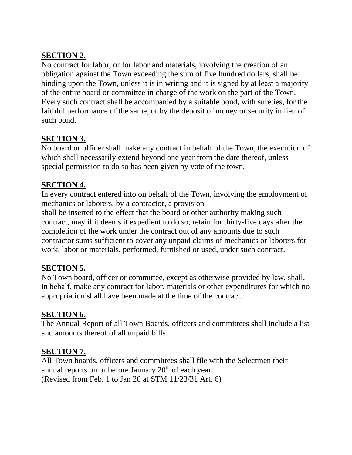## **SECTION 2.**

No contract for labor, or for labor and materials, involving the creation of an obligation against the Town exceeding the sum of five hundred dollars, shall be binding upon the Town, unless it is in writing and it is signed by at least a majority of the entire board or committee in charge of the work on the part of the Town. Every such contract shall be accompanied by a suitable bond, with sureties, for the faithful performance of the same, or by the deposit of money or security in lieu of such bond.

### **SECTION 3.**

No board or officer shall make any contract in behalf of the Town, the execution of which shall necessarily extend beyond one year from the date thereof, unless special permission to do so has been given by vote of the town.

### **SECTION 4.**

In every contract entered into on behalf of the Town, involving the employment of mechanics or laborers, by a contractor, a provision

shall be inserted to the effect that the board or other authority making such contract, may if it deems it expedient to do so, retain for thirty-five days after the completion of the work under the contract out of any amounts due to such contractor sums sufficient to cover any unpaid claims of mechanics or laborers for work, labor or materials, performed, furnished or used, under such contract.

### **SECTION 5.**

No Town board, officer or committee, except as otherwise provided by law, shall, in behalf, make any contract for labor, materials or other expenditures for which no appropriation shall have been made at the time of the contract.

#### **SECTION 6.**

The Annual Report of all Town Boards, officers and committees shall include a list and amounts thereof of all unpaid bills.

### **SECTION 7.**

All Town boards, officers and committees shall file with the Selectmen their annual reports on or before January 20<sup>th</sup> of each year. (Revised from Feb. 1 to Jan 20 at STM 11/23/31 Art. 6)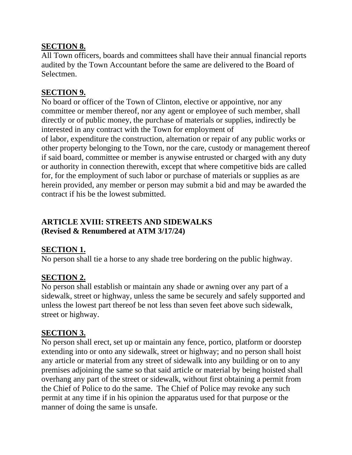### **SECTION 8.**

All Town officers, boards and committees shall have their annual financial reports audited by the Town Accountant before the same are delivered to the Board of Selectmen.

### **SECTION 9.**

No board or officer of the Town of Clinton, elective or appointive, nor any committee or member thereof, nor any agent or employee of such member, shall directly or of public money, the purchase of materials or supplies, indirectly be interested in any contract with the Town for employment of of labor, expenditure the construction, alternation or repair of any public works or other property belonging to the Town, nor the care, custody or management thereof if said board, committee or member is anywise entrusted or charged with any duty or authority in connection therewith, except that where competitive bids are called for, for the employment of such labor or purchase of materials or supplies as are herein provided, any member or person may submit a bid and may be awarded the contract if his be the lowest submitted.

## **ARTICLE XVIII: STREETS AND SIDEWALKS (Revised & Renumbered at ATM 3/17/24)**

### **SECTION 1.**

No person shall tie a horse to any shade tree bordering on the public highway.

### **SECTION 2.**

No person shall establish or maintain any shade or awning over any part of a sidewalk, street or highway, unless the same be securely and safely supported and unless the lowest part thereof be not less than seven feet above such sidewalk, street or highway.

### **SECTION 3.**

No person shall erect, set up or maintain any fence, portico, platform or doorstep extending into or onto any sidewalk, street or highway; and no person shall hoist any article or material from any street of sidewalk into any building or on to any premises adjoining the same so that said article or material by being hoisted shall overhang any part of the street or sidewalk, without first obtaining a permit from the Chief of Police to do the same. The Chief of Police may revoke any such permit at any time if in his opinion the apparatus used for that purpose or the manner of doing the same is unsafe.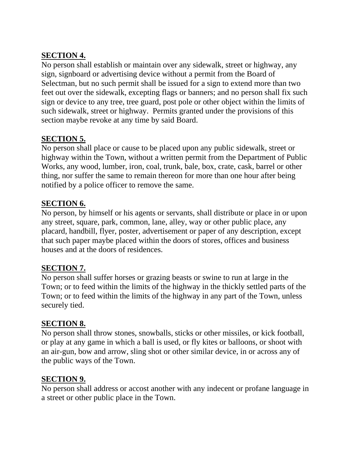### **SECTION 4.**

No person shall establish or maintain over any sidewalk, street or highway, any sign, signboard or advertising device without a permit from the Board of Selectman, but no such permit shall be issued for a sign to extend more than two feet out over the sidewalk, excepting flags or banners; and no person shall fix such sign or device to any tree, tree guard, post pole or other object within the limits of such sidewalk, street or highway. Permits granted under the provisions of this section maybe revoke at any time by said Board.

# **SECTION 5.**

No person shall place or cause to be placed upon any public sidewalk, street or highway within the Town, without a written permit from the Department of Public Works, any wood, lumber, iron, coal, trunk, bale, box, crate, cask, barrel or other thing, nor suffer the same to remain thereon for more than one hour after being notified by a police officer to remove the same.

## **SECTION 6.**

No person, by himself or his agents or servants, shall distribute or place in or upon any street, square, park, common, lane, alley, way or other public place, any placard, handbill, flyer, poster, advertisement or paper of any description, except that such paper maybe placed within the doors of stores, offices and business houses and at the doors of residences.

### **SECTION 7.**

No person shall suffer horses or grazing beasts or swine to run at large in the Town; or to feed within the limits of the highway in the thickly settled parts of the Town; or to feed within the limits of the highway in any part of the Town, unless securely tied.

### **SECTION 8.**

No person shall throw stones, snowballs, sticks or other missiles, or kick football, or play at any game in which a ball is used, or fly kites or balloons, or shoot with an air-gun, bow and arrow, sling shot or other similar device, in or across any of the public ways of the Town.

### **SECTION 9.**

No person shall address or accost another with any indecent or profane language in a street or other public place in the Town.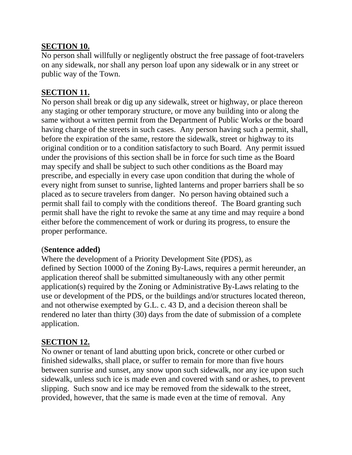### **SECTION 10.**

No person shall willfully or negligently obstruct the free passage of foot-travelers on any sidewalk, nor shall any person loaf upon any sidewalk or in any street or public way of the Town.

### **SECTION 11.**

No person shall break or dig up any sidewalk, street or highway, or place thereon any staging or other temporary structure, or move any building into or along the same without a written permit from the Department of Public Works or the board having charge of the streets in such cases. Any person having such a permit, shall, before the expiration of the same, restore the sidewalk, street or highway to its original condition or to a condition satisfactory to such Board. Any permit issued under the provisions of this section shall be in force for such time as the Board may specify and shall be subject to such other conditions as the Board may prescribe, and especially in every case upon condition that during the whole of every night from sunset to sunrise, lighted lanterns and proper barriers shall be so placed as to secure travelers from danger. No person having obtained such a permit shall fail to comply with the conditions thereof. The Board granting such permit shall have the right to revoke the same at any time and may require a bond either before the commencement of work or during its progress, to ensure the proper performance.

#### (**Sentence added)**

Where the development of a Priority Development Site (PDS), as defined by Section 10000 of the Zoning By-Laws, requires a permit hereunder, an application thereof shall be submitted simultaneously with any other permit application(s) required by the Zoning or Administrative By-Laws relating to the use or development of the PDS, or the buildings and/or structures located thereon, and not otherwise exempted by G.L. c. 43 D, and a decision thereon shall be rendered no later than thirty (30) days from the date of submission of a complete application.

### **SECTION 12.**

No owner or tenant of land abutting upon brick, concrete or other curbed or finished sidewalks, shall place, or suffer to remain for more than five hours between sunrise and sunset, any snow upon such sidewalk, nor any ice upon such sidewalk, unless such ice is made even and covered with sand or ashes, to prevent slipping. Such snow and ice may be removed from the sidewalk to the street, provided, however, that the same is made even at the time of removal. Any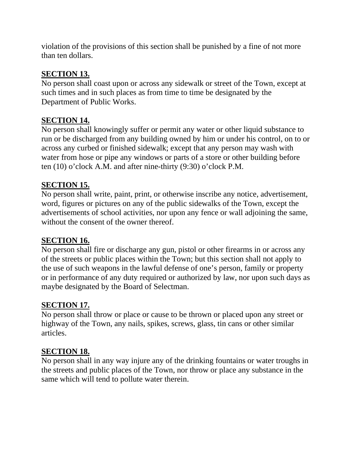violation of the provisions of this section shall be punished by a fine of not more than ten dollars.

## **SECTION 13.**

No person shall coast upon or across any sidewalk or street of the Town, except at such times and in such places as from time to time be designated by the Department of Public Works.

## **SECTION 14.**

No person shall knowingly suffer or permit any water or other liquid substance to run or be discharged from any building owned by him or under his control, on to or across any curbed or finished sidewalk; except that any person may wash with water from hose or pipe any windows or parts of a store or other building before ten (10) o'clock A.M. and after nine-thirty (9:30) o'clock P.M.

### **SECTION 15.**

No person shall write, paint, print, or otherwise inscribe any notice, advertisement, word, figures or pictures on any of the public sidewalks of the Town, except the advertisements of school activities, nor upon any fence or wall adjoining the same, without the consent of the owner thereof.

### **SECTION 16.**

No person shall fire or discharge any gun, pistol or other firearms in or across any of the streets or public places within the Town; but this section shall not apply to the use of such weapons in the lawful defense of one's person, family or property or in performance of any duty required or authorized by law, nor upon such days as maybe designated by the Board of Selectman.

### **SECTION 17.**

No person shall throw or place or cause to be thrown or placed upon any street or highway of the Town, any nails, spikes, screws, glass, tin cans or other similar articles.

### **SECTION 18.**

No person shall in any way injure any of the drinking fountains or water troughs in the streets and public places of the Town, nor throw or place any substance in the same which will tend to pollute water therein.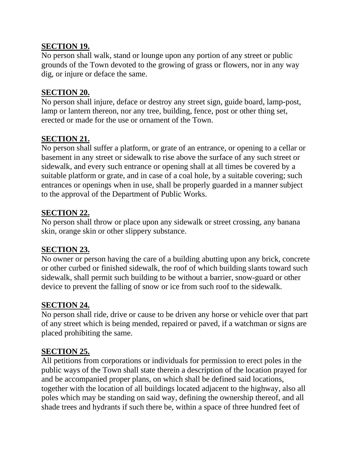### **SECTION 19.**

No person shall walk, stand or lounge upon any portion of any street or public grounds of the Town devoted to the growing of grass or flowers, nor in any way dig, or injure or deface the same.

### **SECTION 20.**

No person shall injure, deface or destroy any street sign, guide board, lamp-post, lamp or lantern thereon, nor any tree, building, fence, post or other thing set, erected or made for the use or ornament of the Town.

### **SECTION 21.**

No person shall suffer a platform, or grate of an entrance, or opening to a cellar or basement in any street or sidewalk to rise above the surface of any such street or sidewalk, and every such entrance or opening shall at all times be covered by a suitable platform or grate, and in case of a coal hole, by a suitable covering; such entrances or openings when in use, shall be properly guarded in a manner subject to the approval of the Department of Public Works.

### **SECTION 22.**

No person shall throw or place upon any sidewalk or street crossing, any banana skin, orange skin or other slippery substance.

#### **SECTION 23.**

No owner or person having the care of a building abutting upon any brick, concrete or other curbed or finished sidewalk, the roof of which building slants toward such sidewalk, shall permit such building to be without a barrier, snow-guard or other device to prevent the falling of snow or ice from such roof to the sidewalk.

#### **SECTION 24.**

No person shall ride, drive or cause to be driven any horse or vehicle over that part of any street which is being mended, repaired or paved, if a watchman or signs are placed prohibiting the same.

### **SECTION 25.**

All petitions from corporations or individuals for permission to erect poles in the public ways of the Town shall state therein a description of the location prayed for and be accompanied proper plans, on which shall be defined said locations, together with the location of all buildings located adjacent to the highway, also all poles which may be standing on said way, defining the ownership thereof, and all shade trees and hydrants if such there be, within a space of three hundred feet of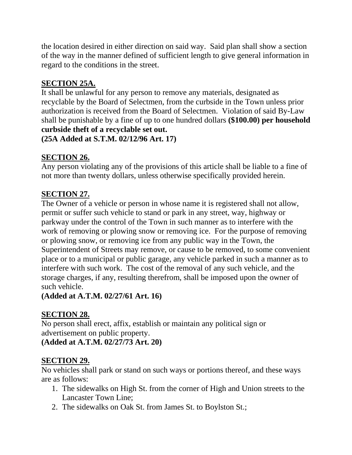the location desired in either direction on said way. Said plan shall show a section of the way in the manner defined of sufficient length to give general information in regard to the conditions in the street.

# **SECTION 25A.**

It shall be unlawful for any person to remove any materials, designated as recyclable by the Board of Selectmen, from the curbside in the Town unless prior authorization is received from the Board of Selectmen. Violation of said By-Law shall be punishable by a fine of up to one hundred dollars **(\$100.00) per household curbside theft of a recyclable set out. (25A Added at S.T.M. 02/12/96 Art. 17)**

# **SECTION 26.**

Any person violating any of the provisions of this article shall be liable to a fine of not more than twenty dollars, unless otherwise specifically provided herein.

# **SECTION 27.**

The Owner of a vehicle or person in whose name it is registered shall not allow, permit or suffer such vehicle to stand or park in any street, way, highway or parkway under the control of the Town in such manner as to interfere with the work of removing or plowing snow or removing ice. For the purpose of removing or plowing snow, or removing ice from any public way in the Town, the Superintendent of Streets may remove, or cause to be removed, to some convenient place or to a municipal or public garage, any vehicle parked in such a manner as to interfere with such work. The cost of the removal of any such vehicle, and the storage charges, if any, resulting therefrom, shall be imposed upon the owner of such vehicle.

**(Added at A.T.M. 02/27/61 Art. 16)**

### **SECTION 28.**

No person shall erect, affix, establish or maintain any political sign or advertisement on public property. **(Added at A.T.M. 02/27/73 Art. 20)**

# **SECTION 29.**

No vehicles shall park or stand on such ways or portions thereof, and these ways are as follows:

- 1. The sidewalks on High St. from the corner of High and Union streets to the Lancaster Town Line;
- 2. The sidewalks on Oak St. from James St. to Boylston St.;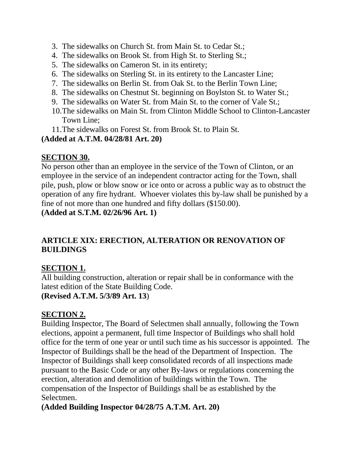- 3. The sidewalks on Church St. from Main St. to Cedar St.;
- 4. The sidewalks on Brook St. from High St. to Sterling St.;
- 5. The sidewalks on Cameron St. in its entirety;
- 6. The sidewalks on Sterling St. in its entirety to the Lancaster Line;
- 7. The sidewalks on Berlin St. from Oak St. to the Berlin Town Line;
- 8. The sidewalks on Chestnut St. beginning on Boylston St. to Water St.;
- 9. The sidewalks on Water St. from Main St. to the corner of Vale St.;
- 10.The sidewalks on Main St. from Clinton Middle School to Clinton-Lancaster Town Line;
- 11.The sidewalks on Forest St. from Brook St. to Plain St.

**(Added at A.T.M. 04/28/81 Art. 20)**

### **SECTION 30.**

No person other than an employee in the service of the Town of Clinton, or an employee in the service of an independent contractor acting for the Town, shall pile, push, plow or blow snow or ice onto or across a public way as to obstruct the operation of any fire hydrant. Whoever violates this by-law shall be punished by a fine of not more than one hundred and fifty dollars (\$150.00).

**(Added at S.T.M. 02/26/96 Art. 1)**

# **ARTICLE XIX: ERECTION, ALTERATION OR RENOVATION OF BUILDINGS**

# **SECTION 1.**

All building construction, alteration or repair shall be in conformance with the latest edition of the State Building Code. **(Revised A.T.M. 5/3/89 Art. 13**)

### **SECTION 2.**

Building Inspector, The Board of Selectmen shall annually, following the Town elections, appoint a permanent, full time Inspector of Buildings who shall hold office for the term of one year or until such time as his successor is appointed. The Inspector of Buildings shall be the head of the Department of Inspection. The Inspector of Buildings shall keep consolidated records of all inspections made pursuant to the Basic Code or any other By-laws or regulations concerning the erection, alteration and demolition of buildings within the Town. The compensation of the Inspector of Buildings shall be as established by the Selectmen.

**(Added Building Inspector 04/28/75 A.T.M. Art. 20)**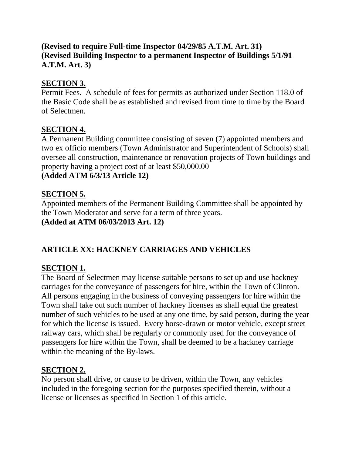## **(Revised to require Full-time Inspector 04/29/85 A.T.M. Art. 31) (Revised Building Inspector to a permanent Inspector of Buildings 5/1/91 A.T.M. Art. 3)**

# **SECTION 3.**

Permit Fees. A schedule of fees for permits as authorized under Section 118.0 of the Basic Code shall be as established and revised from time to time by the Board of Selectmen.

# **SECTION 4.**

A Permanent Building committee consisting of seven (7) appointed members and two ex officio members (Town Administrator and Superintendent of Schools) shall oversee all construction, maintenance or renovation projects of Town buildings and property having a project cost of at least \$50,000.00

## **(Added ATM 6/3/13 Article 12)**

# **SECTION 5.**

Appointed members of the Permanent Building Committee shall be appointed by the Town Moderator and serve for a term of three years. **(Added at ATM 06/03/2013 Art. 12)**

# **ARTICLE XX: HACKNEY CARRIAGES AND VEHICLES**

# **SECTION 1.**

The Board of Selectmen may license suitable persons to set up and use hackney carriages for the conveyance of passengers for hire, within the Town of Clinton. All persons engaging in the business of conveying passengers for hire within the Town shall take out such number of hackney licenses as shall equal the greatest number of such vehicles to be used at any one time, by said person, during the year for which the license is issued. Every horse-drawn or motor vehicle, except street railway cars, which shall be regularly or commonly used for the conveyance of passengers for hire within the Town, shall be deemed to be a hackney carriage within the meaning of the By-laws.

# **SECTION 2.**

No person shall drive, or cause to be driven, within the Town, any vehicles included in the foregoing section for the purposes specified therein, without a license or licenses as specified in Section 1 of this article.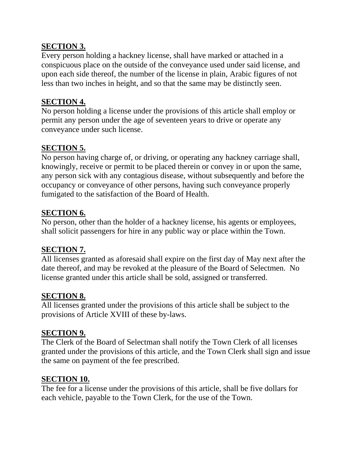### **SECTION 3.**

Every person holding a hackney license, shall have marked or attached in a conspicuous place on the outside of the conveyance used under said license, and upon each side thereof, the number of the license in plain, Arabic figures of not less than two inches in height, and so that the same may be distinctly seen.

### **SECTION 4.**

No person holding a license under the provisions of this article shall employ or permit any person under the age of seventeen years to drive or operate any conveyance under such license.

### **SECTION 5.**

No person having charge of, or driving, or operating any hackney carriage shall, knowingly, receive or permit to be placed therein or convey in or upon the same, any person sick with any contagious disease, without subsequently and before the occupancy or conveyance of other persons, having such conveyance properly fumigated to the satisfaction of the Board of Health.

### **SECTION 6.**

No person, other than the holder of a hackney license, his agents or employees, shall solicit passengers for hire in any public way or place within the Town.

#### **SECTION 7.**

All licenses granted as aforesaid shall expire on the first day of May next after the date thereof, and may be revoked at the pleasure of the Board of Selectmen. No license granted under this article shall be sold, assigned or transferred.

#### **SECTION 8.**

All licenses granted under the provisions of this article shall be subject to the provisions of Article XVIII of these by-laws.

#### **SECTION 9.**

The Clerk of the Board of Selectman shall notify the Town Clerk of all licenses granted under the provisions of this article, and the Town Clerk shall sign and issue the same on payment of the fee prescribed.

#### **SECTION 10.**

The fee for a license under the provisions of this article, shall be five dollars for each vehicle, payable to the Town Clerk, for the use of the Town.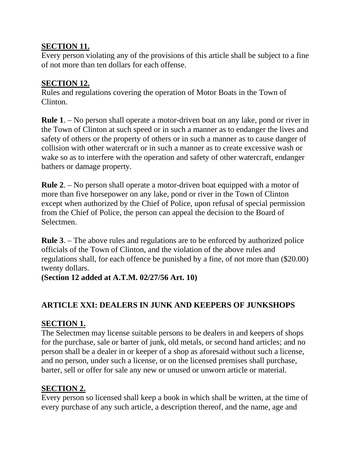### **SECTION 11.**

Every person violating any of the provisions of this article shall be subject to a fine of not more than ten dollars for each offense.

### **SECTION 12.**

Rules and regulations covering the operation of Motor Boats in the Town of Clinton.

**Rule 1**. – No person shall operate a motor-driven boat on any lake, pond or river in the Town of Clinton at such speed or in such a manner as to endanger the lives and safety of others or the property of others or in such a manner as to cause danger of collision with other watercraft or in such a manner as to create excessive wash or wake so as to interfere with the operation and safety of other watercraft, endanger bathers or damage property.

**Rule 2**. – No person shall operate a motor-driven boat equipped with a motor of more than five horsepower on any lake, pond or river in the Town of Clinton except when authorized by the Chief of Police, upon refusal of special permission from the Chief of Police, the person can appeal the decision to the Board of Selectmen.

**Rule 3**. – The above rules and regulations are to be enforced by authorized police officials of the Town of Clinton, and the violation of the above rules and regulations shall, for each offence be punished by a fine, of not more than (\$20.00) twenty dollars.

**(Section 12 added at A.T.M. 02/27/56 Art. 10)**

### **ARTICLE XXI: DEALERS IN JUNK AND KEEPERS OF JUNKSHOPS**

### **SECTION 1.**

The Selectmen may license suitable persons to be dealers in and keepers of shops for the purchase, sale or barter of junk, old metals, or second hand articles; and no person shall be a dealer in or keeper of a shop as aforesaid without such a license, and no person, under such a license, or on the licensed premises shall purchase, barter, sell or offer for sale any new or unused or unworn article or material.

### **SECTION 2.**

Every person so licensed shall keep a book in which shall be written, at the time of every purchase of any such article, a description thereof, and the name, age and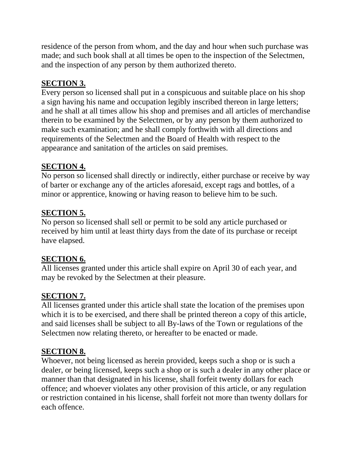residence of the person from whom, and the day and hour when such purchase was made; and such book shall at all times be open to the inspection of the Selectmen, and the inspection of any person by them authorized thereto.

# **SECTION 3.**

Every person so licensed shall put in a conspicuous and suitable place on his shop a sign having his name and occupation legibly inscribed thereon in large letters; and he shall at all times allow his shop and premises and all articles of merchandise therein to be examined by the Selectmen, or by any person by them authorized to make such examination; and he shall comply forthwith with all directions and requirements of the Selectmen and the Board of Health with respect to the appearance and sanitation of the articles on said premises.

# **SECTION 4.**

No person so licensed shall directly or indirectly, either purchase or receive by way of barter or exchange any of the articles aforesaid, except rags and bottles, of a minor or apprentice, knowing or having reason to believe him to be such.

# **SECTION 5.**

No person so licensed shall sell or permit to be sold any article purchased or received by him until at least thirty days from the date of its purchase or receipt have elapsed.

# **SECTION 6.**

All licenses granted under this article shall expire on April 30 of each year, and may be revoked by the Selectmen at their pleasure.

# **SECTION 7.**

All licenses granted under this article shall state the location of the premises upon which it is to be exercised, and there shall be printed thereon a copy of this article, and said licenses shall be subject to all By-laws of the Town or regulations of the Selectmen now relating thereto, or hereafter to be enacted or made.

# **SECTION 8.**

Whoever, not being licensed as herein provided, keeps such a shop or is such a dealer, or being licensed, keeps such a shop or is such a dealer in any other place or manner than that designated in his license, shall forfeit twenty dollars for each offence; and whoever violates any other provision of this article, or any regulation or restriction contained in his license, shall forfeit not more than twenty dollars for each offence.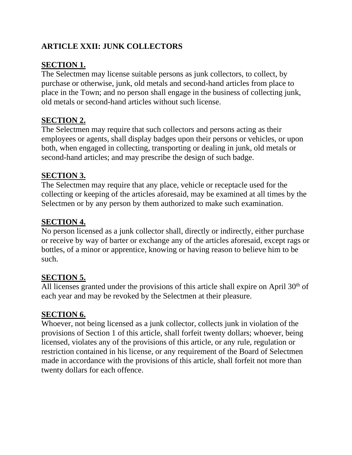# **ARTICLE XXII: JUNK COLLECTORS**

# **SECTION 1.**

The Selectmen may license suitable persons as junk collectors, to collect, by purchase or otherwise, junk, old metals and second-hand articles from place to place in the Town; and no person shall engage in the business of collecting junk, old metals or second-hand articles without such license.

# **SECTION 2.**

The Selectmen may require that such collectors and persons acting as their employees or agents, shall display badges upon their persons or vehicles, or upon both, when engaged in collecting, transporting or dealing in junk, old metals or second-hand articles; and may prescribe the design of such badge.

## **SECTION 3.**

The Selectmen may require that any place, vehicle or receptacle used for the collecting or keeping of the articles aforesaid, may be examined at all times by the Selectmen or by any person by them authorized to make such examination.

## **SECTION 4.**

No person licensed as a junk collector shall, directly or indirectly, either purchase or receive by way of barter or exchange any of the articles aforesaid, except rags or bottles, of a minor or apprentice, knowing or having reason to believe him to be such.

# **SECTION 5.**

All licenses granted under the provisions of this article shall expire on April  $30<sup>th</sup>$  of each year and may be revoked by the Selectmen at their pleasure.

### **SECTION 6.**

Whoever, not being licensed as a junk collector, collects junk in violation of the provisions of Section 1 of this article, shall forfeit twenty dollars; whoever, being licensed, violates any of the provisions of this article, or any rule, regulation or restriction contained in his license, or any requirement of the Board of Selectmen made in accordance with the provisions of this article, shall forfeit not more than twenty dollars for each offence.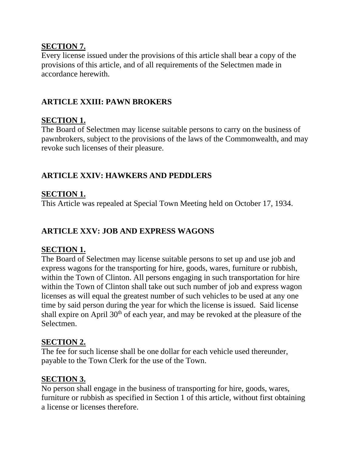#### **SECTION 7.**

Every license issued under the provisions of this article shall bear a copy of the provisions of this article, and of all requirements of the Selectmen made in accordance herewith.

# **ARTICLE XXIII: PAWN BROKERS**

### **SECTION 1.**

The Board of Selectmen may license suitable persons to carry on the business of pawnbrokers, subject to the provisions of the laws of the Commonwealth, and may revoke such licenses of their pleasure.

## **ARTICLE XXIV: HAWKERS AND PEDDLERS**

## **SECTION 1.**

This Article was repealed at Special Town Meeting held on October 17, 1934.

## **ARTICLE XXV: JOB AND EXPRESS WAGONS**

### **SECTION 1.**

The Board of Selectmen may license suitable persons to set up and use job and express wagons for the transporting for hire, goods, wares, furniture or rubbish, within the Town of Clinton. All persons engaging in such transportation for hire within the Town of Clinton shall take out such number of job and express wagon licenses as will equal the greatest number of such vehicles to be used at any one time by said person during the year for which the license is issued. Said license shall expire on April 30<sup>th</sup> of each year, and may be revoked at the pleasure of the Selectmen.

#### **SECTION 2.**

The fee for such license shall be one dollar for each vehicle used thereunder, payable to the Town Clerk for the use of the Town.

### **SECTION 3.**

No person shall engage in the business of transporting for hire, goods, wares, furniture or rubbish as specified in Section 1 of this article, without first obtaining a license or licenses therefore.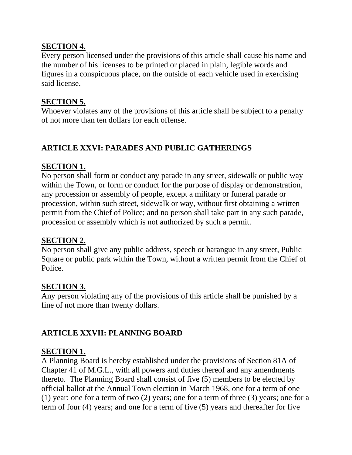### **SECTION 4.**

Every person licensed under the provisions of this article shall cause his name and the number of his licenses to be printed or placed in plain, legible words and figures in a conspicuous place, on the outside of each vehicle used in exercising said license.

### **SECTION 5.**

Whoever violates any of the provisions of this article shall be subject to a penalty of not more than ten dollars for each offense.

# **ARTICLE XXVI: PARADES AND PUBLIC GATHERINGS**

### **SECTION 1.**

No person shall form or conduct any parade in any street, sidewalk or public way within the Town, or form or conduct for the purpose of display or demonstration, any procession or assembly of people, except a military or funeral parade or procession, within such street, sidewalk or way, without first obtaining a written permit from the Chief of Police; and no person shall take part in any such parade, procession or assembly which is not authorized by such a permit.

### **SECTION 2.**

No person shall give any public address, speech or harangue in any street, Public Square or public park within the Town, without a written permit from the Chief of Police.

### **SECTION 3.**

Any person violating any of the provisions of this article shall be punished by a fine of not more than twenty dollars.

# **ARTICLE XXVII: PLANNING BOARD**

### **SECTION 1.**

A Planning Board is hereby established under the provisions of Section 81A of Chapter 41 of M.G.L., with all powers and duties thereof and any amendments thereto. The Planning Board shall consist of five (5) members to be elected by official ballot at the Annual Town election in March 1968, one for a term of one (1) year; one for a term of two (2) years; one for a term of three (3) years; one for a term of four (4) years; and one for a term of five (5) years and thereafter for five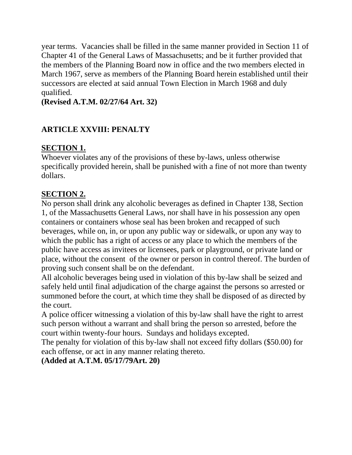year terms. Vacancies shall be filled in the same manner provided in Section 11 of Chapter 41 of the General Laws of Massachusetts; and be it further provided that the members of the Planning Board now in office and the two members elected in March 1967, serve as members of the Planning Board herein established until their successors are elected at said annual Town Election in March 1968 and duly qualified.

**(Revised A.T.M. 02/27/64 Art. 32)**

# **ARTICLE XXVIII: PENALTY**

# **SECTION 1.**

Whoever violates any of the provisions of these by-laws, unless otherwise specifically provided herein, shall be punished with a fine of not more than twenty dollars.

# **SECTION 2.**

No person shall drink any alcoholic beverages as defined in Chapter 138, Section 1, of the Massachusetts General Laws, nor shall have in his possession any open containers or containers whose seal has been broken and recapped of such beverages, while on, in, or upon any public way or sidewalk, or upon any way to which the public has a right of access or any place to which the members of the public have access as invitees or licensees, park or playground, or private land or place, without the consent of the owner or person in control thereof. The burden of proving such consent shall be on the defendant.

All alcoholic beverages being used in violation of this by-law shall be seized and safely held until final adjudication of the charge against the persons so arrested or summoned before the court, at which time they shall be disposed of as directed by the court.

A police officer witnessing a violation of this by-law shall have the right to arrest such person without a warrant and shall bring the person so arrested, before the court within twenty-four hours. Sundays and holidays excepted.

The penalty for violation of this by-law shall not exceed fifty dollars (\$50.00) for each offense, or act in any manner relating thereto.

**(Added at A.T.M. 05/17/79Art. 20)**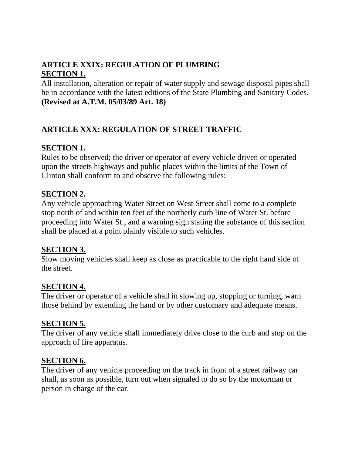# **ARTICLE XXIX: REGULATION OF PLUMBING SECTION 1.**

All installation, alteration or repair of water supply and sewage disposal pipes shall be in accordance with the latest editions of the State Plumbing and Sanitary Codes. **(Revised at A.T.M. 05/03/89 Art. 18)**

## **ARTICLE XXX: REGULATION OF STREET TRAFFIC**

### **SECTION 1.**

Rules to be observed; the driver or operator of every vehicle driven or operated upon the streets highways and public places within the limits of the Town of Clinton shall conform to and observe the following rules:

#### **SECTION 2.**

Any vehicle approaching Water Street on West Street shall come to a complete stop north of and within ten feet of the northerly curb line of Water St. before proceeding into Water St., and a warning sign stating the substance of this section shall be placed at a point plainly visible to such vehicles.

#### **SECTION 3.**

Slow moving vehicles shall keep as close as practicable to the right hand side of the street.

#### **SECTION 4.**

The driver or operator of a vehicle shall in slowing up, stopping or turning, warn those behind by extending the hand or by other customary and adequate means.

### **SECTION 5.**

The driver of any vehicle shall immediately drive close to the curb and stop on the approach of fire apparatus.

#### **SECTION 6.**

The driver of any vehicle proceeding on the track in front of a street railway car shall, as soon as possible, turn out when signaled to do so by the motorman or person in charge of the car.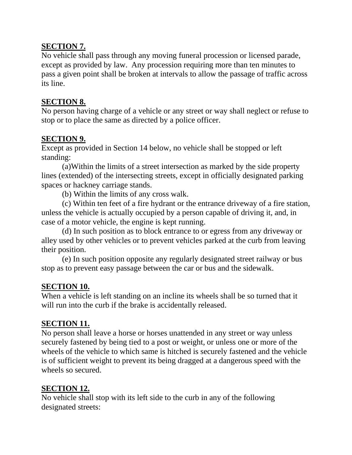### **SECTION 7.**

No vehicle shall pass through any moving funeral procession or licensed parade, except as provided by law. Any procession requiring more than ten minutes to pass a given point shall be broken at intervals to allow the passage of traffic across its line.

#### **SECTION 8.**

No person having charge of a vehicle or any street or way shall neglect or refuse to stop or to place the same as directed by a police officer.

### **SECTION 9.**

Except as provided in Section 14 below, no vehicle shall be stopped or left standing:

(a)Within the limits of a street intersection as marked by the side property lines (extended) of the intersecting streets, except in officially designated parking spaces or hackney carriage stands.

(b) Within the limits of any cross walk.

(c) Within ten feet of a fire hydrant or the entrance driveway of a fire station, unless the vehicle is actually occupied by a person capable of driving it, and, in case of a motor vehicle, the engine is kept running.

(d) In such position as to block entrance to or egress from any driveway or alley used by other vehicles or to prevent vehicles parked at the curb from leaving their position.

(e) In such position opposite any regularly designated street railway or bus stop as to prevent easy passage between the car or bus and the sidewalk.

### **SECTION 10.**

When a vehicle is left standing on an incline its wheels shall be so turned that it will run into the curb if the brake is accidentally released.

### **SECTION 11.**

No person shall leave a horse or horses unattended in any street or way unless securely fastened by being tied to a post or weight, or unless one or more of the wheels of the vehicle to which same is hitched is securely fastened and the vehicle is of sufficient weight to prevent its being dragged at a dangerous speed with the wheels so secured.

### **SECTION 12.**

No vehicle shall stop with its left side to the curb in any of the following designated streets: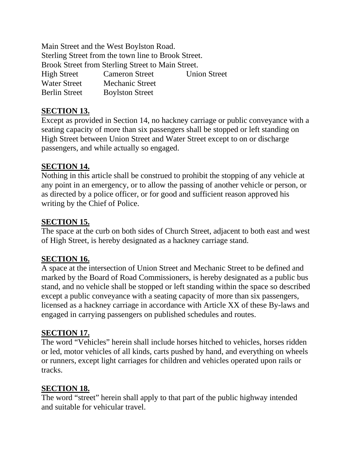Main Street and the West Boylston Road. Sterling Street from the town line to Brook Street. Brook Street from Sterling Street to Main Street. High Street Cameron Street Union Street Water Street Mechanic Street Berlin Street Boylston Street

### **SECTION 13.**

Except as provided in Section 14, no hackney carriage or public conveyance with a seating capacity of more than six passengers shall be stopped or left standing on High Street between Union Street and Water Street except to on or discharge passengers, and while actually so engaged.

### **SECTION 14.**

Nothing in this article shall be construed to prohibit the stopping of any vehicle at any point in an emergency, or to allow the passing of another vehicle or person, or as directed by a police officer, or for good and sufficient reason approved his writing by the Chief of Police.

### **SECTION 15.**

The space at the curb on both sides of Church Street, adjacent to both east and west of High Street, is hereby designated as a hackney carriage stand.

#### **SECTION 16.**

A space at the intersection of Union Street and Mechanic Street to be defined and marked by the Board of Road Commissioners, is hereby designated as a public bus stand, and no vehicle shall be stopped or left standing within the space so described except a public conveyance with a seating capacity of more than six passengers, licensed as a hackney carriage in accordance with Article XX of these By-laws and engaged in carrying passengers on published schedules and routes.

### **SECTION 17.**

The word "Vehicles" herein shall include horses hitched to vehicles, horses ridden or led, motor vehicles of all kinds, carts pushed by hand, and everything on wheels or runners, except light carriages for children and vehicles operated upon rails or tracks.

### **SECTION 18.**

The word "street" herein shall apply to that part of the public highway intended and suitable for vehicular travel.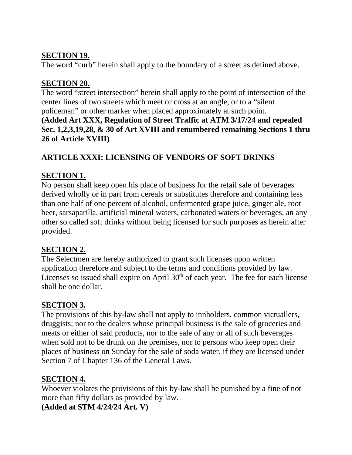### **SECTION 19.**

The word "curb" herein shall apply to the boundary of a street as defined above.

# **SECTION 20.**

The word "street intersection" herein shall apply to the point of intersection of the center lines of two streets which meet or cross at an angle, or to a "silent policeman" or other marker when placed approximately at such point. **(Added Art XXX, Regulation of Street Traffic at ATM 3/17/24 and repealed Sec. 1,2,3,19,28, & 30 of Art XVIII and renumbered remaining Sections 1 thru 26 of Article XVIII)**

# **ARTICLE XXXI: LICENSING OF VENDORS OF SOFT DRINKS**

## **SECTION 1.**

No person shall keep open his place of business for the retail sale of beverages derived wholly or in part from cereals or substitutes therefore and containing less than one half of one percent of alcohol, unfermented grape juice, ginger ale, root beer, sarsaparilla, artificial mineral waters, carbonated waters or beverages, an any other so called soft drinks without being licensed for such purposes as herein after provided.

# **SECTION 2.**

The Selectmen are hereby authorized to grant such licenses upon written application therefore and subject to the terms and conditions provided by law. Licenses so issued shall expire on April  $30<sup>th</sup>$  of each year. The fee for each license shall be one dollar.

### **SECTION 3.**

The provisions of this by-law shall not apply to innholders, common victuallers, druggists; nor to the dealers whose principal business is the sale of groceries and meats or either of said products, nor to the sale of any or all of such beverages when sold not to be drunk on the premises, nor to persons who keep open their places of business on Sunday for the sale of soda water, if they are licensed under Section 7 of Chapter 136 of the General Laws.

# **SECTION 4.**

Whoever violates the provisions of this by-law shall be punished by a fine of not more than fifty dollars as provided by law.

### **(Added at STM 4/24/24 Art. V)**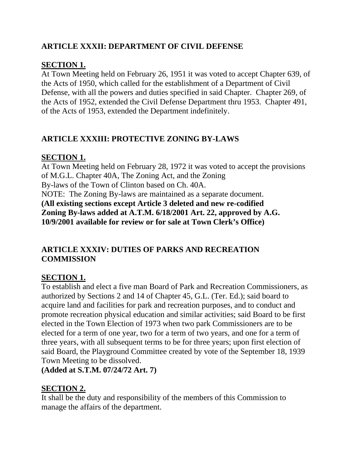# **ARTICLE XXXII: DEPARTMENT OF CIVIL DEFENSE**

# **SECTION 1.**

At Town Meeting held on February 26, 1951 it was voted to accept Chapter 639, of the Acts of 1950, which called for the establishment of a Department of Civil Defense, with all the powers and duties specified in said Chapter. Chapter 269, of the Acts of 1952, extended the Civil Defense Department thru 1953. Chapter 491, of the Acts of 1953, extended the Department indefinitely.

# **ARTICLE XXXIII: PROTECTIVE ZONING BY-LAWS**

# **SECTION 1.**

At Town Meeting held on February 28, 1972 it was voted to accept the provisions of M.G.L. Chapter 40A, The Zoning Act, and the Zoning By-laws of the Town of Clinton based on Ch. 40A. NOTE: The Zoning By-laws are maintained as a separate document. **(All existing sections except Article 3 deleted and new re-codified Zoning By-laws added at A.T.M. 6/18/2001 Art. 22, approved by A.G. 10/9/2001 available for review or for sale at Town Clerk's Office)**

## **ARTICLE XXXIV: DUTIES OF PARKS AND RECREATION COMMISSION**

# **SECTION 1.**

To establish and elect a five man Board of Park and Recreation Commissioners, as authorized by Sections 2 and 14 of Chapter 45, G.L. (Ter. Ed.); said board to acquire land and facilities for park and recreation purposes, and to conduct and promote recreation physical education and similar activities; said Board to be first elected in the Town Election of 1973 when two park Commissioners are to be elected for a term of one year, two for a term of two years, and one for a term of three years, with all subsequent terms to be for three years; upon first election of said Board, the Playground Committee created by vote of the September 18, 1939 Town Meeting to be dissolved.

**(Added at S.T.M. 07/24/72 Art. 7)**

# **SECTION 2.**

It shall be the duty and responsibility of the members of this Commission to manage the affairs of the department.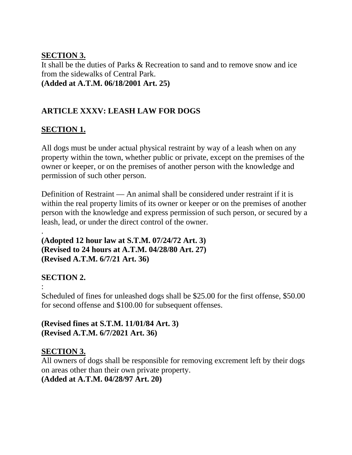### **SECTION 3.**

It shall be the duties of Parks & Recreation to sand and to remove snow and ice from the sidewalks of Central Park. **(Added at A.T.M. 06/18/2001 Art. 25)**

# **ARTICLE XXXV: LEASH LAW FOR DOGS**

### **SECTION 1.**

All dogs must be under actual physical restraint by way of a leash when on any property within the town, whether public or private, except on the premises of the owner or keeper, or on the premises of another person with the knowledge and permission of such other person.

Definition of Restraint — An animal shall be considered under restraint if it is within the real property limits of its owner or keeper or on the premises of another person with the knowledge and express permission of such person, or secured by a leash, lead, or under the direct control of the owner.

. **(Adopted 12 hour law at S.T.M. 07/24/72 Art. 3) (Revised to 24 hours at A.T.M. 04/28/80 Art. 27) (Revised A.T.M. 6/7/21 Art. 36)**

# **SECTION 2.**

: Scheduled of fines for unleashed dogs shall be \$25.00 for the first offense, \$50.00 for second offense and \$100.00 for subsequent offenses.

**(Revised fines at S.T.M. 11/01/84 Art. 3) (Revised A.T.M. 6/7/2021 Art. 36)**

### **SECTION 3.**

All owners of dogs shall be responsible for removing excrement left by their dogs on areas other than their own private property. **(Added at A.T.M. 04/28/97 Art. 20)**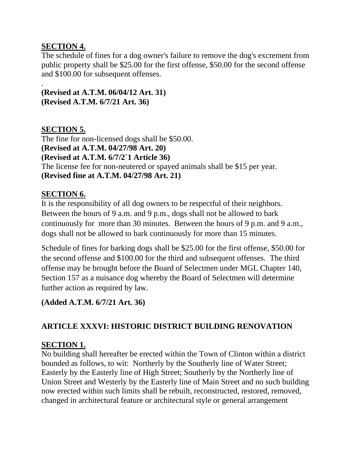### **SECTION 4.**

The schedule of fines for a dog owner's failure to remove the dog's excrement from public property shall be \$25.00 for the first offense, \$50.00 for the second offense and \$100.00 for subsequent offenses.

#### . **(Revised at A.T.M. 06/04/12 Art. 31) (Revised A.T.M. 6/7/21 Art. 36)**

### **SECTION 5.**

The fine for non-licensed dogs shall be \$50.00. **(Revised at A.T.M. 04/27/98 Art. 20) (Revised at A.T.M. 6/7/2`1 Article 36)** The license fee for non-neutered or spayed animals shall be \$15 per year. **(Revised fine at A.T.M. 04/27/98 Art. 21)** 

### **SECTION 6.**

It is the responsibility of all dog owners to be respectful of their neighbors. Between the hours of 9 a.m. and 9 p.m., dogs shall not be allowed to bark continuously for more than 30 minutes. Between the hours of 9 p.m. and 9 a.m., dogs shall not be allowed to bark continuously for more than 15 minutes.

Schedule of fines for barking dogs shall be \$25.00 for the first offense, \$50.00 for the second offense and \$100.00 for the third and subsequent offenses. The third offense may be brought before the Board of Selectmen under MGL Chapter 140, Section 157 as a nuisance dog whereby the Board of Selectmen will determine further action as required by law.

# **(Added A.T.M. 6/7/21 Art. 36)**

# **ARTICLE XXXVI: HISTORIC DISTRICT BUILDING RENOVATION**

### **SECTION 1.**

No building shall hereafter be erected within the Town of Clinton within a district bounded as follows, to wit: Northerly by the Southerly line of Water Street; Easterly by the Easterly line of High Street; Southerly by the Northerly line of Union Street and Westerly by the Easterly line of Main Street and no such building now erected within such limits shall be rebuilt, reconstructed, restored, removed, changed in architectural feature or architectural style or general arrangement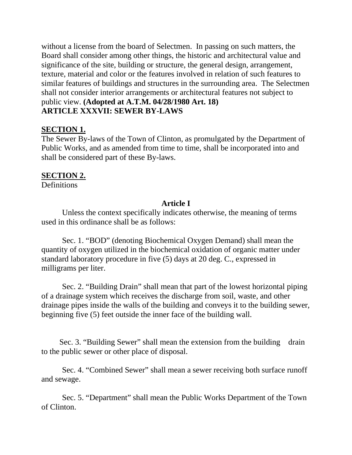without a license from the board of Selectmen. In passing on such matters, the Board shall consider among other things, the historic and architectural value and significance of the site, building or structure, the general design, arrangement, texture, material and color or the features involved in relation of such features to similar features of buildings and structures in the surrounding area. The Selectmen shall not consider interior arrangements or architectural features not subject to public view. **(Adopted at A.T.M. 04/28/1980 Art. 18) ARTICLE XXXVII: SEWER BY-LAWS**

### **SECTION 1.**

The Sewer By-laws of the Town of Clinton, as promulgated by the Department of Public Works, and as amended from time to time, shall be incorporated into and shall be considered part of these By-laws.

### **SECTION 2.**

**Definitions** 

### **Article I**

Unless the context specifically indicates otherwise, the meaning of terms used in this ordinance shall be as follows:

Sec. 1. "BOD" (denoting Biochemical Oxygen Demand) shall mean the quantity of oxygen utilized in the biochemical oxidation of organic matter under standard laboratory procedure in five (5) days at 20 deg. C., expressed in milligrams per liter.

Sec. 2. "Building Drain" shall mean that part of the lowest horizontal piping of a drainage system which receives the discharge from soil, waste, and other drainage pipes inside the walls of the building and conveys it to the building sewer, beginning five (5) feet outside the inner face of the building wall.

Sec. 3. "Building Sewer" shall mean the extension from the building drain to the public sewer or other place of disposal.

Sec. 4. "Combined Sewer" shall mean a sewer receiving both surface runoff and sewage.

Sec. 5. "Department" shall mean the Public Works Department of the Town of Clinton.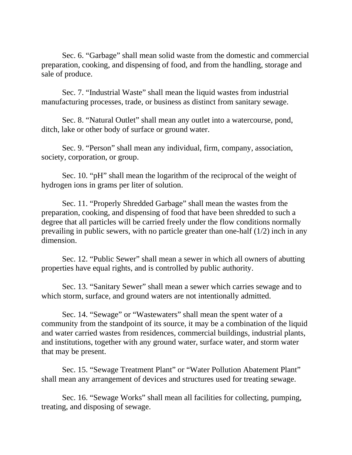Sec. 6. "Garbage" shall mean solid waste from the domestic and commercial preparation, cooking, and dispensing of food, and from the handling, storage and sale of produce.

Sec. 7. "Industrial Waste" shall mean the liquid wastes from industrial manufacturing processes, trade, or business as distinct from sanitary sewage.

Sec. 8. "Natural Outlet" shall mean any outlet into a watercourse, pond, ditch, lake or other body of surface or ground water.

Sec. 9. "Person" shall mean any individual, firm, company, association, society, corporation, or group.

Sec. 10. "pH" shall mean the logarithm of the reciprocal of the weight of hydrogen ions in grams per liter of solution.

Sec. 11. "Properly Shredded Garbage" shall mean the wastes from the preparation, cooking, and dispensing of food that have been shredded to such a degree that all particles will be carried freely under the flow conditions normally prevailing in public sewers, with no particle greater than one-half (1/2) inch in any dimension.

Sec. 12. "Public Sewer" shall mean a sewer in which all owners of abutting properties have equal rights, and is controlled by public authority.

Sec. 13. "Sanitary Sewer" shall mean a sewer which carries sewage and to which storm, surface, and ground waters are not intentionally admitted.

Sec. 14. "Sewage" or "Wastewaters" shall mean the spent water of a community from the standpoint of its source, it may be a combination of the liquid and water carried wastes from residences, commercial buildings, industrial plants, and institutions, together with any ground water, surface water, and storm water that may be present.

Sec. 15. "Sewage Treatment Plant" or "Water Pollution Abatement Plant" shall mean any arrangement of devices and structures used for treating sewage.

Sec. 16. "Sewage Works" shall mean all facilities for collecting, pumping, treating, and disposing of sewage.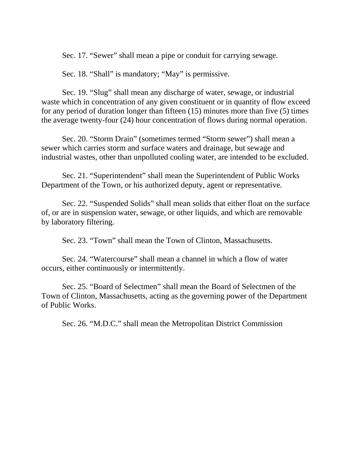Sec. 17. "Sewer" shall mean a pipe or conduit for carrying sewage.

Sec. 18. "Shall" is mandatory; "May" is permissive.

Sec. 19. "Slug" shall mean any discharge of water, sewage, or industrial waste which in concentration of any given constituent or in quantity of flow exceed for any period of duration longer than fifteen (15) minutes more than five (5) times the average twenty-four (24) hour concentration of flows during normal operation.

Sec. 20. "Storm Drain" (sometimes termed "Storm sewer") shall mean a sewer which carries storm and surface waters and drainage, but sewage and industrial wastes, other than unpolluted cooling water, are intended to be excluded.

Sec. 21. "Superintendent" shall mean the Superintendent of Public Works Department of the Town, or his authorized deputy, agent or representative.

Sec. 22. "Suspended Solids" shall mean solids that either float on the surface of, or are in suspension water, sewage, or other liquids, and which are removable by laboratory filtering.

Sec. 23. "Town" shall mean the Town of Clinton, Massachusetts.

Sec. 24. "Watercourse" shall mean a channel in which a flow of water occurs, either continuously or intermittently.

Sec. 25. "Board of Selectmen" shall mean the Board of Selectmen of the Town of Clinton, Massachusetts, acting as the governing power of the Department of Public Works.

Sec. 26. "M.D.C." shall mean the Metropolitan District Commission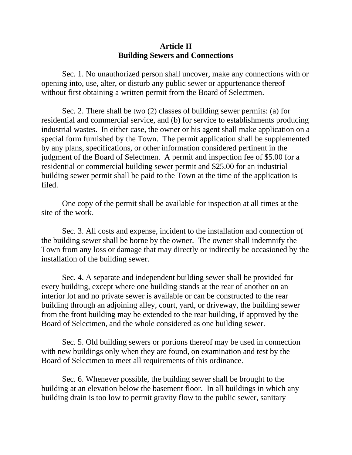#### **Article II Building Sewers and Connections**

Sec. 1. No unauthorized person shall uncover, make any connections with or opening into, use, alter, or disturb any public sewer or appurtenance thereof without first obtaining a written permit from the Board of Selectmen.

Sec. 2. There shall be two (2) classes of building sewer permits: (a) for residential and commercial service, and (b) for service to establishments producing industrial wastes. In either case, the owner or his agent shall make application on a special form furnished by the Town. The permit application shall be supplemented by any plans, specifications, or other information considered pertinent in the judgment of the Board of Selectmen. A permit and inspection fee of \$5.00 for a residential or commercial building sewer permit and \$25.00 for an industrial building sewer permit shall be paid to the Town at the time of the application is filed.

One copy of the permit shall be available for inspection at all times at the site of the work.

Sec. 3. All costs and expense, incident to the installation and connection of the building sewer shall be borne by the owner. The owner shall indemnify the Town from any loss or damage that may directly or indirectly be occasioned by the installation of the building sewer.

Sec. 4. A separate and independent building sewer shall be provided for every building, except where one building stands at the rear of another on an interior lot and no private sewer is available or can be constructed to the rear building through an adjoining alley, court, yard, or driveway, the building sewer from the front building may be extended to the rear building, if approved by the Board of Selectmen, and the whole considered as one building sewer.

Sec. 5. Old building sewers or portions thereof may be used in connection with new buildings only when they are found, on examination and test by the Board of Selectmen to meet all requirements of this ordinance.

Sec. 6. Whenever possible, the building sewer shall be brought to the building at an elevation below the basement floor. In all buildings in which any building drain is too low to permit gravity flow to the public sewer, sanitary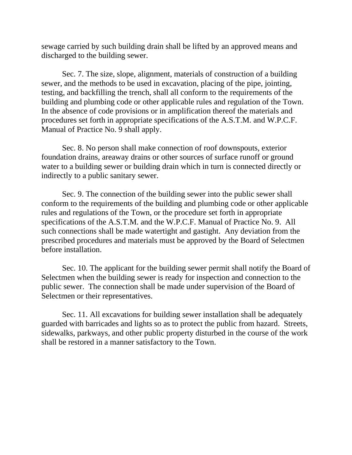sewage carried by such building drain shall be lifted by an approved means and discharged to the building sewer.

Sec. 7. The size, slope, alignment, materials of construction of a building sewer, and the methods to be used in excavation, placing of the pipe, jointing, testing, and backfilling the trench, shall all conform to the requirements of the building and plumbing code or other applicable rules and regulation of the Town. In the absence of code provisions or in amplification thereof the materials and procedures set forth in appropriate specifications of the A.S.T.M. and W.P.C.F. Manual of Practice No. 9 shall apply.

Sec. 8. No person shall make connection of roof downspouts, exterior foundation drains, areaway drains or other sources of surface runoff or ground water to a building sewer or building drain which in turn is connected directly or indirectly to a public sanitary sewer.

Sec. 9. The connection of the building sewer into the public sewer shall conform to the requirements of the building and plumbing code or other applicable rules and regulations of the Town, or the procedure set forth in appropriate specifications of the A.S.T.M. and the W.P.C.F. Manual of Practice No. 9. All such connections shall be made watertight and gastight. Any deviation from the prescribed procedures and materials must be approved by the Board of Selectmen before installation.

Sec. 10. The applicant for the building sewer permit shall notify the Board of Selectmen when the building sewer is ready for inspection and connection to the public sewer. The connection shall be made under supervision of the Board of Selectmen or their representatives.

Sec. 11. All excavations for building sewer installation shall be adequately guarded with barricades and lights so as to protect the public from hazard. Streets, sidewalks, parkways, and other public property disturbed in the course of the work shall be restored in a manner satisfactory to the Town.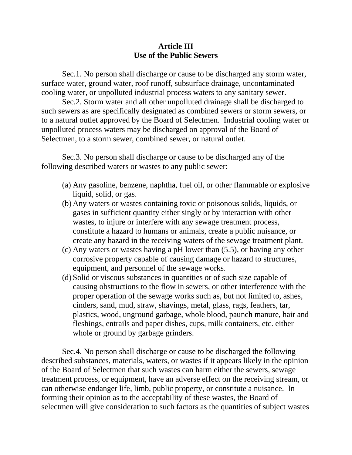### **Article III Use of the Public Sewers**

Sec.1. No person shall discharge or cause to be discharged any storm water, surface water, ground water, roof runoff, subsurface drainage, uncontaminated cooling water, or unpolluted industrial process waters to any sanitary sewer.

Sec.2. Storm water and all other unpolluted drainage shall be discharged to such sewers as are specifically designated as combined sewers or storm sewers, or to a natural outlet approved by the Board of Selectmen. Industrial cooling water or unpolluted process waters may be discharged on approval of the Board of Selectmen, to a storm sewer, combined sewer, or natural outlet.

Sec.3. No person shall discharge or cause to be discharged any of the following described waters or wastes to any public sewer:

- (a) Any gasoline, benzene, naphtha, fuel oil, or other flammable or explosive liquid, solid, or gas.
- (b) Any waters or wastes containing toxic or poisonous solids, liquids, or gases in sufficient quantity either singly or by interaction with other wastes, to injure or interfere with any sewage treatment process, constitute a hazard to humans or animals, create a public nuisance, or create any hazard in the receiving waters of the sewage treatment plant.
- (c) Any waters or wastes having a pH lower than (5.5), or having any other corrosive property capable of causing damage or hazard to structures, equipment, and personnel of the sewage works.
- (d) Solid or viscous substances in quantities or of such size capable of causing obstructions to the flow in sewers, or other interference with the proper operation of the sewage works such as, but not limited to, ashes, cinders, sand, mud, straw, shavings, metal, glass, rags, feathers, tar, plastics, wood, unground garbage, whole blood, paunch manure, hair and fleshings, entrails and paper dishes, cups, milk containers, etc. either whole or ground by garbage grinders.

Sec.4. No person shall discharge or cause to be discharged the following described substances, materials, waters, or wastes if it appears likely in the opinion of the Board of Selectmen that such wastes can harm either the sewers, sewage treatment process, or equipment, have an adverse effect on the receiving stream, or can otherwise endanger life, limb, public property, or constitute a nuisance. In forming their opinion as to the acceptability of these wastes, the Board of selectmen will give consideration to such factors as the quantities of subject wastes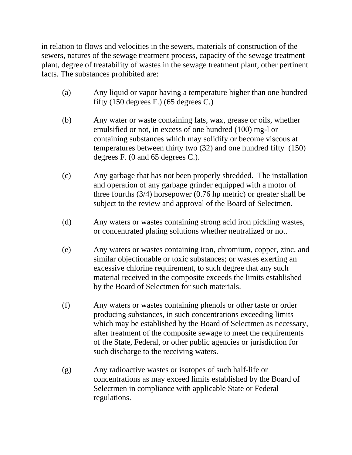in relation to flows and velocities in the sewers, materials of construction of the sewers, natures of the sewage treatment process, capacity of the sewage treatment plant, degree of treatability of wastes in the sewage treatment plant, other pertinent facts. The substances prohibited are:

- (a) Any liquid or vapor having a temperature higher than one hundred fifty (150 degrees F.) (65 degrees C.)
- (b) Any water or waste containing fats, wax, grease or oils, whether emulsified or not, in excess of one hundred (100) mg-l or containing substances which may solidify or become viscous at temperatures between thirty two (32) and one hundred fifty (150) degrees F. (0 and 65 degrees C.).
- (c) Any garbage that has not been properly shredded. The installation and operation of any garbage grinder equipped with a motor of three fourths (3/4) horsepower (0.76 hp metric) or greater shall be subject to the review and approval of the Board of Selectmen.
- (d) Any waters or wastes containing strong acid iron pickling wastes, or concentrated plating solutions whether neutralized or not.
- (e) Any waters or wastes containing iron, chromium, copper, zinc, and similar objectionable or toxic substances; or wastes exerting an excessive chlorine requirement, to such degree that any such material received in the composite exceeds the limits established by the Board of Selectmen for such materials.
- (f) Any waters or wastes containing phenols or other taste or order producing substances, in such concentrations exceeding limits which may be established by the Board of Selectmen as necessary, after treatment of the composite sewage to meet the requirements of the State, Federal, or other public agencies or jurisdiction for such discharge to the receiving waters.
- (g) Any radioactive wastes or isotopes of such half-life or concentrations as may exceed limits established by the Board of Selectmen in compliance with applicable State or Federal regulations.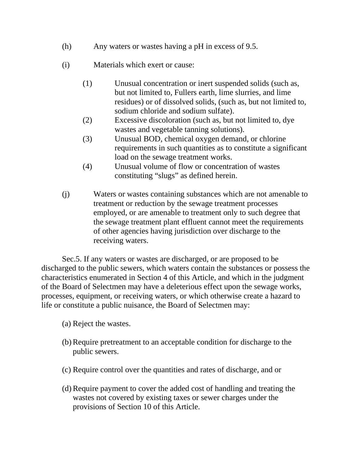- (h) Any waters or wastes having a pH in excess of 9.5.
- (i) Materials which exert or cause:
	- (1) Unusual concentration or inert suspended solids (such as, but not limited to, Fullers earth, lime slurries, and lime residues) or of dissolved solids, (such as, but not limited to, sodium chloride and sodium sulfate).
	- (2) Excessive discoloration (such as, but not limited to, dye wastes and vegetable tanning solutions).
	- (3) Unusual BOD, chemical oxygen demand, or chlorine requirements in such quantities as to constitute a significant load on the sewage treatment works.
	- (4) Unusual volume of flow or concentration of wastes constituting "slugs" as defined herein.
- (j) Waters or wastes containing substances which are not amenable to treatment or reduction by the sewage treatment processes employed, or are amenable to treatment only to such degree that the sewage treatment plant effluent cannot meet the requirements of other agencies having jurisdiction over discharge to the receiving waters.

Sec.5. If any waters or wastes are discharged, or are proposed to be discharged to the public sewers, which waters contain the substances or possess the characteristics enumerated in Section 4 of this Article, and which in the judgment of the Board of Selectmen may have a deleterious effect upon the sewage works, processes, equipment, or receiving waters, or which otherwise create a hazard to life or constitute a public nuisance, the Board of Selectmen may:

- (a) Reject the wastes.
- (b)Require pretreatment to an acceptable condition for discharge to the public sewers.
- (c) Require control over the quantities and rates of discharge, and or
- (d)Require payment to cover the added cost of handling and treating the wastes not covered by existing taxes or sewer charges under the provisions of Section 10 of this Article.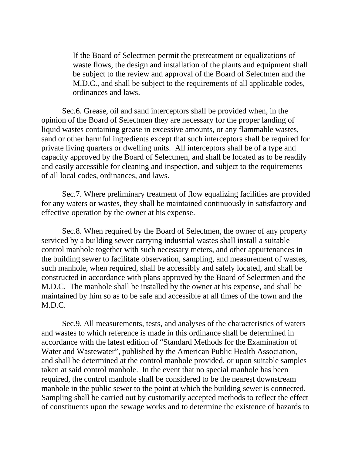If the Board of Selectmen permit the pretreatment or equalizations of waste flows, the design and installation of the plants and equipment shall be subject to the review and approval of the Board of Selectmen and the M.D.C., and shall be subject to the requirements of all applicable codes, ordinances and laws.

Sec.6. Grease, oil and sand interceptors shall be provided when, in the opinion of the Board of Selectmen they are necessary for the proper landing of liquid wastes containing grease in excessive amounts, or any flammable wastes, sand or other harmful ingredients except that such interceptors shall be required for private living quarters or dwelling units. All interceptors shall be of a type and capacity approved by the Board of Selectmen, and shall be located as to be readily and easily accessible for cleaning and inspection, and subject to the requirements of all local codes, ordinances, and laws.

Sec.7. Where preliminary treatment of flow equalizing facilities are provided for any waters or wastes, they shall be maintained continuously in satisfactory and effective operation by the owner at his expense.

Sec.8. When required by the Board of Selectmen, the owner of any property serviced by a building sewer carrying industrial wastes shall install a suitable control manhole together with such necessary meters, and other appurtenances in the building sewer to facilitate observation, sampling, and measurement of wastes, such manhole, when required, shall be accessibly and safely located, and shall be constructed in accordance with plans approved by the Board of Selectmen and the M.D.C. The manhole shall be installed by the owner at his expense, and shall be maintained by him so as to be safe and accessible at all times of the town and the M.D.C.

Sec.9. All measurements, tests, and analyses of the characteristics of waters and wastes to which reference is made in this ordinance shall be determined in accordance with the latest edition of "Standard Methods for the Examination of Water and Wastewater", published by the American Public Health Association, and shall be determined at the control manhole provided, or upon suitable samples taken at said control manhole. In the event that no special manhole has been required, the control manhole shall be considered to be the nearest downstream manhole in the public sewer to the point at which the building sewer is connected. Sampling shall be carried out by customarily accepted methods to reflect the effect of constituents upon the sewage works and to determine the existence of hazards to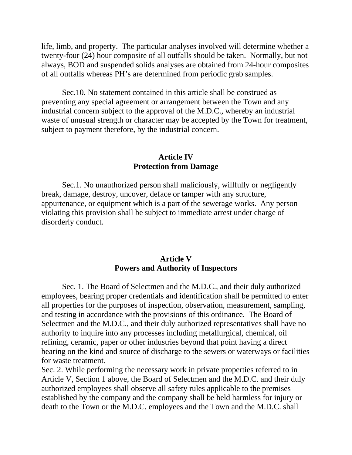life, limb, and property. The particular analyses involved will determine whether a twenty-four (24) hour composite of all outfalls should be taken. Normally, but not always, BOD and suspended solids analyses are obtained from 24-hour composites of all outfalls whereas PH's are determined from periodic grab samples.

Sec.10. No statement contained in this article shall be construed as preventing any special agreement or arrangement between the Town and any industrial concern subject to the approval of the M.D.C., whereby an industrial waste of unusual strength or character may be accepted by the Town for treatment, subject to payment therefore, by the industrial concern.

#### **Article IV Protection from Damage**

Sec.1. No unauthorized person shall maliciously, willfully or negligently break, damage, destroy, uncover, deface or tamper with any structure, appurtenance, or equipment which is a part of the sewerage works. Any person violating this provision shall be subject to immediate arrest under charge of disorderly conduct.

#### **Article V Powers and Authority of Inspectors**

Sec. 1. The Board of Selectmen and the M.D.C., and their duly authorized employees, bearing proper credentials and identification shall be permitted to enter all properties for the purposes of inspection, observation, measurement, sampling, and testing in accordance with the provisions of this ordinance. The Board of Selectmen and the M.D.C., and their duly authorized representatives shall have no authority to inquire into any processes including metallurgical, chemical, oil refining, ceramic, paper or other industries beyond that point having a direct bearing on the kind and source of discharge to the sewers or waterways or facilities for waste treatment.

Sec. 2. While performing the necessary work in private properties referred to in Article V, Section 1 above, the Board of Selectmen and the M.D.C. and their duly authorized employees shall observe all safety rules applicable to the premises established by the company and the company shall be held harmless for injury or death to the Town or the M.D.C. employees and the Town and the M.D.C. shall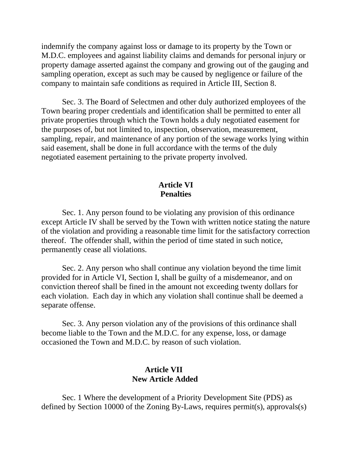indemnify the company against loss or damage to its property by the Town or M.D.C. employees and against liability claims and demands for personal injury or property damage asserted against the company and growing out of the gauging and sampling operation, except as such may be caused by negligence or failure of the company to maintain safe conditions as required in Article III, Section 8.

Sec. 3. The Board of Selectmen and other duly authorized employees of the Town bearing proper credentials and identification shall be permitted to enter all private properties through which the Town holds a duly negotiated easement for the purposes of, but not limited to, inspection, observation, measurement, sampling, repair, and maintenance of any portion of the sewage works lying within said easement, shall be done in full accordance with the terms of the duly negotiated easement pertaining to the private property involved.

### **Article VI Penalties**

Sec. 1. Any person found to be violating any provision of this ordinance except Article IV shall be served by the Town with written notice stating the nature of the violation and providing a reasonable time limit for the satisfactory correction thereof. The offender shall, within the period of time stated in such notice, permanently cease all violations.

Sec. 2. Any person who shall continue any violation beyond the time limit provided for in Article VI, Section I, shall be guilty of a misdemeanor, and on conviction thereof shall be fined in the amount not exceeding twenty dollars for each violation. Each day in which any violation shall continue shall be deemed a separate offense.

Sec. 3. Any person violation any of the provisions of this ordinance shall become liable to the Town and the M.D.C. for any expense, loss, or damage occasioned the Town and M.D.C. by reason of such violation.

### **Article VII New Article Added**

Sec. 1 Where the development of a Priority Development Site (PDS) as defined by Section 10000 of the Zoning By-Laws, requires permit(s), approvals(s)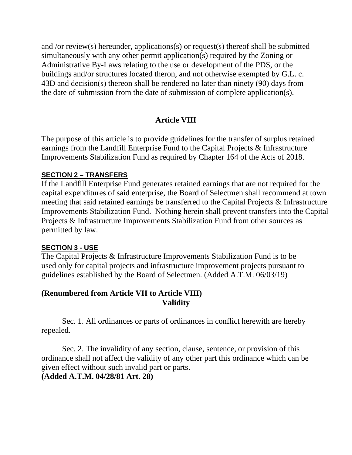and /or review(s) hereunder, applications(s) or request(s) thereof shall be submitted simultaneously with any other permit application(s) required by the Zoning or Administrative By-Laws relating to the use or development of the PDS, or the buildings and/or structures located theron, and not otherwise exempted by G.L. c. 43D and decision(s) thereon shall be rendered no later than ninety (90) days from the date of submission from the date of submission of complete application(s).

# **Article VIII**

The purpose of this article is to provide guidelines for the transfer of surplus retained earnings from the Landfill Enterprise Fund to the Capital Projects & Infrastructure Improvements Stabilization Fund as required by Chapter 164 of the Acts of 2018.

### **SECTION 2 – TRANSFERS**

If the Landfill Enterprise Fund generates retained earnings that are not required for the capital expenditures of said enterprise, the Board of Selectmen shall recommend at town meeting that said retained earnings be transferred to the Capital Projects & Infrastructure Improvements Stabilization Fund. Nothing herein shall prevent transfers into the Capital Projects & Infrastructure Improvements Stabilization Fund from other sources as permitted by law.

## **SECTION 3 - USE**

The Capital Projects & Infrastructure Improvements Stabilization Fund is to be used only for capital projects and infrastructure improvement projects pursuant to guidelines established by the Board of Selectmen. (Added A.T.M. 06/03/19)

## **(Renumbered from Article VII to Article VIII) Validity**

Sec. 1. All ordinances or parts of ordinances in conflict herewith are hereby repealed.

Sec. 2. The invalidity of any section, clause, sentence, or provision of this ordinance shall not affect the validity of any other part this ordinance which can be given effect without such invalid part or parts. **(Added A.T.M. 04/28/81 Art. 28)**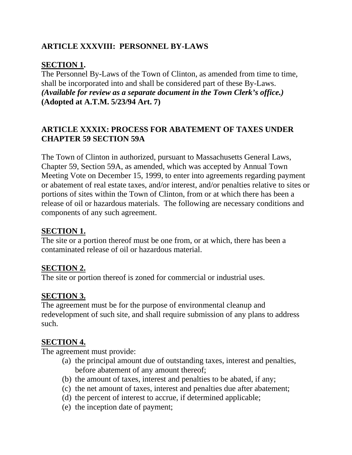# **ARTICLE XXXVIII: PERSONNEL BY-LAWS**

### **SECTION 1.**

The Personnel By-Laws of the Town of Clinton, as amended from time to time, shall be incorporated into and shall be considered part of these By-Laws. *(Available for review as a separate document in the Town Clerk's office.)* **(Adopted at A.T.M. 5/23/94 Art. 7)**

# **ARTICLE XXXIX: PROCESS FOR ABATEMENT OF TAXES UNDER CHAPTER 59 SECTION 59A**

The Town of Clinton in authorized, pursuant to Massachusetts General Laws, Chapter 59, Section 59A, as amended, which was accepted by Annual Town Meeting Vote on December 15, 1999, to enter into agreements regarding payment or abatement of real estate taxes, and/or interest, and/or penalties relative to sites or portions of sites within the Town of Clinton, from or at which there has been a release of oil or hazardous materials. The following are necessary conditions and components of any such agreement.

### **SECTION 1.**

The site or a portion thereof must be one from, or at which, there has been a contaminated release of oil or hazardous material.

### **SECTION 2.**

The site or portion thereof is zoned for commercial or industrial uses.

### **SECTION 3.**

The agreement must be for the purpose of environmental cleanup and redevelopment of such site, and shall require submission of any plans to address such.

### **SECTION 4.**

The agreement must provide:

- (a) the principal amount due of outstanding taxes, interest and penalties, before abatement of any amount thereof;
- (b) the amount of taxes, interest and penalties to be abated, if any;
- (c) the net amount of taxes, interest and penalties due after abatement;
- (d) the percent of interest to accrue, if determined applicable;
- (e) the inception date of payment;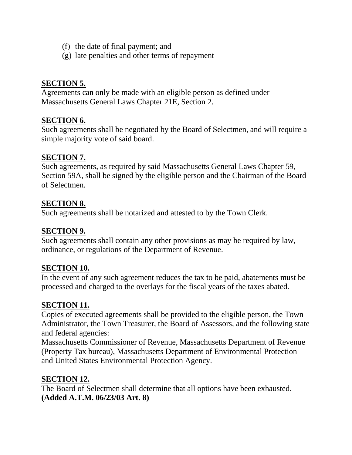- (f) the date of final payment; and
- (g) late penalties and other terms of repayment

# **SECTION 5.**

Agreements can only be made with an eligible person as defined under Massachusetts General Laws Chapter 21E, Section 2.

## **SECTION 6.**

Such agreements shall be negotiated by the Board of Selectmen, and will require a simple majority vote of said board.

### **SECTION 7.**

Such agreements, as required by said Massachusetts General Laws Chapter 59, Section 59A, shall be signed by the eligible person and the Chairman of the Board of Selectmen.

## **SECTION 8.**

Such agreements shall be notarized and attested to by the Town Clerk.

### **SECTION 9.**

Such agreements shall contain any other provisions as may be required by law, ordinance, or regulations of the Department of Revenue.

## **SECTION 10.**

In the event of any such agreement reduces the tax to be paid, abatements must be processed and charged to the overlays for the fiscal years of the taxes abated.

## **SECTION 11.**

Copies of executed agreements shall be provided to the eligible person, the Town Administrator, the Town Treasurer, the Board of Assessors, and the following state and federal agencies:

Massachusetts Commissioner of Revenue, Massachusetts Department of Revenue (Property Tax bureau), Massachusetts Department of Environmental Protection and United States Environmental Protection Agency.

## **SECTION 12.**

The Board of Selectmen shall determine that all options have been exhausted. **(Added A.T.M. 06/23/03 Art. 8)**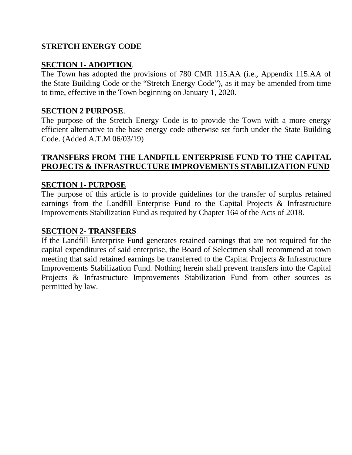## **STRETCH ENERGY CODE**

### **SECTION 1- ADOPTION**.

The Town has adopted the provisions of 780 CMR 115.AA (i.e., Appendix 115.AA of the State Building Code or the "Stretch Energy Code"), as it may be amended from time to time, effective in the Town beginning on January 1, 2020.

#### **SECTION 2 PURPOSE**.

The purpose of the Stretch Energy Code is to provide the Town with a more energy efficient alternative to the base energy code otherwise set forth under the State Building Code. (Added A.T.M 06/03/19)

### **TRANSFERS FROM THE LANDFILL ENTERPRISE FUND TO THE CAPITAL PROJECTS & INFRASTRUCTURE IMPROVEMENTS STABILIZATION FUND**

#### **SECTION 1- PURPOSE**

The purpose of this article is to provide guidelines for the transfer of surplus retained earnings from the Landfill Enterprise Fund to the Capital Projects & Infrastructure Improvements Stabilization Fund as required by Chapter 164 of the Acts of 2018.

#### **SECTION 2- TRANSFERS**

If the Landfill Enterprise Fund generates retained earnings that are not required for the capital expenditures of said enterprise, the Board of Selectmen shall recommend at town meeting that said retained earnings be transferred to the Capital Projects & Infrastructure Improvements Stabilization Fund. Nothing herein shall prevent transfers into the Capital Projects & Infrastructure Improvements Stabilization Fund from other sources as permitted by law.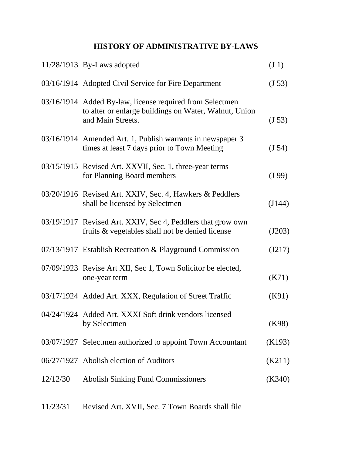# **HISTORY OF ADMINISTRATIVE BY-LAWS**

|          | 11/28/1913 By-Laws adopted                                                                                                             | $(J_1)$ |
|----------|----------------------------------------------------------------------------------------------------------------------------------------|---------|
|          | 03/16/1914 Adopted Civil Service for Fire Department                                                                                   | (J 53)  |
|          | 03/16/1914 Added By-law, license required from Selectmen<br>to alter or enlarge buildings on Water, Walnut, Union<br>and Main Streets. | (J 53)  |
|          | 03/16/1914 Amended Art. 1, Publish warrants in newspaper 3<br>times at least 7 days prior to Town Meeting                              | (J 54)  |
|          | 03/15/1915 Revised Art. XXVII, Sec. 1, three-year terms<br>for Planning Board members                                                  | (J 99)  |
|          | 03/20/1916 Revised Art. XXIV, Sec. 4, Hawkers & Peddlers<br>shall be licensed by Selectmen                                             | (J144)  |
|          | 03/19/1917 Revised Art. XXIV, Sec 4, Peddlers that grow own<br>fruits & vegetables shall not be denied license                         | (J203)  |
|          | 07/13/1917 Establish Recreation & Playground Commission                                                                                | (J217)  |
|          | 07/09/1923 Revise Art XII, Sec 1, Town Solicitor be elected,<br>one-year term                                                          | (K71)   |
|          | 03/17/1924 Added Art. XXX, Regulation of Street Traffic                                                                                | (K91)   |
|          | 04/24/1924 Added Art. XXXI Soft drink vendors licensed<br>by Selectmen                                                                 | (K98)   |
|          | 03/07/1927 Selectmen authorized to appoint Town Accountant                                                                             | (K193)  |
|          | 06/27/1927 Abolish election of Auditors                                                                                                | (K211)  |
| 12/12/30 | <b>Abolish Sinking Fund Commissioners</b>                                                                                              | (K340)  |
|          |                                                                                                                                        |         |

11/23/31 Revised Art. XVII, Sec. 7 Town Boards shall file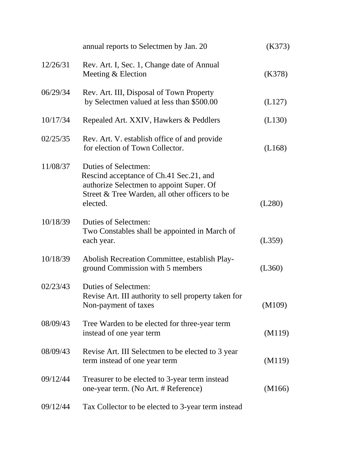|          | annual reports to Selectmen by Jan. 20                                                                                                                                    | (K373) |
|----------|---------------------------------------------------------------------------------------------------------------------------------------------------------------------------|--------|
| 12/26/31 | Rev. Art. I, Sec. 1, Change date of Annual<br>Meeting & Election                                                                                                          | (K378) |
| 06/29/34 | Rev. Art. III, Disposal of Town Property<br>by Selectmen valued at less than \$500.00                                                                                     | (L127) |
| 10/17/34 | Repealed Art. XXIV, Hawkers & Peddlers                                                                                                                                    | (L130) |
| 02/25/35 | Rev. Art. V. establish office of and provide<br>for election of Town Collector.                                                                                           | (L168) |
| 11/08/37 | Duties of Selectmen:<br>Rescind acceptance of Ch.41 Sec.21, and<br>authorize Selectmen to appoint Super. Of<br>Street & Tree Warden, all other officers to be<br>elected. | (L280) |
| 10/18/39 | Duties of Selectmen:<br>Two Constables shall be appointed in March of<br>each year.                                                                                       | (L359) |
| 10/18/39 | Abolish Recreation Committee, establish Play-<br>ground Commission with 5 members                                                                                         | (L360) |
| 02/23/43 | Duties of Selectmen:<br>Revise Art. III authority to sell property taken for<br>Non-payment of taxes                                                                      | (M109) |
| 08/09/43 | Tree Warden to be elected for three-year term<br>instead of one year term                                                                                                 | (M119) |
| 08/09/43 | Revise Art. III Selectmen to be elected to 3 year<br>term instead of one year term                                                                                        | (M119) |
| 09/12/44 | Treasurer to be elected to 3-year term instead<br>one-year term. (No Art. # Reference)                                                                                    | (M166) |
| 09/12/44 | Tax Collector to be elected to 3-year term instead                                                                                                                        |        |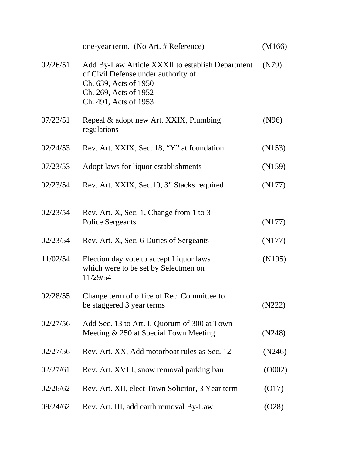|          | one-year term. (No Art. # Reference)                                                                                                                               | (M166) |
|----------|--------------------------------------------------------------------------------------------------------------------------------------------------------------------|--------|
| 02/26/51 | Add By-Law Article XXXII to establish Department<br>of Civil Defense under authority of<br>Ch. 639, Acts of 1950<br>Ch. 269, Acts of 1952<br>Ch. 491, Acts of 1953 | (N79)  |
| 07/23/51 | Repeal & adopt new Art. XXIX, Plumbing<br>regulations                                                                                                              | (N96)  |
| 02/24/53 | Rev. Art. XXIX, Sec. 18, "Y" at foundation                                                                                                                         | (N153) |
| 07/23/53 | Adopt laws for liquor establishments                                                                                                                               | (N159) |
| 02/23/54 | Rev. Art. XXIX, Sec.10, 3" Stacks required                                                                                                                         | (N177) |
| 02/23/54 | Rev. Art. X, Sec. 1, Change from 1 to 3<br><b>Police Sergeants</b>                                                                                                 | (N177) |
| 02/23/54 | Rev. Art. X, Sec. 6 Duties of Sergeants                                                                                                                            | (N177) |
| 11/02/54 | Election day vote to accept Liquor laws<br>which were to be set by Selectmen on<br>11/29/54                                                                        | (N195) |
| 02/28/55 | Change term of office of Rec. Committee to<br>be staggered 3 year terms                                                                                            | (N222) |
| 02/27/56 | Add Sec. 13 to Art. I, Quorum of 300 at Town<br>Meeting & 250 at Special Town Meeting                                                                              | (N248) |
| 02/27/56 | Rev. Art. XX, Add motorboat rules as Sec. 12                                                                                                                       | (N246) |
| 02/27/61 | Rev. Art. XVIII, snow removal parking ban                                                                                                                          | (0002) |
| 02/26/62 | Rev. Art. XII, elect Town Solicitor, 3 Year term                                                                                                                   | (017)  |
| 09/24/62 | Rev. Art. III, add earth removal By-Law                                                                                                                            | (O28)  |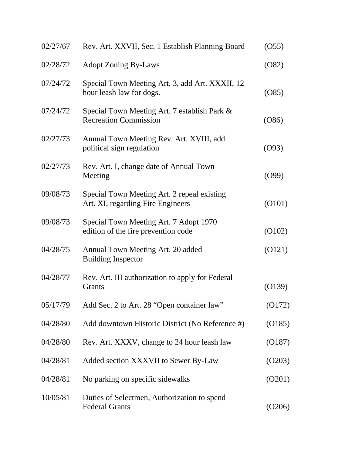| 02/27/67 | Rev. Art. XXVII, Sec. 1 Establish Planning Board                                 | (055)  |
|----------|----------------------------------------------------------------------------------|--------|
| 02/28/72 | <b>Adopt Zoning By-Laws</b>                                                      | (082)  |
| 07/24/72 | Special Town Meeting Art. 3, add Art. XXXII, 12<br>hour leash law for dogs.      | (085)  |
| 07/24/72 | Special Town Meeting Art. 7 establish Park &<br><b>Recreation Commission</b>     | (086)  |
| 02/27/73 | Annual Town Meeting Rev. Art. XVIII, add<br>political sign regulation            | (093)  |
| 02/27/73 | Rev. Art. I, change date of Annual Town<br>Meeting                               | (O99)  |
| 09/08/73 | Special Town Meeting Art. 2 repeal existing<br>Art. XI, regarding Fire Engineers | (0101) |
| 09/08/73 | Special Town Meeting Art. 7 Adopt 1970<br>edition of the fire prevention code    | (0102) |
| 04/28/75 | Annual Town Meeting Art. 20 added<br><b>Building Inspector</b>                   | (0121) |
| 04/28/77 | Rev. Art. III authorization to apply for Federal<br>Grants                       | (0139) |
| 05/17/79 | Add Sec. 2 to Art. 28 "Open container law"                                       | (0172) |
| 04/28/80 | Add downtown Historic District (No Reference #)                                  | (0185) |
| 04/28/80 | Rev. Art. XXXV, change to 24 hour leash law                                      | (0187) |
| 04/28/81 | Added section XXXVII to Sewer By-Law                                             | (0203) |
| 04/28/81 | No parking on specific sidewalks                                                 | (O201) |
| 10/05/81 | Duties of Selectmen, Authorization to spend<br><b>Federal Grants</b>             | (O206) |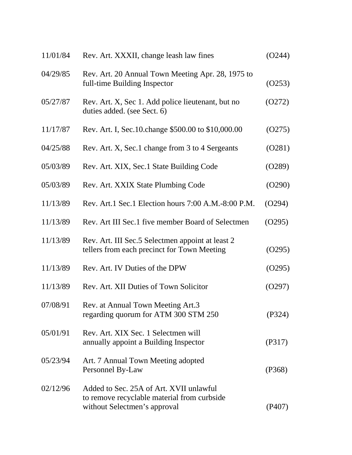| 11/01/84 | Rev. Art. XXXII, change leash law fines                                                                                | (O244) |
|----------|------------------------------------------------------------------------------------------------------------------------|--------|
| 04/29/85 | Rev. Art. 20 Annual Town Meeting Apr. 28, 1975 to<br>full-time Building Inspector                                      | (0253) |
| 05/27/87 | Rev. Art. X, Sec 1. Add police lieutenant, but no<br>duties added. (see Sect. 6)                                       | (0272) |
| 11/17/87 | Rev. Art. I, Sec. 10. change \$500.00 to \$10,000.00                                                                   | (0275) |
| 04/25/88 | Rev. Art. X, Sec.1 change from 3 to 4 Sergeants                                                                        | (0281) |
| 05/03/89 | Rev. Art. XIX, Sec.1 State Building Code                                                                               | (O289) |
| 05/03/89 | Rev. Art. XXIX State Plumbing Code                                                                                     | (O290) |
| 11/13/89 | Rev. Art.1 Sec.1 Election hours 7:00 A.M.-8:00 P.M.                                                                    | (O294) |
| 11/13/89 | Rev. Art III Sec.1 five member Board of Selectmen                                                                      | (0295) |
| 11/13/89 | Rev. Art. III Sec. 5 Selectmen appoint at least 2<br>tellers from each precinct for Town Meeting                       | (O295) |
| 11/13/89 | Rev. Art. IV Duties of the DPW                                                                                         | (O295) |
| 11/13/89 | Rev. Art. XII Duties of Town Solicitor                                                                                 | (O297) |
| 07/08/91 | Rev. at Annual Town Meeting Art.3<br>regarding quorum for ATM 300 STM 250                                              | (P324) |
| 05/01/91 | Rev. Art. XIX Sec. 1 Selectmen will<br>annually appoint a Building Inspector                                           | (P317) |
| 05/23/94 | Art. 7 Annual Town Meeting adopted<br>Personnel By-Law                                                                 | (P368) |
| 02/12/96 | Added to Sec. 25A of Art. XVII unlawful<br>to remove recyclable material from curbside<br>without Selectmen's approval | (P407) |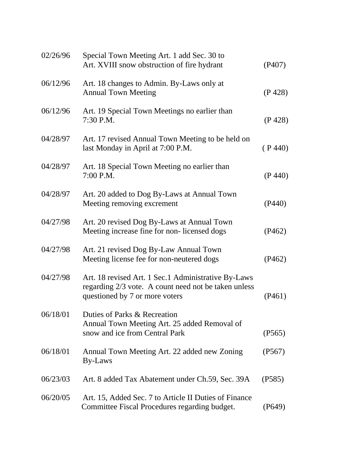| 02/26/96 | Special Town Meeting Art. 1 add Sec. 30 to<br>Art. XVIII snow obstruction of fire hydrant                                                     | (P407)  |
|----------|-----------------------------------------------------------------------------------------------------------------------------------------------|---------|
| 06/12/96 | Art. 18 changes to Admin. By-Laws only at<br><b>Annual Town Meeting</b>                                                                       | (P 428) |
| 06/12/96 | Art. 19 Special Town Meetings no earlier than<br>7:30 P.M.                                                                                    | (P 428) |
| 04/28/97 | Art. 17 revised Annual Town Meeting to be held on<br>last Monday in April at 7:00 P.M.                                                        | (P 440) |
| 04/28/97 | Art. 18 Special Town Meeting no earlier than<br>7:00 P.M.                                                                                     | (P 440) |
| 04/28/97 | Art. 20 added to Dog By-Laws at Annual Town<br>Meeting removing excrement                                                                     | (P440)  |
| 04/27/98 | Art. 20 revised Dog By-Laws at Annual Town<br>Meeting increase fine for non-licensed dogs                                                     | (P462)  |
| 04/27/98 | Art. 21 revised Dog By-Law Annual Town<br>Meeting license fee for non-neutered dogs                                                           | (P462)  |
| 04/27/98 | Art. 18 revised Art. 1 Sec.1 Administrative By-Laws<br>regarding 2/3 vote. A count need not be taken unless<br>questioned by 7 or more voters | (P461)  |
| 06/18/01 | Duties of Parks & Recreation<br>Annual Town Meeting Art. 25 added Removal of<br>snow and ice from Central Park                                | (P565)  |
| 06/18/01 | Annual Town Meeting Art. 22 added new Zoning<br>By-Laws                                                                                       | (P567)  |
| 06/23/03 | Art. 8 added Tax Abatement under Ch.59, Sec. 39A                                                                                              | (P585)  |
| 06/20/05 | Art. 15, Added Sec. 7 to Article II Duties of Finance<br>Committee Fiscal Procedures regarding budget.                                        | (P649)  |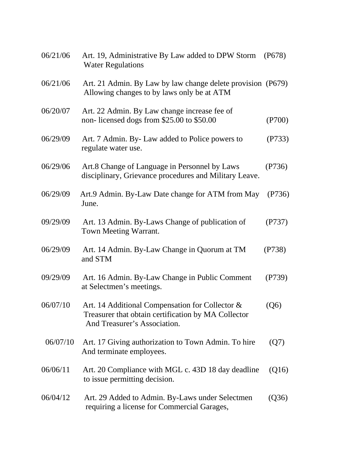| 06/21/06 | Art. 19, Administrative By Law added to DPW Storm<br><b>Water Regulations</b>                                                          | (P678) |
|----------|----------------------------------------------------------------------------------------------------------------------------------------|--------|
| 06/21/06 | Art. 21 Admin. By Law by law change delete provision (P679)<br>Allowing changes to by laws only be at ATM                              |        |
| 06/20/07 | Art. 22 Admin. By Law change increase fee of<br>non-licensed dogs from \$25.00 to \$50.00                                              | (P700) |
| 06/29/09 | Art. 7 Admin. By-Law added to Police powers to<br>regulate water use.                                                                  | (P733) |
| 06/29/06 | Art.8 Change of Language in Personnel by Laws<br>disciplinary, Grievance procedures and Military Leave.                                | (P736) |
| 06/29/09 | Art.9 Admin. By-Law Date change for ATM from May<br>June.                                                                              | (P736) |
| 09/29/09 | Art. 13 Admin. By-Laws Change of publication of<br><b>Town Meeting Warrant.</b>                                                        | (P737) |
| 06/29/09 | Art. 14 Admin. By-Law Change in Quorum at TM<br>and STM                                                                                | (P738) |
| 09/29/09 | Art. 16 Admin. By-Law Change in Public Comment<br>at Selectmen's meetings.                                                             | (P739) |
| 06/07/10 | Art. 14 Additional Compensation for Collector &<br>Treasurer that obtain certification by MA Collector<br>And Treasurer's Association. | (Q6)   |
| 06/07/10 | Art. 17 Giving authorization to Town Admin. To hire<br>And terminate employees.                                                        | (Q7)   |
| 06/06/11 | Art. 20 Compliance with MGL c. 43D 18 day deadline<br>to issue permitting decision.                                                    | (Q16)  |
| 06/04/12 | Art. 29 Added to Admin. By-Laws under Selectmen<br>requiring a license for Commercial Garages,                                         | (Q36)  |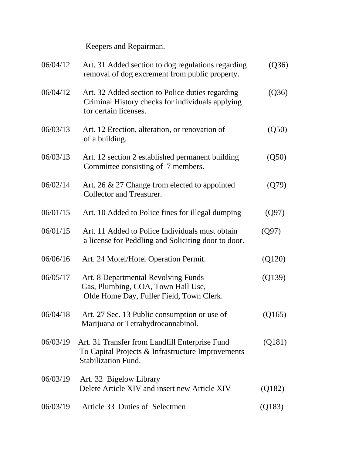Keepers and Repairman.

| 06/04/12 | Art. 31 Added section to dog regulations regarding<br>removal of dog excrement from public property.                              | (Q36)  |
|----------|-----------------------------------------------------------------------------------------------------------------------------------|--------|
| 06/04/12 | Art. 32 Added section to Police duties regarding<br>Criminal History checks for individuals applying<br>for certain licenses.     | (Q36)  |
| 06/03/13 | Art. 12 Erection, alteration, or renovation of<br>of a building.                                                                  | (Q50)  |
| 06/03/13 | Art. 12 section 2 established permanent building<br>Committee consisting of 7 members.                                            | (Q50)  |
| 06/02/14 | Art. 26 & 27 Change from elected to appointed<br>Collector and Treasurer.                                                         | (Q79)  |
| 06/01/15 | Art. 10 Added to Police fines for illegal dumping                                                                                 | (Q97)  |
| 06/01/15 | Art. 11 Added to Police Individuals must obtain<br>a license for Peddling and Soliciting door to door.                            | (Q97)  |
| 06/06/16 | Art. 24 Motel/Hotel Operation Permit.                                                                                             | (Q120) |
| 06/05/17 | Art. 8 Departmental Revolving Funds<br>Gas, Plumbing, COA, Town Hall Use,<br>Olde Home Day, Fuller Field, Town Clerk.             | (Q139) |
| 06/04/18 | Art. 27 Sec. 13 Public consumption or use of<br>Marijuana or Tetrahydrocannabinol.                                                | (Q165) |
| 06/03/19 | Art. 31 Transfer from Landfill Enterprise Fund<br>To Capital Projects & Infrastructure Improvements<br><b>Stabilization Fund.</b> | (Q181) |
| 06/03/19 | Art. 32 Bigelow Library<br>Delete Article XIV and insert new Article XIV                                                          | (Q182) |
| 06/03/19 | Article 33 Duties of Selectmen                                                                                                    | (Q183) |